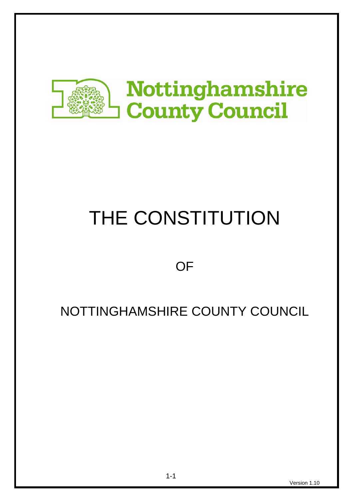

# THE CONSTITUTION

# **OF**

# NOTTINGHAMSHIRE COUNTY COUNCIL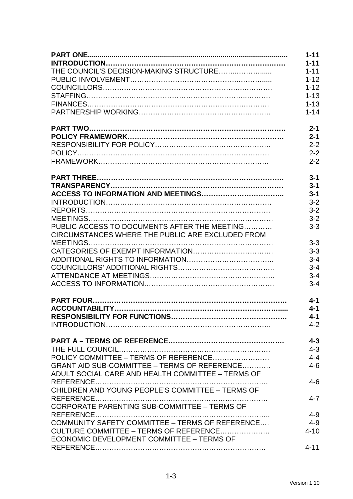|                                                   | $1 - 11$ |
|---------------------------------------------------|----------|
|                                                   | $1 - 11$ |
|                                                   | $1 - 11$ |
|                                                   | $1 - 12$ |
|                                                   | $1 - 12$ |
|                                                   | $1 - 13$ |
|                                                   | $1 - 13$ |
|                                                   | $1 - 14$ |
|                                                   | $2 - 1$  |
|                                                   | $2 - 1$  |
|                                                   | $2 - 2$  |
|                                                   | $2 - 2$  |
|                                                   | $2 - 2$  |
|                                                   | $3 - 1$  |
|                                                   | $3 - 1$  |
|                                                   | $3 - 1$  |
|                                                   | $3 - 2$  |
|                                                   | $3 - 2$  |
|                                                   | $3 - 2$  |
| PUBLIC ACCESS TO DOCUMENTS AFTER THE MEETING      | $3 - 3$  |
| CIRCUMSTANCES WHERE THE PUBLIC ARE EXCLUDED FROM  |          |
|                                                   | $3 - 3$  |
|                                                   | $3 - 3$  |
|                                                   | $3 - 4$  |
|                                                   | $3 - 4$  |
|                                                   | $3 - 4$  |
|                                                   | $3 - 4$  |
|                                                   | $4 - 1$  |
|                                                   | $4 - 1$  |
|                                                   | $4 - 1$  |
|                                                   | $4 - 2$  |
|                                                   | $4 - 3$  |
|                                                   | $4 - 3$  |
|                                                   | $4 - 4$  |
| GRANT AID SUB-COMMITTEE - TERMS OF REFERENCE      | $4 - 6$  |
| ADULT SOCIAL CARE AND HEALTH COMMITTEE - TERMS OF |          |
|                                                   | $4 - 6$  |
| CHILDREN AND YOUNG PEOPLE'S COMMITTEE - TERMS OF  |          |
| CORPORATE PARENTING SUB-COMMITTEE - TERMS OF      | $4 - 7$  |
|                                                   | $4 - 9$  |
| COMMUNITY SAFETY COMMITTEE - TERMS OF REFERENCE   | $4 - 9$  |
| CULTURE COMMITTEE – TERMS OF REFERENCE            | $4 - 10$ |
| ECONOMIC DEVELOPMENT COMMITTEE - TERMS OF         |          |
|                                                   | $4 - 11$ |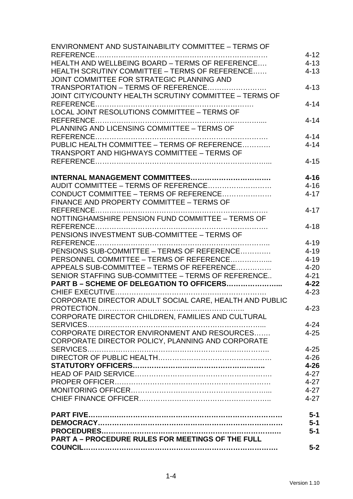| <b>ENVIRONMENT AND SUSTAINABILITY COMMITTEE - TERMS OF</b> |          |
|------------------------------------------------------------|----------|
|                                                            | $4 - 12$ |
| HEALTH AND WELLBEING BOARD - TERMS OF REFERENCE            | $4 - 13$ |
| HEALTH SCRUTINY COMMITTEE - TERMS OF REFERENCE             | $4 - 13$ |
| JOINT COMMITTEE FOR STRATEGIC PLANNING AND                 |          |
| TRANSPORTATION - TERMS OF REFERENCE                        | $4 - 13$ |
| JOINT CITY/COUNTY HEALTH SCRUTINY COMMITTEE - TERMS OF     |          |
|                                                            | $4 - 14$ |
| LOCAL JOINT RESOLUTIONS COMMITTEE - TERMS OF               |          |
|                                                            | $4 - 14$ |
| PLANNING AND LICENSING COMMITTEE - TERMS OF                |          |
|                                                            | $4 - 14$ |
| PUBLIC HEALTH COMMITTEE - TERMS OF REFERENCE               | $4 - 14$ |
| <b>TRANSPORT AND HIGHWAYS COMMITTEE - TERMS OF</b>         |          |
|                                                            | $4 - 15$ |
|                                                            |          |
|                                                            | $4 - 16$ |
| AUDIT COMMITTEE - TERMS OF REFERENCE                       | $4 - 16$ |
| CONDUCT COMMITTEE - TERMS OF REFERENCE                     | $4 - 17$ |
| FINANCE AND PROPERTY COMMITTEE - TERMS OF                  |          |
|                                                            | $4 - 17$ |
| NOTTINGHAMSHIRE PENSION FUND COMMITTEE - TERMS OF          |          |
|                                                            | $4 - 18$ |
| PENSIONS INVESTMENT SUB-COMMITTEE - TERMS OF               |          |
|                                                            | $4 - 19$ |
| PENSIONS SUB-COMMITTEE - TERMS OF REFERENCE                | $4 - 19$ |
| PERSONNEL COMMITTEE - TERMS OF REFERENCE                   | $4 - 19$ |
| APPEALS SUB-COMMITTEE – TERMS OF REFERENCE                 | $4 - 20$ |
| SENIOR STAFFING SUB-COMMITTEE - TERMS OF REFERENCE         | $4 - 21$ |
| PART B - SCHEME OF DELEGATION TO OFFICERS                  | $4 - 22$ |
|                                                            | $4 - 23$ |
| CORPORATE DIRECTOR ADULT SOCIAL CARE, HEALTH AND PUBLIC    |          |
|                                                            | $4 - 23$ |
| CORPORATE DIRECTOR CHILDREN, FAMILIES AND CULTURAL         |          |
|                                                            | $4 - 24$ |
| CORPORATE DIRECTOR ENVIRONMENT AND RESOURCES               | $4 - 25$ |
|                                                            |          |
| CORPORATE DIRECTOR POLICY, PLANNING AND CORPORATE          |          |
|                                                            | $4 - 25$ |
|                                                            | $4 - 26$ |
|                                                            | $4 - 26$ |
|                                                            | $4 - 27$ |
|                                                            | $4 - 27$ |
|                                                            | $4 - 27$ |
|                                                            | $4 - 27$ |
|                                                            | $5-1$    |
|                                                            | $5 - 1$  |
|                                                            | $5-1$    |
| <b>PART A - PROCEDURE RULES FOR MEETINGS OF THE FULL</b>   |          |
|                                                            | $5-2$    |
|                                                            |          |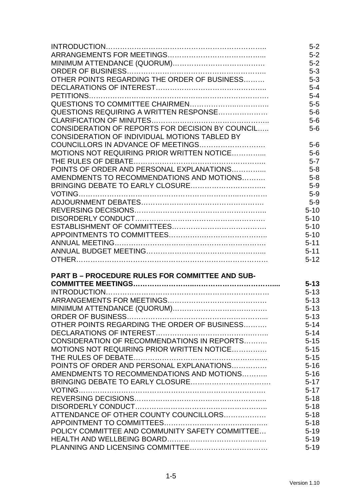|                                                        | $5-2$    |
|--------------------------------------------------------|----------|
|                                                        | $5-2$    |
|                                                        | $5-2$    |
|                                                        | $5 - 3$  |
| OTHER POINTS REGARDING THE ORDER OF BUSINESS           | $5 - 3$  |
|                                                        | $5 - 4$  |
|                                                        | $5 - 4$  |
|                                                        | $5-5$    |
| QUESTIONS REQUIRING A WRITTEN RESPONSE                 | $5-6$    |
|                                                        | $5-6$    |
| CONSIDERATION OF REPORTS FOR DECISION BY COUNCIL       | $5-6$    |
| CONSIDERATION OF INDIVIDUAL MOTIONS TABLED BY          |          |
|                                                        | $5-6$    |
| MOTIONS NOT REQUIRING PRIOR WRITTEN NOTICE             | $5-6$    |
|                                                        | $5 - 7$  |
| POINTS OF ORDER AND PERSONAL EXPLANATIONS              | $5 - 8$  |
| AMENDMENTS TO RECOMMENDATIONS AND MOTIONS              | $5 - 8$  |
|                                                        | $5-9$    |
|                                                        | $5-9$    |
|                                                        | $5-9$    |
|                                                        | $5 - 10$ |
|                                                        | $5 - 10$ |
|                                                        | $5 - 10$ |
|                                                        | $5 - 10$ |
|                                                        | $5 - 11$ |
|                                                        | $5 - 11$ |
|                                                        | $5 - 12$ |
| <b>PART B - PROCEDURE RULES FOR COMMITTEE AND SUB-</b> |          |
|                                                        | $5 - 13$ |
|                                                        | $5 - 13$ |
|                                                        | $5 - 13$ |
|                                                        | $5 - 13$ |
|                                                        | $5 - 13$ |
| OTHER POINTS REGARDING THE ORDER OF BUSINESS           | $5 - 14$ |
|                                                        | $5 - 14$ |
| CONSIDERATION OF RECOMMENDATIONS IN REPORTS            | $5 - 15$ |
| MOTIONS NOT REQUIRING PRIOR WRITTEN NOTICE             | $5 - 15$ |
|                                                        | $5 - 15$ |
| POINTS OF ORDER AND PERSONAL EXPLANATIONS              | $5 - 16$ |
| AMENDMENTS TO RECOMMENDATIONS AND MOTIONS              | $5 - 16$ |
|                                                        | $5 - 17$ |
|                                                        | $5 - 17$ |
|                                                        | $5 - 18$ |
|                                                        | $5 - 18$ |
| ATTENDANCE OF OTHER COUNTY COUNCILLORS                 | $5 - 18$ |
|                                                        | $5 - 18$ |
| POLICY COMMITTEE AND COMMUNITY SAFETY COMMITTEE        | $5 - 19$ |
|                                                        | $5 - 19$ |
|                                                        | $5 - 19$ |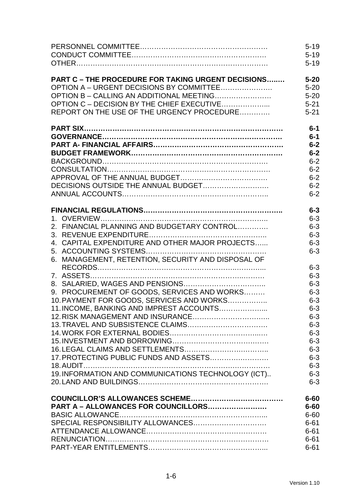|                                                           | $5 - 19$           |
|-----------------------------------------------------------|--------------------|
|                                                           | $5 - 19$           |
|                                                           | $5 - 19$           |
| <b>PART C - THE PROCEDURE FOR TAKING URGENT DECISIONS</b> | $5 - 20$           |
| OPTION A – URGENT DECISIONS BY COMMITTEE                  | $5 - 20$           |
| OPTION B - CALLING AN ADDITIONAL MEETING                  | $5 - 20$           |
| OPTION C - DECISION BY THE CHIEF EXECUTIVE                | $5 - 21$           |
| REPORT ON THE USE OF THE URGENCY PROCEDURE                | $5 - 21$           |
|                                                           | $6-1$              |
|                                                           | $6-1$              |
|                                                           | $6-2$              |
|                                                           | $6-2$              |
|                                                           | $6 - 2$            |
|                                                           | $6 - 2$            |
|                                                           | $6 - 2$            |
|                                                           | $6 - 2$            |
|                                                           | $6 - 2$            |
|                                                           | $6 - 3$            |
|                                                           | $6 - 3$            |
| 2. FINANCIAL PLANNING AND BUDGETARY CONTROL               | $6 - 3$            |
|                                                           | $6 - 3$            |
| 4. CAPITAL EXPENDITURE AND OTHER MAJOR PROJECTS           | $6 - 3$            |
|                                                           | $6 - 3$            |
| 6. MANAGEMENT, RETENTION, SECURITY AND DISPOSAL OF        | $6 - 3$<br>$6 - 3$ |
|                                                           | $6 - 3$            |
| 9. PROCUREMENT OF GOODS, SERVICES AND WORKS               | $6 - 3$            |
| 10. PAYMENT FOR GOODS, SERVICES AND WORKS                 | $6 - 3$            |
| 11. INCOME, BANKING AND IMPREST ACCOUNTS                  | $6 - 3$            |
|                                                           | $6 - 3$            |
|                                                           | $6 - 3$            |
|                                                           | $6 - 3$            |
|                                                           | $6 - 3$            |
|                                                           | $6 - 3$            |
| 17. PROTECTING PUBLIC FUNDS AND ASSETS                    | $6 - 3$            |
|                                                           | $6 - 3$            |
| 19. INFORMATION AND COMMUNICATIONS TECHNOLOGY (ICT)       | $6 - 3$            |
|                                                           | $6 - 3$            |
|                                                           | $6 - 60$           |
| PART A - ALLOWANCES FOR COUNCILLORS                       | $6 - 60$           |
|                                                           | $6 - 60$           |
|                                                           | $6 - 61$           |
|                                                           | $6 - 61$           |
|                                                           | $6 - 61$           |
|                                                           | $6 - 61$           |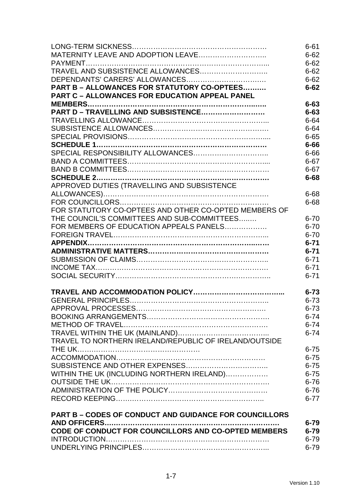|                                                               | $6 - 61$ |
|---------------------------------------------------------------|----------|
|                                                               | $6 - 62$ |
|                                                               | $6 - 62$ |
|                                                               | $6 - 62$ |
|                                                               | $6 - 62$ |
| PART B - ALLOWANCES FOR STATUTORY CO-OPTEES                   | $6 - 62$ |
| <b>PART C - ALLOWANCES FOR EDUCATION APPEAL PANEL</b>         |          |
|                                                               | $6 - 63$ |
| PART D - TRAVELLING AND SUBSISTENCE                           | $6 - 63$ |
|                                                               | $6 - 64$ |
|                                                               | $6 - 64$ |
|                                                               | $6 - 65$ |
|                                                               | $6 - 66$ |
|                                                               | $6 - 66$ |
|                                                               | $6 - 67$ |
|                                                               | $6 - 67$ |
|                                                               | $6 - 68$ |
| APPROVED DUTIES (TRAVELLING AND SUBSISTENCE                   |          |
|                                                               | $6 - 68$ |
|                                                               | $6 - 68$ |
| FOR STATUTORY CO-OPTEES AND OTHER CO-OPTED MEMBERS OF         |          |
| THE COUNCIL'S COMMITTEES AND SUB-COMMITTEES                   | $6 - 70$ |
| FOR MEMBERS OF EDUCATION APPEALS PANELS                       | $6 - 70$ |
|                                                               | $6 - 70$ |
|                                                               | $6 - 71$ |
|                                                               | $6 - 71$ |
|                                                               | $6 - 71$ |
|                                                               | $6 - 71$ |
|                                                               | $6 - 71$ |
|                                                               |          |
|                                                               | $6 - 73$ |
|                                                               | $6 - 73$ |
|                                                               | $6 - 73$ |
|                                                               | $6 - 74$ |
|                                                               | $6 - 74$ |
|                                                               | $6 - 74$ |
| TRAVEL TO NORTHERN IRELAND/REPUBLIC OF IRELAND/OUTSIDE        |          |
|                                                               | $6 - 75$ |
|                                                               | $6 - 75$ |
|                                                               | $6 - 75$ |
| WITHIN THE UK (INCLUDING NORTHERN IRELAND)                    | $6 - 75$ |
|                                                               | $6 - 76$ |
|                                                               | $6 - 76$ |
|                                                               | $6 - 77$ |
|                                                               |          |
| <b>PART B - CODES OF CONDUCT AND GUIDANCE FOR COUNCILLORS</b> |          |
|                                                               | $6 - 79$ |
| CODE OF CONDUCT FOR COUNCILLORS AND CO-OPTED MEMBERS          | $6 - 79$ |
|                                                               | $6 - 79$ |
|                                                               | $6 - 79$ |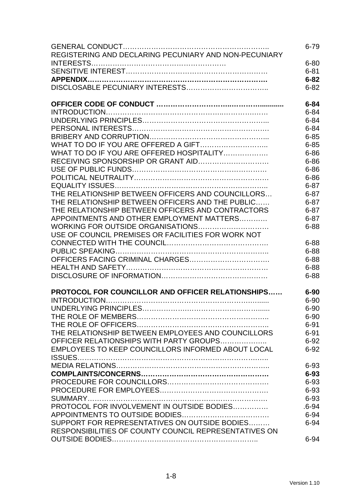|                                                       | $6 - 79$  |
|-------------------------------------------------------|-----------|
| REGISTERING AND DECLARING PECUNIARY AND NON-PECUNIARY |           |
|                                                       | $6 - 80$  |
|                                                       | $6 - 81$  |
|                                                       | $6 - 82$  |
|                                                       | $6 - 82$  |
|                                                       |           |
|                                                       | $6 - 84$  |
|                                                       | $6 - 84$  |
|                                                       | $6 - 84$  |
|                                                       | $6 - 84$  |
|                                                       | $6 - 85$  |
|                                                       | $6 - 85$  |
| WHAT TO DO IF YOU ARE OFFERED HOSPITALITY             | $6 - 86$  |
|                                                       | $6 - 86$  |
|                                                       | $6 - 86$  |
|                                                       | $6 - 86$  |
|                                                       | $6 - 87$  |
| THE RELATIONSHIP BETWEEN OFFICERS AND COUNCILLORS     | $6 - 87$  |
| THE RELATIONSHIP BETWEEN OFFICERS AND THE PUBLIC      | $6 - 87$  |
| THE RELATIONSHIP BETWEEN OFFICERS AND CONTRACTORS     | $6 - 87$  |
| APPOINTMENTS AND OTHER EMPLOYMENT MATTERS             | $6 - 87$  |
| WORKING FOR OUTSIDE ORGANISATIONS                     | $6 - 88$  |
| USE OF COUNCIL PREMISES OR FACILITIES FOR WORK NOT    |           |
|                                                       | $6 - 88$  |
|                                                       |           |
|                                                       | $6 - 88$  |
|                                                       | $6 - 88$  |
|                                                       | $6 - 88$  |
|                                                       | $6 - 88$  |
| PROTOCOL FOR COUNCILLOR AND OFFICER RELATIONSHIPS     | $6 - 90$  |
|                                                       | $6 - 90$  |
|                                                       | $6 - 90$  |
|                                                       | $6 - 90$  |
|                                                       | $6 - 91$  |
| THE RELATIONSHIP BETWEEN EMPLOYEES AND COUNCILLORS    | $6 - 91$  |
| OFFICER RELATIONSHIPS WITH PARTY GROUPS               | $6 - 92$  |
| EMPLOYEES TO KEEP COUNCILLORS INFORMED ABOUT LOCAL    | $6 - 92$  |
|                                                       |           |
|                                                       | $6 - 93$  |
|                                                       | $6 - 93$  |
|                                                       | $6 - 93$  |
|                                                       | $6 - 93$  |
|                                                       | $6 - 93$  |
| PROTOCOL FOR INVOLVEMENT IN OUTSIDE BODIES            | $.6 - 94$ |
|                                                       | $6 - 94$  |
| SUPPORT FOR REPRESENTATIVES ON OUTSIDE BODIES         | $6 - 94$  |
| RESPONSIBILITIES OF COUNTY COUNCIL REPRESENTATIVES ON |           |
|                                                       | $6 - 94$  |
|                                                       |           |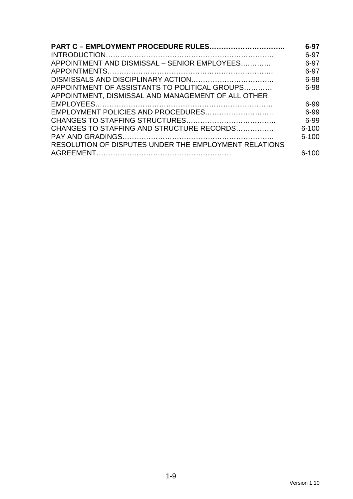| <b>PART C - EMPLOYMENT PROCEDURE RULES</b>            | $6 - 97$  |
|-------------------------------------------------------|-----------|
|                                                       | 6-97      |
| APPOINTMENT AND DISMISSAL - SENIOR EMPLOYEES          | $6-97$    |
|                                                       | 6-97      |
|                                                       | 6-98      |
| APPOINTMENT OF ASSISTANTS TO POLITICAL GROUPS         | 6-98      |
| APPOINTMENT, DISMISSAL AND MANAGEMENT OF ALL OTHER    |           |
|                                                       | 6-99      |
|                                                       | 6-99      |
|                                                       | 6-99      |
| CHANGES TO STAFFING AND STRUCTURE RECORDS             | $6 - 100$ |
|                                                       | $6 - 100$ |
| RESOLUTION OF DISPUTES UNDER THE EMPLOYMENT RELATIONS |           |
|                                                       | $6 - 100$ |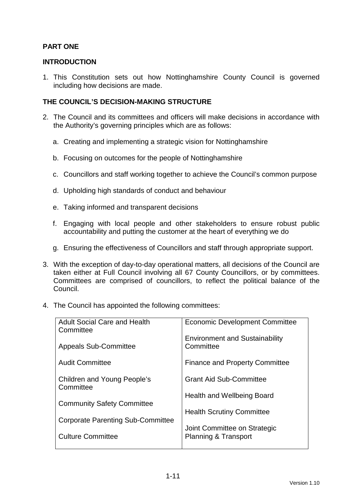### **PART ONE**

#### **INTRODUCTION**

1. This Constitution sets out how Nottinghamshire County Council is governed including how decisions are made.

#### **THE COUNCIL'S DECISION-MAKING STRUCTURE**

- 2. The Council and its committees and officers will make decisions in accordance with the Authority's governing principles which are as follows:
	- a. Creating and implementing a strategic vision for Nottinghamshire
	- b. Focusing on outcomes for the people of Nottinghamshire
	- c. Councillors and staff working together to achieve the Council's common purpose
	- d. Upholding high standards of conduct and behaviour
	- e. Taking informed and transparent decisions
	- f. Engaging with local people and other stakeholders to ensure robust public accountability and putting the customer at the heart of everything we do
	- g. Ensuring the effectiveness of Councillors and staff through appropriate support.
- 3. With the exception of day-to-day operational matters, all decisions of the Council are taken either at Full Council involving all 67 County Councillors, or by committees. Committees are comprised of councillors, to reflect the political balance of the Council.
- 4. The Council has appointed the following committees:

| <b>Adult Social Care and Health</b><br>Committee | <b>Economic Development Committee</b>              |
|--------------------------------------------------|----------------------------------------------------|
| <b>Appeals Sub-Committee</b>                     | <b>Environment and Sustainability</b><br>Committee |
| <b>Audit Committee</b>                           | <b>Finance and Property Committee</b>              |
| Children and Young People's<br>Committee         | <b>Grant Aid Sub-Committee</b>                     |
|                                                  | Health and Wellbeing Board                         |
| <b>Community Safety Committee</b>                | <b>Health Scrutiny Committee</b>                   |
| <b>Corporate Parenting Sub-Committee</b>         | Joint Committee on Strategic                       |
| <b>Culture Committee</b>                         | <b>Planning &amp; Transport</b>                    |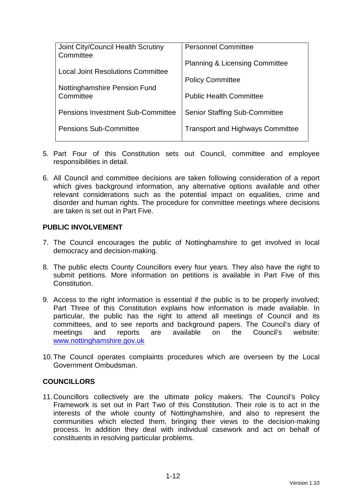| Joint City/Council Health Scrutiny<br>Committee | <b>Personnel Committee</b>                |
|-------------------------------------------------|-------------------------------------------|
| <b>Local Joint Resolutions Committee</b>        | <b>Planning &amp; Licensing Committee</b> |
|                                                 | <b>Policy Committee</b>                   |
| Nottinghamshire Pension Fund<br>Committee       | <b>Public Health Committee</b>            |
| <b>Pensions Investment Sub-Committee</b>        | <b>Senior Staffing Sub-Committee</b>      |
| <b>Pensions Sub-Committee</b>                   | <b>Transport and Highways Committee</b>   |

- 5. Part Four of this Constitution sets out Council, committee and employee responsibilities in detail.
- 6. All Council and committee decisions are taken following consideration of a report which gives background information, any alternative options available and other relevant considerations such as the potential impact on equalities, crime and disorder and human rights. The procedure for committee meetings where decisions are taken is set out in Part Five.

#### **PUBLIC INVOLVEMENT**

- 7. The Council encourages the public of Nottinghamshire to get involved in local democracy and decision-making.
- 8. The public elects County Councillors every four years. They also have the right to submit petitions. More information on petitions is available in Part Five of this **Constitution**
- 9. Access to the right information is essential if the public is to be properly involved; Part Three of this Constitution explains how information is made available. In particular, the public has the right to attend all meetings of Council and its committees, and to see reports and background papers. The Council's diary of meetings and reports are available on the Council's website: www.nottinghamshire.gov.uk
- 10. The Council operates complaints procedures which are overseen by the Local Government Ombudsman.

#### **COUNCILLORS**

11. Councillors collectively are the ultimate policy makers. The Council's Policy Framework is set out in Part Two of this Constitution. Their role is to act in the interests of the whole county of Nottinghamshire, and also to represent the communities which elected them, bringing their views to the decision-making process. In addition they deal with individual casework and act on behalf of constituents in resolving particular problems.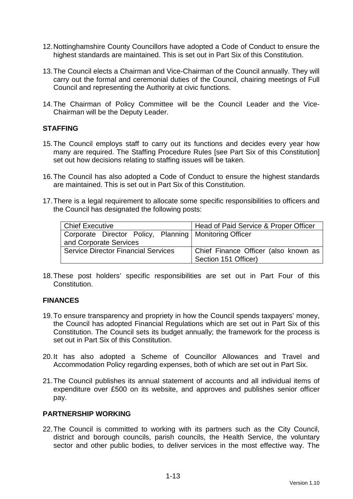- 12. Nottinghamshire County Councillors have adopted a Code of Conduct to ensure the highest standards are maintained. This is set out in Part Six of this Constitution.
- 13. The Council elects a Chairman and Vice-Chairman of the Council annually. They will carry out the formal and ceremonial duties of the Council, chairing meetings of Full Council and representing the Authority at civic functions.
- 14. The Chairman of Policy Committee will be the Council Leader and the Vice-Chairman will be the Deputy Leader.

#### **STAFFING**

- 15. The Council employs staff to carry out its functions and decides every year how many are required. The Staffing Procedure Rules [see Part Six of this Constitution] set out how decisions relating to staffing issues will be taken.
- 16. The Council has also adopted a Code of Conduct to ensure the highest standards are maintained. This is set out in Part Six of this Constitution.
- 17. There is a legal requirement to allocate some specific responsibilities to officers and the Council has designated the following posts:

| <b>Chief Executive</b>                                   | Head of Paid Service & Proper Officer |
|----------------------------------------------------------|---------------------------------------|
| Corporate Director Policy, Planning   Monitoring Officer |                                       |
| and Corporate Services                                   |                                       |
| <b>Service Director Financial Services</b>               | Chief Finance Officer (also known as  |
|                                                          | Section 151 Officer)                  |

18. These post holders' specific responsibilities are set out in Part Four of this Constitution.

#### **FINANCES**

- 19. To ensure transparency and propriety in how the Council spends taxpayers' money, the Council has adopted Financial Regulations which are set out in Part Six of this Constitution. The Council sets its budget annually; the framework for the process is set out in Part Six of this Constitution.
- 20. It has also adopted a Scheme of Councillor Allowances and Travel and Accommodation Policy regarding expenses, both of which are set out in Part Six.
- 21. The Council publishes its annual statement of accounts and all individual items of expenditure over £500 on its website, and approves and publishes senior officer pay.

#### **PARTNERSHIP WORKING**

22. The Council is committed to working with its partners such as the City Council, district and borough councils, parish councils, the Health Service, the voluntary sector and other public bodies, to deliver services in the most effective way. The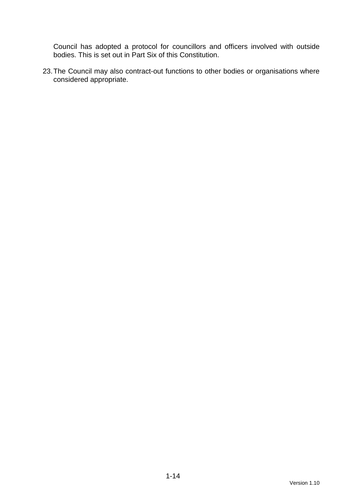Council has adopted a protocol for councillors and officers involved with outside bodies. This is set out in Part Six of this Constitution.

23. The Council may also contract-out functions to other bodies or organisations where considered appropriate.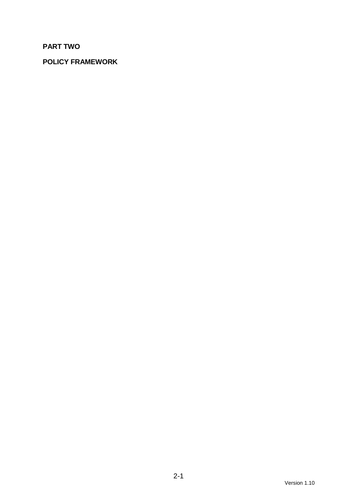# **PART TWO**

# **POLICY FRAMEWORK**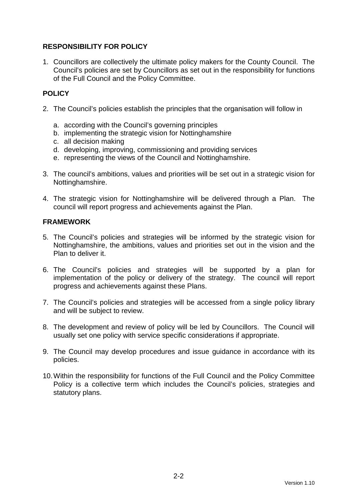### **RESPONSIBILITY FOR POLICY**

1. Councillors are collectively the ultimate policy makers for the County Council. The Council's policies are set by Councillors as set out in the responsibility for functions of the Full Council and the Policy Committee.

## **POLICY**

- 2. The Council's policies establish the principles that the organisation will follow in
	- a. according with the Council's governing principles
	- b. implementing the strategic vision for Nottinghamshire
	- c. all decision making
	- d. developing, improving, commissioning and providing services
	- e. representing the views of the Council and Nottinghamshire.
- 3. The council's ambitions, values and priorities will be set out in a strategic vision for Nottinghamshire.
- 4. The strategic vision for Nottinghamshire will be delivered through a Plan. The council will report progress and achievements against the Plan.

#### **FRAMEWORK**

- 5. The Council's policies and strategies will be informed by the strategic vision for Nottinghamshire, the ambitions, values and priorities set out in the vision and the Plan to deliver it.
- 6. The Council's policies and strategies will be supported by a plan for implementation of the policy or delivery of the strategy. The council will report progress and achievements against these Plans.
- 7. The Council's policies and strategies will be accessed from a single policy library and will be subject to review.
- 8. The development and review of policy will be led by Councillors. The Council will usually set one policy with service specific considerations if appropriate.
- 9. The Council may develop procedures and issue guidance in accordance with its policies.
- 10. Within the responsibility for functions of the Full Council and the Policy Committee Policy is a collective term which includes the Council's policies, strategies and statutory plans.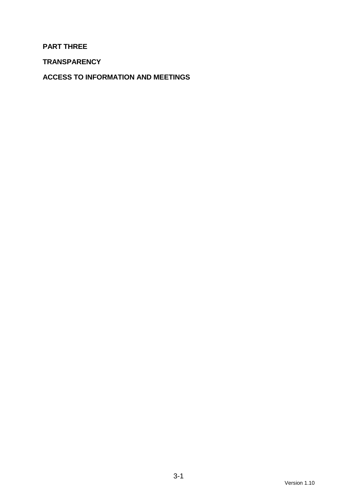#### **PART THREE**

**TRANSPARENCY** 

**ACCESS TO INFORMATION AND MEETINGS**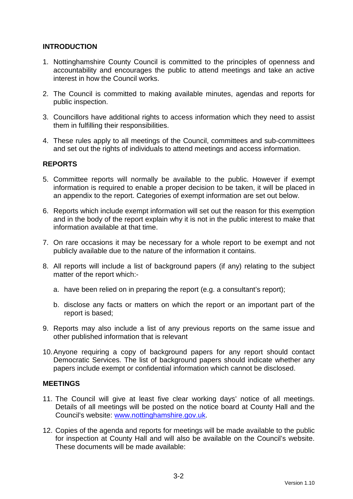#### **INTRODUCTION**

- 1. Nottinghamshire County Council is committed to the principles of openness and accountability and encourages the public to attend meetings and take an active interest in how the Council works.
- 2. The Council is committed to making available minutes, agendas and reports for public inspection.
- 3. Councillors have additional rights to access information which they need to assist them in fulfilling their responsibilities.
- 4. These rules apply to all meetings of the Council, committees and sub-committees and set out the rights of individuals to attend meetings and access information.

#### **REPORTS**

- 5. Committee reports will normally be available to the public. However if exempt information is required to enable a proper decision to be taken, it will be placed in an appendix to the report. Categories of exempt information are set out below.
- 6. Reports which include exempt information will set out the reason for this exemption and in the body of the report explain why it is not in the public interest to make that information available at that time.
- 7. On rare occasions it may be necessary for a whole report to be exempt and not publicly available due to the nature of the information it contains.
- 8. All reports will include a list of background papers (if any) relating to the subject matter of the report which:
	- a. have been relied on in preparing the report (e.g. a consultant's report);
	- b. disclose any facts or matters on which the report or an important part of the report is based;
- 9. Reports may also include a list of any previous reports on the same issue and other published information that is relevant
- 10. Anyone requiring a copy of background papers for any report should contact Democratic Services. The list of background papers should indicate whether any papers include exempt or confidential information which cannot be disclosed.

#### **MEETINGS**

- 11. The Council will give at least five clear working days' notice of all meetings. Details of all meetings will be posted on the notice board at County Hall and the Council's website: www.nottinghamshire.gov.uk.
- 12. Copies of the agenda and reports for meetings will be made available to the public for inspection at County Hall and will also be available on the Council's website. These documents will be made available: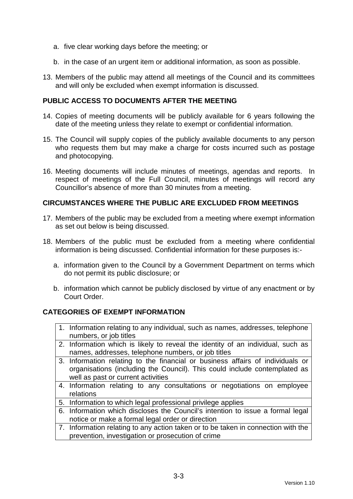- a. five clear working days before the meeting; or
- b. in the case of an urgent item or additional information, as soon as possible.
- 13. Members of the public may attend all meetings of the Council and its committees and will only be excluded when exempt information is discussed.

#### **PUBLIC ACCESS TO DOCUMENTS AFTER THE MEETING**

- 14. Copies of meeting documents will be publicly available for 6 years following the date of the meeting unless they relate to exempt or confidential information.
- 15. The Council will supply copies of the publicly available documents to any person who requests them but may make a charge for costs incurred such as postage and photocopying.
- 16. Meeting documents will include minutes of meetings, agendas and reports. In respect of meetings of the Full Council, minutes of meetings will record any Councillor's absence of more than 30 minutes from a meeting.

#### **CIRCUMSTANCES WHERE THE PUBLIC ARE EXCLUDED FROM MEETINGS**

- 17. Members of the public may be excluded from a meeting where exempt information as set out below is being discussed.
- 18. Members of the public must be excluded from a meeting where confidential information is being discussed. Confidential information for these purposes is:
	- a. information given to the Council by a Government Department on terms which do not permit its public disclosure; or
	- b. information which cannot be publicly disclosed by virtue of any enactment or by Court Order.

#### **CATEGORIES OF EXEMPT INFORMATION**

- 1. Information relating to any individual, such as names, addresses, telephone numbers, or job titles
- 2. Information which is likely to reveal the identity of an individual, such as names, addresses, telephone numbers, or job titles
- 3. Information relating to the financial or business affairs of individuals or organisations (including the Council). This could include contemplated as well as past or current activities
- 4. Information relating to any consultations or negotiations on employee relations
- 5. Information to which legal professional privilege applies
- 6. Information which discloses the Council's intention to issue a formal legal notice or make a formal legal order or direction
- 7. Information relating to any action taken or to be taken in connection with the prevention, investigation or prosecution of crime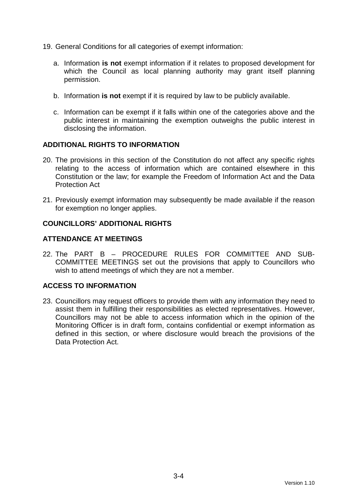- 19. General Conditions for all categories of exempt information:
	- a. Information **is not** exempt information if it relates to proposed development for which the Council as local planning authority may grant itself planning permission.
	- b. Information **is not** exempt if it is required by law to be publicly available.
	- c. Information can be exempt if it falls within one of the categories above and the public interest in maintaining the exemption outweighs the public interest in disclosing the information.

#### **ADDITIONAL RIGHTS TO INFORMATION**

- 20. The provisions in this section of the Constitution do not affect any specific rights relating to the access of information which are contained elsewhere in this Constitution or the law; for example the Freedom of Information Act and the Data Protection Act
- 21. Previously exempt information may subsequently be made available if the reason for exemption no longer applies.

#### **COUNCILLORS' ADDITIONAL RIGHTS**

#### **ATTENDANCE AT MEETINGS**

22. The PART B – PROCEDURE RULES FOR COMMITTEE AND SUB-COMMITTEE MEETINGS set out the provisions that apply to Councillors who wish to attend meetings of which they are not a member.

#### **ACCESS TO INFORMATION**

23. Councillors may request officers to provide them with any information they need to assist them in fulfilling their responsibilities as elected representatives. However, Councillors may not be able to access information which in the opinion of the Monitoring Officer is in draft form, contains confidential or exempt information as defined in this section, or where disclosure would breach the provisions of the Data Protection Act.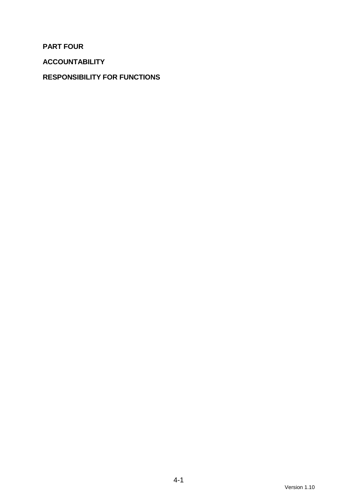**PART FOUR** 

**ACCOUNTABILITY** 

## **RESPONSIBILITY FOR FUNCTIONS**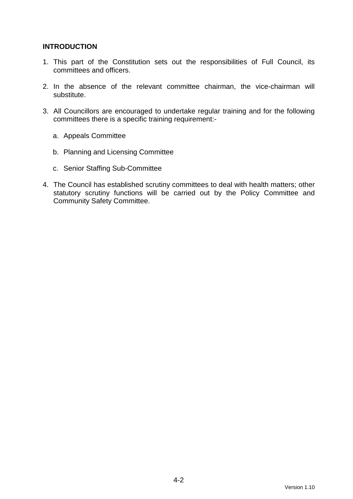#### **INTRODUCTION**

- 1. This part of the Constitution sets out the responsibilities of Full Council, its committees and officers.
- 2. In the absence of the relevant committee chairman, the vice-chairman will substitute.
- 3. All Councillors are encouraged to undertake regular training and for the following committees there is a specific training requirement:
	- a. Appeals Committee
	- b. Planning and Licensing Committee
	- c. Senior Staffing Sub-Committee
- 4. The Council has established scrutiny committees to deal with health matters; other statutory scrutiny functions will be carried out by the Policy Committee and Community Safety Committee.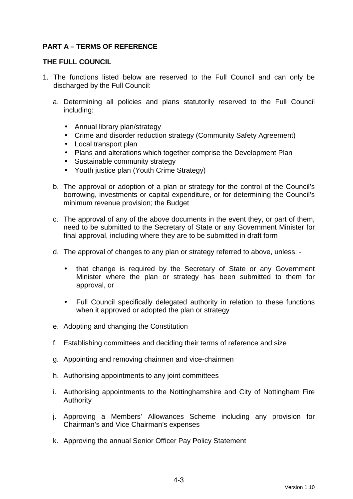### **PART A – TERMS OF REFERENCE**

#### **THE FULL COUNCIL**

- 1. The functions listed below are reserved to the Full Council and can only be discharged by the Full Council:
	- a. Determining all policies and plans statutorily reserved to the Full Council including:
		- Annual library plan/strategy
		- Crime and disorder reduction strategy (Community Safety Agreement)
		- Local transport plan
		- Plans and alterations which together comprise the Development Plan
		- Sustainable community strategy
		- Youth justice plan (Youth Crime Strategy)
	- b. The approval or adoption of a plan or strategy for the control of the Council's borrowing, investments or capital expenditure, or for determining the Council's minimum revenue provision; the Budget
	- c. The approval of any of the above documents in the event they, or part of them, need to be submitted to the Secretary of State or any Government Minister for final approval, including where they are to be submitted in draft form
	- d. The approval of changes to any plan or strategy referred to above, unless:
		- that change is required by the Secretary of State or any Government Minister where the plan or strategy has been submitted to them for approval, or
		- Full Council specifically delegated authority in relation to these functions when it approved or adopted the plan or strategy
	- e. Adopting and changing the Constitution
	- f. Establishing committees and deciding their terms of reference and size
	- g. Appointing and removing chairmen and vice-chairmen
	- h. Authorising appointments to any joint committees
	- i. Authorising appointments to the Nottinghamshire and City of Nottingham Fire Authority
	- j. Approving a Members' Allowances Scheme including any provision for Chairman's and Vice Chairman's expenses
	- k. Approving the annual Senior Officer Pay Policy Statement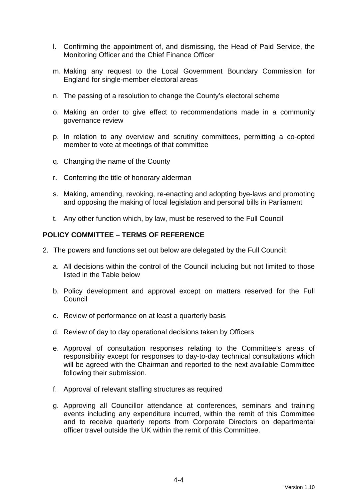- l. Confirming the appointment of, and dismissing, the Head of Paid Service, the Monitoring Officer and the Chief Finance Officer
- m. Making any request to the Local Government Boundary Commission for England for single-member electoral areas
- n. The passing of a resolution to change the County's electoral scheme
- o. Making an order to give effect to recommendations made in a community governance review
- p. In relation to any overview and scrutiny committees, permitting a co-opted member to vote at meetings of that committee
- q. Changing the name of the County
- r. Conferring the title of honorary alderman
- s. Making, amending, revoking, re-enacting and adopting bye-laws and promoting and opposing the making of local legislation and personal bills in Parliament
- t. Any other function which, by law, must be reserved to the Full Council

#### **POLICY COMMITTEE – TERMS OF REFERENCE**

- 2. The powers and functions set out below are delegated by the Full Council:
	- a. All decisions within the control of the Council including but not limited to those listed in the Table below
	- b. Policy development and approval except on matters reserved for the Full Council
	- c. Review of performance on at least a quarterly basis
	- d. Review of day to day operational decisions taken by Officers
	- e. Approval of consultation responses relating to the Committee's areas of responsibility except for responses to day-to-day technical consultations which will be agreed with the Chairman and reported to the next available Committee following their submission.
	- f. Approval of relevant staffing structures as required
	- g. Approving all Councillor attendance at conferences, seminars and training events including any expenditure incurred, within the remit of this Committee and to receive quarterly reports from Corporate Directors on departmental officer travel outside the UK within the remit of this Committee.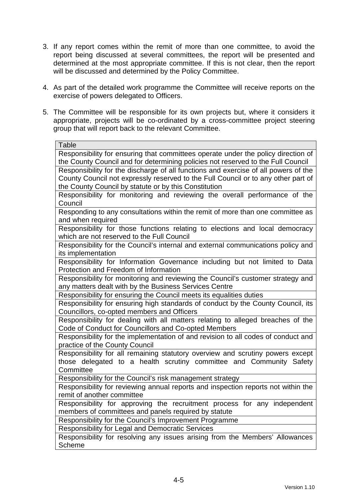- 3. If any report comes within the remit of more than one committee, to avoid the report being discussed at several committees, the report will be presented and determined at the most appropriate committee. If this is not clear, then the report will be discussed and determined by the Policy Committee.
- 4. As part of the detailed work programme the Committee will receive reports on the exercise of powers delegated to Officers.
- 5. The Committee will be responsible for its own projects but, where it considers it appropriate, projects will be co-ordinated by a cross-committee project steering group that will report back to the relevant Committee.

| Table                                                                                             |  |
|---------------------------------------------------------------------------------------------------|--|
| Responsibility for ensuring that committees operate under the policy direction of                 |  |
| the County Council and for determining policies not reserved to the Full Council                  |  |
| Responsibility for the discharge of all functions and exercise of all powers of the               |  |
| County Council not expressly reserved to the Full Council or to any other part of                 |  |
| the County Council by statute or by this Constitution                                             |  |
| Responsibility for monitoring and reviewing the overall performance of the                        |  |
| Council                                                                                           |  |
| Responding to any consultations within the remit of more than one committee as                    |  |
| and when required                                                                                 |  |
| Responsibility for those functions relating to elections and local democracy                      |  |
| which are not reserved to the Full Council                                                        |  |
| Responsibility for the Council's internal and external communications policy and                  |  |
| its implementation<br>Responsibility for Information Governance including but not limited to Data |  |
| Protection and Freedom of Information                                                             |  |
| Responsibility for monitoring and reviewing the Council's customer strategy and                   |  |
| any matters dealt with by the Business Services Centre                                            |  |
| Responsibility for ensuring the Council meets its equalities duties                               |  |
| Responsibility for ensuring high standards of conduct by the County Council, its                  |  |
| Councillors, co-opted members and Officers                                                        |  |
| Responsibility for dealing with all matters relating to alleged breaches of the                   |  |
| Code of Conduct for Councillors and Co-opted Members                                              |  |
| Responsibility for the implementation of and revision to all codes of conduct and                 |  |
| practice of the County Council                                                                    |  |
| Responsibility for all remaining statutory overview and scrutiny powers except                    |  |
| those delegated to a health scrutiny committee and Community Safety                               |  |
| Committee                                                                                         |  |
| Responsibility for the Council's risk management strategy                                         |  |
| Responsibility for reviewing annual reports and inspection reports not within the                 |  |
| remit of another committee                                                                        |  |
| Responsibility for approving the recruitment process for any independent                          |  |
| members of committees and panels required by statute                                              |  |
| Responsibility for the Council's Improvement Programme                                            |  |
| Responsibility for Legal and Democratic Services                                                  |  |
| Responsibility for resolving any issues arising from the Members' Allowances                      |  |
| <b>Scheme</b>                                                                                     |  |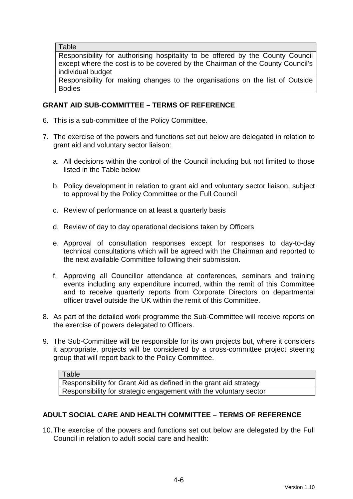**Table** 

Responsibility for authorising hospitality to be offered by the County Council except where the cost is to be covered by the Chairman of the County Council's individual budget

Responsibility for making changes to the organisations on the list of Outside Bodies

#### **GRANT AID SUB-COMMITTEE – TERMS OF REFERENCE**

- 6. This is a sub-committee of the Policy Committee.
- 7. The exercise of the powers and functions set out below are delegated in relation to grant aid and voluntary sector liaison:
	- a. All decisions within the control of the Council including but not limited to those listed in the Table below
	- b. Policy development in relation to grant aid and voluntary sector liaison, subject to approval by the Policy Committee or the Full Council
	- c. Review of performance on at least a quarterly basis
	- d. Review of day to day operational decisions taken by Officers
	- e. Approval of consultation responses except for responses to day-to-day technical consultations which will be agreed with the Chairman and reported to the next available Committee following their submission.
	- f. Approving all Councillor attendance at conferences, seminars and training events including any expenditure incurred, within the remit of this Committee and to receive quarterly reports from Corporate Directors on departmental officer travel outside the UK within the remit of this Committee.
- 8. As part of the detailed work programme the Sub-Committee will receive reports on the exercise of powers delegated to Officers.
- 9. The Sub-Committee will be responsible for its own projects but, where it considers it appropriate, projects will be considered by a cross-committee project steering group that will report back to the Policy Committee.

Table Responsibility for Grant Aid as defined in the grant aid strategy Responsibility for strategic engagement with the voluntary sector

#### **ADULT SOCIAL CARE AND HEALTH COMMITTEE – TERMS OF REFERENCE**

10. The exercise of the powers and functions set out below are delegated by the Full Council in relation to adult social care and health: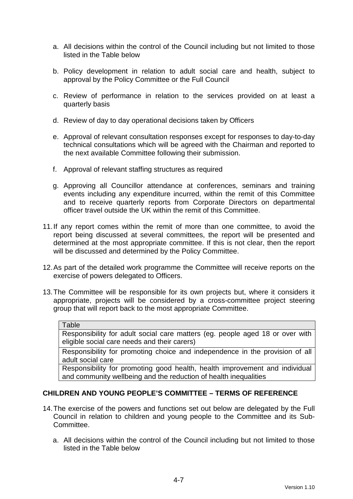- a. All decisions within the control of the Council including but not limited to those listed in the Table below
- b. Policy development in relation to adult social care and health, subject to approval by the Policy Committee or the Full Council
- c. Review of performance in relation to the services provided on at least a quarterly basis
- d. Review of day to day operational decisions taken by Officers
- e. Approval of relevant consultation responses except for responses to day-to-day technical consultations which will be agreed with the Chairman and reported to the next available Committee following their submission.
- f. Approval of relevant staffing structures as required
- g. Approving all Councillor attendance at conferences, seminars and training events including any expenditure incurred, within the remit of this Committee and to receive quarterly reports from Corporate Directors on departmental officer travel outside the UK within the remit of this Committee.
- 11. If any report comes within the remit of more than one committee, to avoid the report being discussed at several committees, the report will be presented and determined at the most appropriate committee. If this is not clear, then the report will be discussed and determined by the Policy Committee.
- 12. As part of the detailed work programme the Committee will receive reports on the exercise of powers delegated to Officers.
- 13. The Committee will be responsible for its own projects but, where it considers it appropriate, projects will be considered by a cross-committee project steering group that will report back to the most appropriate Committee.

#### **Table**

Responsibility for adult social care matters (eg. people aged 18 or over with eligible social care needs and their carers)

Responsibility for promoting choice and independence in the provision of all adult social care

Responsibility for promoting good health, health improvement and individual and community wellbeing and the reduction of health inequalities

#### **CHILDREN AND YOUNG PEOPLE'S COMMITTEE – TERMS OF REFERENCE**

- 14. The exercise of the powers and functions set out below are delegated by the Full Council in relation to children and young people to the Committee and its Sub-Committee.
	- a. All decisions within the control of the Council including but not limited to those listed in the Table below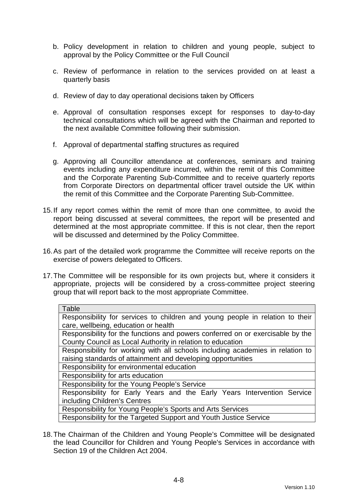- b. Policy development in relation to children and young people, subject to approval by the Policy Committee or the Full Council
- c. Review of performance in relation to the services provided on at least a quarterly basis
- d. Review of day to day operational decisions taken by Officers
- e. Approval of consultation responses except for responses to day-to-day technical consultations which will be agreed with the Chairman and reported to the next available Committee following their submission.
- f. Approval of departmental staffing structures as required
- g. Approving all Councillor attendance at conferences, seminars and training events including any expenditure incurred, within the remit of this Committee and the Corporate Parenting Sub-Committee and to receive quarterly reports from Corporate Directors on departmental officer travel outside the UK within the remit of this Committee and the Corporate Parenting Sub-Committee.
- 15. If any report comes within the remit of more than one committee, to avoid the report being discussed at several committees, the report will be presented and determined at the most appropriate committee. If this is not clear, then the report will be discussed and determined by the Policy Committee.
- 16. As part of the detailed work programme the Committee will receive reports on the exercise of powers delegated to Officers.
- 17. The Committee will be responsible for its own projects but, where it considers it appropriate, projects will be considered by a cross-committee project steering group that will report back to the most appropriate Committee.

| Table                                                                          |
|--------------------------------------------------------------------------------|
| Responsibility for services to children and young people in relation to their  |
| care, wellbeing, education or health                                           |
| Responsibility for the functions and powers conferred on or exercisable by the |
| County Council as Local Authority in relation to education                     |
| Responsibility for working with all schools including academies in relation to |
| raising standards of attainment and developing opportunities                   |
| Responsibility for environmental education                                     |
| Responsibility for arts education                                              |
| Responsibility for the Young People's Service                                  |
| Responsibility for Early Years and the Early Years Intervention Service        |
| including Children's Centres                                                   |
| Responsibility for Young People's Sports and Arts Services                     |
| Responsibility for the Targeted Support and Youth Justice Service              |

18. The Chairman of the Children and Young People's Committee will be designated the lead Councillor for Children and Young People's Services in accordance with Section 19 of the Children Act 2004.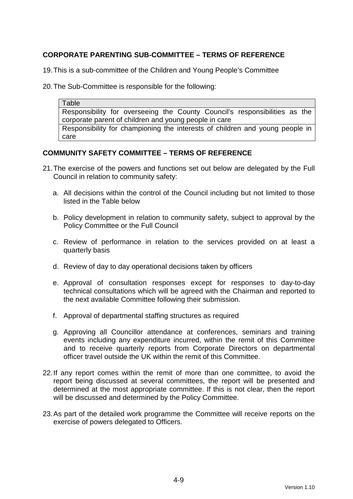### **CORPORATE PARENTING SUB-COMMITTEE – TERMS OF REFERENCE**

19. This is a sub-committee of the Children and Young People's Committee

20. The Sub-Committee is responsible for the following:

Table Responsibility for overseeing the County Council's responsibilities as the corporate parent of children and young people in care Responsibility for championing the interests of children and young people in care

#### **COMMUNITY SAFETY COMMITTEE – TERMS OF REFERENCE**

- 21. The exercise of the powers and functions set out below are delegated by the Full Council in relation to community safety:
	- a. All decisions within the control of the Council including but not limited to those listed in the Table below
	- b. Policy development in relation to community safety, subject to approval by the Policy Committee or the Full Council
	- c. Review of performance in relation to the services provided on at least a quarterly basis
	- d. Review of day to day operational decisions taken by officers
	- e. Approval of consultation responses except for responses to day-to-day technical consultations which will be agreed with the Chairman and reported to the next available Committee following their submission.
	- f. Approval of departmental staffing structures as required
	- g. Approving all Councillor attendance at conferences, seminars and training events including any expenditure incurred, within the remit of this Committee and to receive quarterly reports from Corporate Directors on departmental officer travel outside the UK within the remit of this Committee.
- 22. If any report comes within the remit of more than one committee, to avoid the report being discussed at several committees, the report will be presented and determined at the most appropriate committee. If this is not clear, then the report will be discussed and determined by the Policy Committee.
- 23. As part of the detailed work programme the Committee will receive reports on the exercise of powers delegated to Officers.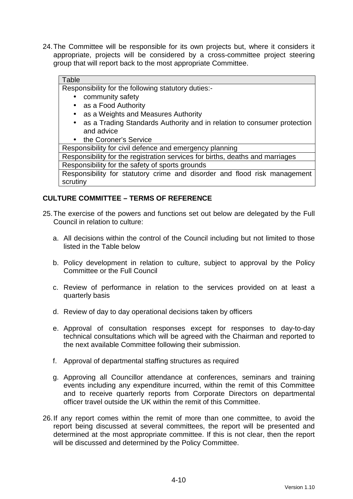24. The Committee will be responsible for its own projects but, where it considers it appropriate, projects will be considered by a cross-committee project steering group that will report back to the most appropriate Committee.

#### Table

Responsibility for the following statutory duties:-

- community safety
- as a Food Authority
- as a Weights and Measures Authority
- as a Trading Standards Authority and in relation to consumer protection and advice
- the Coroner's Service

Responsibility for civil defence and emergency planning

Responsibility for the registration services for births, deaths and marriages

Responsibility for the safety of sports grounds

Responsibility for statutory crime and disorder and flood risk management scrutiny

#### **CULTURE COMMITTEE – TERMS OF REFERENCE**

- 25. The exercise of the powers and functions set out below are delegated by the Full Council in relation to culture:
	- a. All decisions within the control of the Council including but not limited to those listed in the Table below
	- b. Policy development in relation to culture, subject to approval by the Policy Committee or the Full Council
	- c. Review of performance in relation to the services provided on at least a quarterly basis
	- d. Review of day to day operational decisions taken by officers
	- e. Approval of consultation responses except for responses to day-to-day technical consultations which will be agreed with the Chairman and reported to the next available Committee following their submission.
	- f. Approval of departmental staffing structures as required
	- g. Approving all Councillor attendance at conferences, seminars and training events including any expenditure incurred, within the remit of this Committee and to receive quarterly reports from Corporate Directors on departmental officer travel outside the UK within the remit of this Committee.
- 26. If any report comes within the remit of more than one committee, to avoid the report being discussed at several committees, the report will be presented and determined at the most appropriate committee. If this is not clear, then the report will be discussed and determined by the Policy Committee.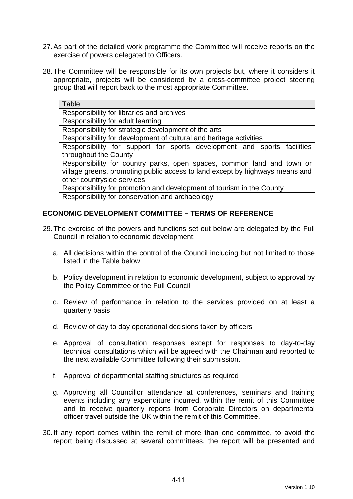- 27. As part of the detailed work programme the Committee will receive reports on the exercise of powers delegated to Officers.
- 28. The Committee will be responsible for its own projects but, where it considers it appropriate, projects will be considered by a cross-committee project steering group that will report back to the most appropriate Committee.

| Table                                                                        |
|------------------------------------------------------------------------------|
| Responsibility for libraries and archives                                    |
| Responsibility for adult learning                                            |
| Responsibility for strategic development of the arts                         |
| Responsibility for development of cultural and heritage activities           |
| Responsibility for support for sports development and sports facilities      |
| throughout the County                                                        |
| Responsibility for country parks, open spaces, common land and town or       |
| village greens, promoting public access to land except by highways means and |
| other countryside services                                                   |
| Responsibility for promotion and development of tourism in the County        |
| Responsibility for conservation and archaeology                              |

#### **ECONOMIC DEVELOPMENT COMMITTEE – TERMS OF REFERENCE**

- 29. The exercise of the powers and functions set out below are delegated by the Full Council in relation to economic development:
	- a. All decisions within the control of the Council including but not limited to those listed in the Table below
	- b. Policy development in relation to economic development, subject to approval by the Policy Committee or the Full Council
	- c. Review of performance in relation to the services provided on at least a quarterly basis
	- d. Review of day to day operational decisions taken by officers
	- e. Approval of consultation responses except for responses to day-to-day technical consultations which will be agreed with the Chairman and reported to the next available Committee following their submission.
	- f. Approval of departmental staffing structures as required
	- g. Approving all Councillor attendance at conferences, seminars and training events including any expenditure incurred, within the remit of this Committee and to receive quarterly reports from Corporate Directors on departmental officer travel outside the UK within the remit of this Committee.
- 30. If any report comes within the remit of more than one committee, to avoid the report being discussed at several committees, the report will be presented and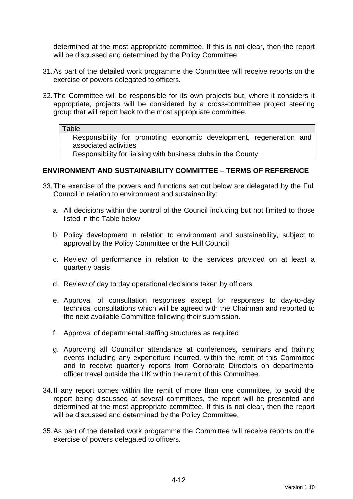determined at the most appropriate committee. If this is not clear, then the report will be discussed and determined by the Policy Committee.

- 31. As part of the detailed work programme the Committee will receive reports on the exercise of powers delegated to officers.
- 32. The Committee will be responsible for its own projects but, where it considers it appropriate, projects will be considered by a cross-committee project steering group that will report back to the most appropriate committee.

#### **Table**

Responsibility for promoting economic development, regeneration and associated activities

Responsibility for liaising with business clubs in the County

#### **ENVIRONMENT AND SUSTAINABILITY COMMITTEE – TERMS OF REFERENCE**

- 33. The exercise of the powers and functions set out below are delegated by the Full Council in relation to environment and sustainability:
	- a. All decisions within the control of the Council including but not limited to those listed in the Table below
	- b. Policy development in relation to environment and sustainability, subject to approval by the Policy Committee or the Full Council
	- c. Review of performance in relation to the services provided on at least a quarterly basis
	- d. Review of day to day operational decisions taken by officers
	- e. Approval of consultation responses except for responses to day-to-day technical consultations which will be agreed with the Chairman and reported to the next available Committee following their submission.
	- f. Approval of departmental staffing structures as required
	- g. Approving all Councillor attendance at conferences, seminars and training events including any expenditure incurred, within the remit of this Committee and to receive quarterly reports from Corporate Directors on departmental officer travel outside the UK within the remit of this Committee.
- 34. If any report comes within the remit of more than one committee, to avoid the report being discussed at several committees, the report will be presented and determined at the most appropriate committee. If this is not clear, then the report will be discussed and determined by the Policy Committee.
- 35. As part of the detailed work programme the Committee will receive reports on the exercise of powers delegated to officers.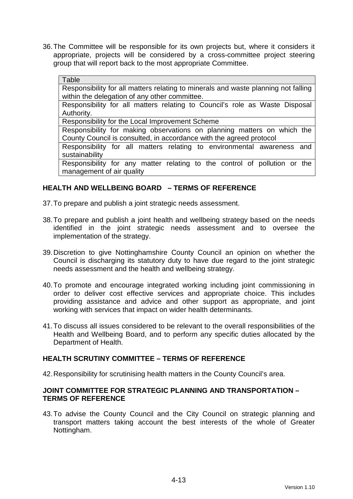36. The Committee will be responsible for its own projects but, where it considers it appropriate, projects will be considered by a cross-committee project steering group that will report back to the most appropriate Committee.

#### Table

Responsibility for all matters relating to minerals and waste planning not falling within the delegation of any other committee.

Responsibility for all matters relating to Council's role as Waste Disposal Authority.

Responsibility for the Local Improvement Scheme

Responsibility for making observations on planning matters on which the County Council is consulted, in accordance with the agreed protocol

Responsibility for all matters relating to environmental awareness and sustainability

Responsibility for any matter relating to the control of pollution or the management of air quality

#### **HEALTH AND WELLBEING BOARD – TERMS OF REFERENCE**

37. To prepare and publish a joint strategic needs assessment.

- 38. To prepare and publish a joint health and wellbeing strategy based on the needs identified in the joint strategic needs assessment and to oversee the implementation of the strategy.
- 39. Discretion to give Nottinghamshire County Council an opinion on whether the Council is discharging its statutory duty to have due regard to the joint strategic needs assessment and the health and wellbeing strategy.
- 40. To promote and encourage integrated working including joint commissioning in order to deliver cost effective services and appropriate choice. This includes providing assistance and advice and other support as appropriate, and joint working with services that impact on wider health determinants.
- 41. To discuss all issues considered to be relevant to the overall responsibilities of the Health and Wellbeing Board, and to perform any specific duties allocated by the Department of Health.

#### **HEALTH SCRUTINY COMMITTEE – TERMS OF REFERENCE**

42. Responsibility for scrutinising health matters in the County Council's area.

#### **JOINT COMMITTEE FOR STRATEGIC PLANNING AND TRANSPORTATION – TERMS OF REFERENCE**

43. To advise the County Council and the City Council on strategic planning and transport matters taking account the best interests of the whole of Greater Nottingham.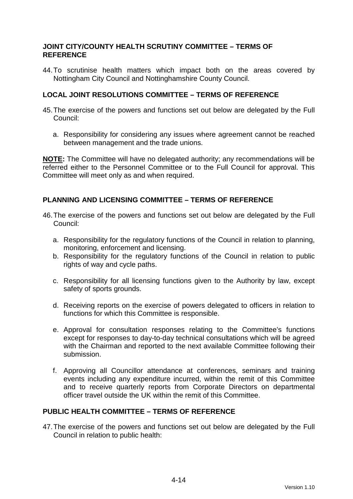#### **JOINT CITY/COUNTY HEALTH SCRUTINY COMMITTEE – TERMS OF REFERENCE**

44. To scrutinise health matters which impact both on the areas covered by Nottingham City Council and Nottinghamshire County Council.

#### **LOCAL JOINT RESOLUTIONS COMMITTEE – TERMS OF REFERENCE**

- 45. The exercise of the powers and functions set out below are delegated by the Full Council:
	- a. Responsibility for considering any issues where agreement cannot be reached between management and the trade unions.

**NOTE:** The Committee will have no delegated authority; any recommendations will be referred either to the Personnel Committee or to the Full Council for approval. This Committee will meet only as and when required.

#### **PLANNING AND LICENSING COMMITTEE – TERMS OF REFERENCE**

- 46. The exercise of the powers and functions set out below are delegated by the Full Council:
	- a. Responsibility for the regulatory functions of the Council in relation to planning, monitoring, enforcement and licensing.
	- b. Responsibility for the regulatory functions of the Council in relation to public rights of way and cycle paths.
	- c. Responsibility for all licensing functions given to the Authority by law, except safety of sports grounds.
	- d. Receiving reports on the exercise of powers delegated to officers in relation to functions for which this Committee is responsible.
	- e. Approval for consultation responses relating to the Committee's functions except for responses to day-to-day technical consultations which will be agreed with the Chairman and reported to the next available Committee following their submission.
	- f. Approving all Councillor attendance at conferences, seminars and training events including any expenditure incurred, within the remit of this Committee and to receive quarterly reports from Corporate Directors on departmental officer travel outside the UK within the remit of this Committee.

#### **PUBLIC HEALTH COMMITTEE – TERMS OF REFERENCE**

47. The exercise of the powers and functions set out below are delegated by the Full Council in relation to public health: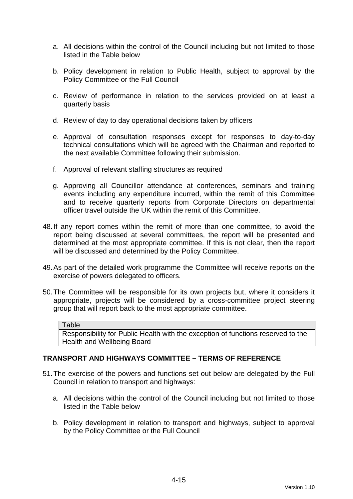- a. All decisions within the control of the Council including but not limited to those listed in the Table below
- b. Policy development in relation to Public Health, subject to approval by the Policy Committee or the Full Council
- c. Review of performance in relation to the services provided on at least a quarterly basis
- d. Review of day to day operational decisions taken by officers
- e. Approval of consultation responses except for responses to day-to-day technical consultations which will be agreed with the Chairman and reported to the next available Committee following their submission.
- f. Approval of relevant staffing structures as required
- g. Approving all Councillor attendance at conferences, seminars and training events including any expenditure incurred, within the remit of this Committee and to receive quarterly reports from Corporate Directors on departmental officer travel outside the UK within the remit of this Committee.
- 48. If any report comes within the remit of more than one committee, to avoid the report being discussed at several committees, the report will be presented and determined at the most appropriate committee. If this is not clear, then the report will be discussed and determined by the Policy Committee.
- 49. As part of the detailed work programme the Committee will receive reports on the exercise of powers delegated to officers.
- 50. The Committee will be responsible for its own projects but, where it considers it appropriate, projects will be considered by a cross-committee project steering group that will report back to the most appropriate committee.

#### **Table**

Responsibility for Public Health with the exception of functions reserved to the Health and Wellbeing Board

#### **TRANSPORT AND HIGHWAYS COMMITTEE – TERMS OF REFERENCE**

- 51. The exercise of the powers and functions set out below are delegated by the Full Council in relation to transport and highways:
	- a. All decisions within the control of the Council including but not limited to those listed in the Table below
	- b. Policy development in relation to transport and highways, subject to approval by the Policy Committee or the Full Council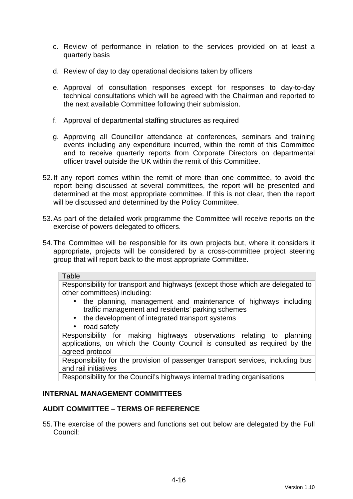- c. Review of performance in relation to the services provided on at least a quarterly basis
- d. Review of day to day operational decisions taken by officers
- e. Approval of consultation responses except for responses to day-to-day technical consultations which will be agreed with the Chairman and reported to the next available Committee following their submission.
- f. Approval of departmental staffing structures as required
- g. Approving all Councillor attendance at conferences, seminars and training events including any expenditure incurred, within the remit of this Committee and to receive quarterly reports from Corporate Directors on departmental officer travel outside the UK within the remit of this Committee.
- 52. If any report comes within the remit of more than one committee, to avoid the report being discussed at several committees, the report will be presented and determined at the most appropriate committee. If this is not clear, then the report will be discussed and determined by the Policy Committee.
- 53. As part of the detailed work programme the Committee will receive reports on the exercise of powers delegated to officers.
- 54. The Committee will be responsible for its own projects but, where it considers it appropriate, projects will be considered by a cross-committee project steering group that will report back to the most appropriate Committee.

#### **Table**

Responsibility for transport and highways (except those which are delegated to other committees) including:

- the planning, management and maintenance of highways including traffic management and residents' parking schemes
- the development of integrated transport systems
- road safety

Responsibility for making highways observations relating to planning applications, on which the County Council is consulted as required by the agreed protocol

Responsibility for the provision of passenger transport services, including bus and rail initiatives

Responsibility for the Council's highways internal trading organisations

#### **INTERNAL MANAGEMENT COMMITTEES**

#### **AUDIT COMMITTEE – TERMS OF REFERENCE**

55. The exercise of the powers and functions set out below are delegated by the Full Council: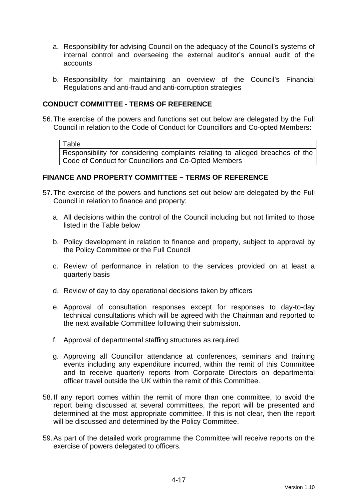- a. Responsibility for advising Council on the adequacy of the Council's systems of internal control and overseeing the external auditor's annual audit of the accounts
- b. Responsibility for maintaining an overview of the Council's Financial Regulations and anti-fraud and anti-corruption strategies

### **CONDUCT COMMITTEE - TERMS OF REFERENCE**

56. The exercise of the powers and functions set out below are delegated by the Full Council in relation to the Code of Conduct for Councillors and Co-opted Members:

Table

Responsibility for considering complaints relating to alleged breaches of the Code of Conduct for Councillors and Co-Opted Members

## **FINANCE AND PROPERTY COMMITTEE – TERMS OF REFERENCE**

- 57. The exercise of the powers and functions set out below are delegated by the Full Council in relation to finance and property:
	- a. All decisions within the control of the Council including but not limited to those listed in the Table below
	- b. Policy development in relation to finance and property, subject to approval by the Policy Committee or the Full Council
	- c. Review of performance in relation to the services provided on at least a quarterly basis
	- d. Review of day to day operational decisions taken by officers
	- e. Approval of consultation responses except for responses to day-to-day technical consultations which will be agreed with the Chairman and reported to the next available Committee following their submission.
	- f. Approval of departmental staffing structures as required
	- g. Approving all Councillor attendance at conferences, seminars and training events including any expenditure incurred, within the remit of this Committee and to receive quarterly reports from Corporate Directors on departmental officer travel outside the UK within the remit of this Committee.
- 58. If any report comes within the remit of more than one committee, to avoid the report being discussed at several committees, the report will be presented and determined at the most appropriate committee. If this is not clear, then the report will be discussed and determined by the Policy Committee.
- 59. As part of the detailed work programme the Committee will receive reports on the exercise of powers delegated to officers.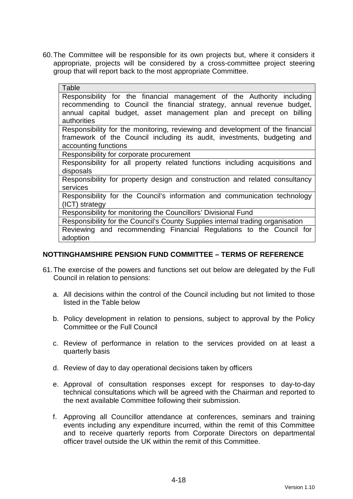60. The Committee will be responsible for its own projects but, where it considers it appropriate, projects will be considered by a cross-committee project steering group that will report back to the most appropriate Committee.

| Table                                                                                                                                                                                                                                  |
|----------------------------------------------------------------------------------------------------------------------------------------------------------------------------------------------------------------------------------------|
| Responsibility for the financial management of the Authority including<br>recommending to Council the financial strategy, annual revenue budget,<br>annual capital budget, asset management plan and precept on billing<br>authorities |
| Responsibility for the monitoring, reviewing and development of the financial<br>framework of the Council including its audit, investments, budgeting and<br>accounting functions                                                      |
| Responsibility for corporate procurement                                                                                                                                                                                               |
| Responsibility for all property related functions including acquisitions and<br>disposals                                                                                                                                              |
| Responsibility for property design and construction and related consultancy<br>services                                                                                                                                                |
| Responsibility for the Council's information and communication technology<br>(ICT) strategy                                                                                                                                            |
| Responsibility for monitoring the Councillors' Divisional Fund                                                                                                                                                                         |
| Responsibility for the Council's County Supplies internal trading organisation                                                                                                                                                         |
| Reviewing and recommending Financial Regulations to the Council for<br>adoption                                                                                                                                                        |

## **NOTTINGHAMSHIRE PENSION FUND COMMITTEE – TERMS OF REFERENCE**

- 61. The exercise of the powers and functions set out below are delegated by the Full Council in relation to pensions:
	- a. All decisions within the control of the Council including but not limited to those listed in the Table below
	- b. Policy development in relation to pensions, subject to approval by the Policy Committee or the Full Council
	- c. Review of performance in relation to the services provided on at least a quarterly basis
	- d. Review of day to day operational decisions taken by officers
	- e. Approval of consultation responses except for responses to day-to-day technical consultations which will be agreed with the Chairman and reported to the next available Committee following their submission.
	- f. Approving all Councillor attendance at conferences, seminars and training events including any expenditure incurred, within the remit of this Committee and to receive quarterly reports from Corporate Directors on departmental officer travel outside the UK within the remit of this Committee.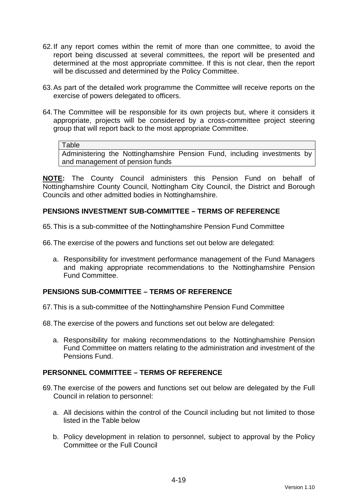- 62. If any report comes within the remit of more than one committee, to avoid the report being discussed at several committees, the report will be presented and determined at the most appropriate committee. If this is not clear, then the report will be discussed and determined by the Policy Committee.
- 63. As part of the detailed work programme the Committee will receive reports on the exercise of powers delegated to officers.
- 64. The Committee will be responsible for its own projects but, where it considers it appropriate, projects will be considered by a cross-committee project steering group that will report back to the most appropriate Committee.

#### Table

Administering the Nottinghamshire Pension Fund, including investments by and management of pension funds

**NOTE:** The County Council administers this Pension Fund on behalf of Nottinghamshire County Council, Nottingham City Council, the District and Borough Councils and other admitted bodies in Nottinghamshire.

## **PENSIONS INVESTMENT SUB-COMMITTEE – TERMS OF REFERENCE**

65. This is a sub-committee of the Nottinghamshire Pension Fund Committee

66. The exercise of the powers and functions set out below are delegated:

a. Responsibility for investment performance management of the Fund Managers and making appropriate recommendations to the Nottinghamshire Pension Fund Committee.

## **PENSIONS SUB-COMMITTEE – TERMS OF REFERENCE**

67. This is a sub-committee of the Nottinghamshire Pension Fund Committee

68. The exercise of the powers and functions set out below are delegated:

a. Responsibility for making recommendations to the Nottinghamshire Pension Fund Committee on matters relating to the administration and investment of the Pensions Fund.

#### **PERSONNEL COMMITTEE – TERMS OF REFERENCE**

- 69. The exercise of the powers and functions set out below are delegated by the Full Council in relation to personnel:
	- a. All decisions within the control of the Council including but not limited to those listed in the Table below
	- b. Policy development in relation to personnel, subject to approval by the Policy Committee or the Full Council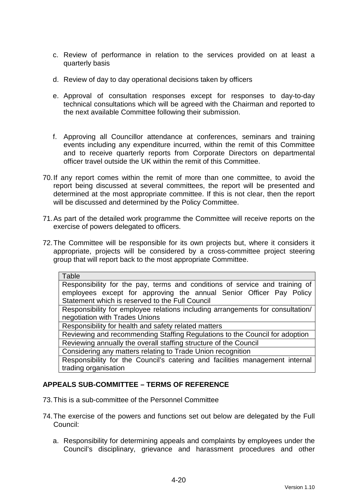- c. Review of performance in relation to the services provided on at least a quarterly basis
- d. Review of day to day operational decisions taken by officers
- e. Approval of consultation responses except for responses to day-to-day technical consultations which will be agreed with the Chairman and reported to the next available Committee following their submission.
- f. Approving all Councillor attendance at conferences, seminars and training events including any expenditure incurred, within the remit of this Committee and to receive quarterly reports from Corporate Directors on departmental officer travel outside the UK within the remit of this Committee.
- 70. If any report comes within the remit of more than one committee, to avoid the report being discussed at several committees, the report will be presented and determined at the most appropriate committee. If this is not clear, then the report will be discussed and determined by the Policy Committee.
- 71. As part of the detailed work programme the Committee will receive reports on the exercise of powers delegated to officers.
- 72. The Committee will be responsible for its own projects but, where it considers it appropriate, projects will be considered by a cross-committee project steering group that will report back to the most appropriate Committee.

| Table                                                                          |
|--------------------------------------------------------------------------------|
| Responsibility for the pay, terms and conditions of service and training of    |
| employees except for approving the annual Senior Officer Pay Policy            |
| Statement which is reserved to the Full Council                                |
| Responsibility for employee relations including arrangements for consultation/ |
| negotiation with Trades Unions                                                 |
| Responsibility for health and safety related matters                           |
| Reviewing and recommending Staffing Regulations to the Council for adoption    |
| Reviewing annually the overall staffing structure of the Council               |
| Considering any matters relating to Trade Union recognition                    |
| Responsibility for the Council's catering and facilities management internal   |
| trading organisation                                                           |

## **APPEALS SUB-COMMITTEE – TERMS OF REFERENCE**

- 73. This is a sub-committee of the Personnel Committee
- 74. The exercise of the powers and functions set out below are delegated by the Full Council:
	- a. Responsibility for determining appeals and complaints by employees under the Council's disciplinary, grievance and harassment procedures and other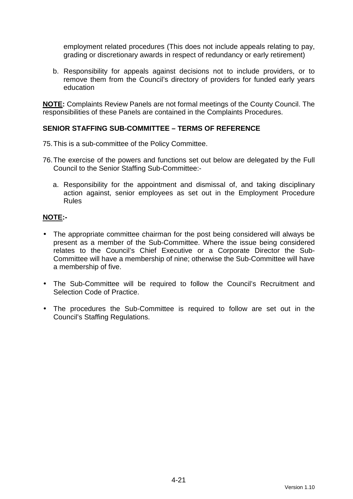employment related procedures (This does not include appeals relating to pay, grading or discretionary awards in respect of redundancy or early retirement)

b. Responsibility for appeals against decisions not to include providers, or to remove them from the Council's directory of providers for funded early years education

**NOTE:** Complaints Review Panels are not formal meetings of the County Council. The responsibilities of these Panels are contained in the Complaints Procedures.

# **SENIOR STAFFING SUB-COMMITTEE – TERMS OF REFERENCE**

- 75. This is a sub-committee of the Policy Committee.
- 76. The exercise of the powers and functions set out below are delegated by the Full Council to the Senior Staffing Sub-Committee:
	- a. Responsibility for the appointment and dismissal of, and taking disciplinary action against, senior employees as set out in the Employment Procedure Rules

# **NOTE:-**

- The appropriate committee chairman for the post being considered will always be present as a member of the Sub-Committee. Where the issue being considered relates to the Council's Chief Executive or a Corporate Director the Sub-Committee will have a membership of nine; otherwise the Sub-Committee will have a membership of five.
- The Sub-Committee will be required to follow the Council's Recruitment and Selection Code of Practice.
- The procedures the Sub-Committee is required to follow are set out in the Council's Staffing Regulations.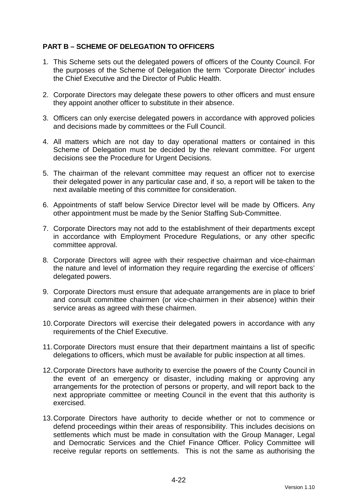# **PART B – SCHEME OF DELEGATION TO OFFICERS**

- 1. This Scheme sets out the delegated powers of officers of the County Council. For the purposes of the Scheme of Delegation the term 'Corporate Director' includes the Chief Executive and the Director of Public Health.
- 2. Corporate Directors may delegate these powers to other officers and must ensure they appoint another officer to substitute in their absence.
- 3. Officers can only exercise delegated powers in accordance with approved policies and decisions made by committees or the Full Council.
- 4. All matters which are not day to day operational matters or contained in this Scheme of Delegation must be decided by the relevant committee. For urgent decisions see the Procedure for Urgent Decisions.
- 5. The chairman of the relevant committee may request an officer not to exercise their delegated power in any particular case and, if so, a report will be taken to the next available meeting of this committee for consideration.
- 6. Appointments of staff below Service Director level will be made by Officers. Any other appointment must be made by the Senior Staffing Sub-Committee.
- 7. Corporate Directors may not add to the establishment of their departments except in accordance with Employment Procedure Regulations, or any other specific committee approval.
- 8. Corporate Directors will agree with their respective chairman and vice-chairman the nature and level of information they require regarding the exercise of officers' delegated powers.
- 9. Corporate Directors must ensure that adequate arrangements are in place to brief and consult committee chairmen (or vice-chairmen in their absence) within their service areas as agreed with these chairmen.
- 10. Corporate Directors will exercise their delegated powers in accordance with any requirements of the Chief Executive.
- 11. Corporate Directors must ensure that their department maintains a list of specific delegations to officers, which must be available for public inspection at all times.
- 12. Corporate Directors have authority to exercise the powers of the County Council in the event of an emergency or disaster, including making or approving any arrangements for the protection of persons or property, and will report back to the next appropriate committee or meeting Council in the event that this authority is exercised.
- 13. Corporate Directors have authority to decide whether or not to commence or defend proceedings within their areas of responsibility. This includes decisions on settlements which must be made in consultation with the Group Manager, Legal and Democratic Services and the Chief Finance Officer. Policy Committee will receive regular reports on settlements. This is not the same as authorising the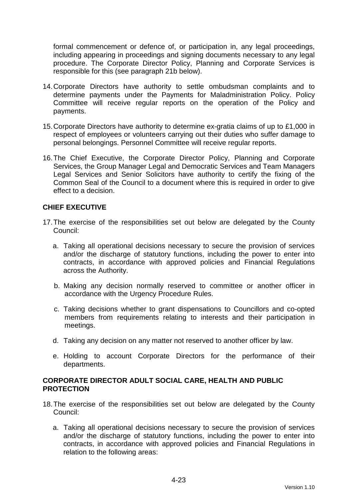formal commencement or defence of, or participation in, any legal proceedings, including appearing in proceedings and signing documents necessary to any legal procedure. The Corporate Director Policy, Planning and Corporate Services is responsible for this (see paragraph 21b below).

- 14. Corporate Directors have authority to settle ombudsman complaints and to determine payments under the Payments for Maladministration Policy. Policy Committee will receive regular reports on the operation of the Policy and payments.
- 15. Corporate Directors have authority to determine ex-gratia claims of up to £1,000 in respect of employees or volunteers carrying out their duties who suffer damage to personal belongings. Personnel Committee will receive regular reports.
- 16. The Chief Executive, the Corporate Director Policy, Planning and Corporate Services, the Group Manager Legal and Democratic Services and Team Managers Legal Services and Senior Solicitors have authority to certify the fixing of the Common Seal of the Council to a document where this is required in order to give effect to a decision.

# **CHIEF EXECUTIVE**

- 17. The exercise of the responsibilities set out below are delegated by the County Council:
	- a. Taking all operational decisions necessary to secure the provision of services and/or the discharge of statutory functions, including the power to enter into contracts, in accordance with approved policies and Financial Regulations across the Authority.
	- b. Making any decision normally reserved to committee or another officer in accordance with the Urgency Procedure Rules.
	- c. Taking decisions whether to grant dispensations to Councillors and co-opted members from requirements relating to interests and their participation in meetings.
	- d. Taking any decision on any matter not reserved to another officer by law.
	- e. Holding to account Corporate Directors for the performance of their departments.

# **CORPORATE DIRECTOR ADULT SOCIAL CARE, HEALTH AND PUBLIC PROTECTION**

- 18. The exercise of the responsibilities set out below are delegated by the County Council:
	- a. Taking all operational decisions necessary to secure the provision of services and/or the discharge of statutory functions, including the power to enter into contracts, in accordance with approved policies and Financial Regulations in relation to the following areas: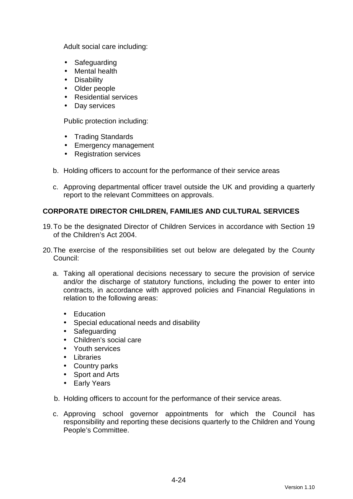Adult social care including:

- Safeguarding
- Mental health
- Disability
- Older people
- Residential services
- Day services

Public protection including:

- Trading Standards
- Emergency management
- Registration services
- b. Holding officers to account for the performance of their service areas
- c. Approving departmental officer travel outside the UK and providing a quarterly report to the relevant Committees on approvals.

# **CORPORATE DIRECTOR CHILDREN, FAMILIES AND CULTURAL SERVICES**

- 19. To be the designated Director of Children Services in accordance with Section 19 of the Children's Act 2004.
- 20. The exercise of the responsibilities set out below are delegated by the County Council:
	- a. Taking all operational decisions necessary to secure the provision of service and/or the discharge of statutory functions, including the power to enter into contracts, in accordance with approved policies and Financial Regulations in relation to the following areas:
		- Education
		- Special educational needs and disability
		- Safeguarding
		- Children's social care
		- Youth services
		- Libraries
		- Country parks
		- Sport and Arts
		- Early Years
	- b. Holding officers to account for the performance of their service areas.
	- c. Approving school governor appointments for which the Council has responsibility and reporting these decisions quarterly to the Children and Young People's Committee.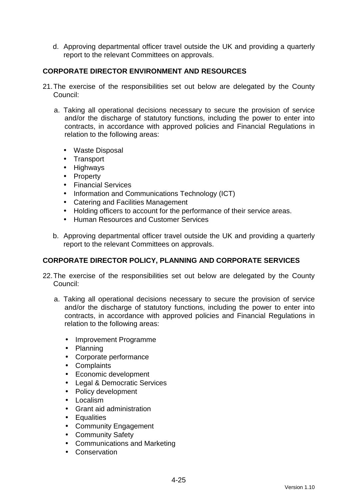d. Approving departmental officer travel outside the UK and providing a quarterly report to the relevant Committees on approvals.

# **CORPORATE DIRECTOR ENVIRONMENT AND RESOURCES**

- 21. The exercise of the responsibilities set out below are delegated by the County Council:
	- a. Taking all operational decisions necessary to secure the provision of service and/or the discharge of statutory functions, including the power to enter into contracts, in accordance with approved policies and Financial Regulations in relation to the following areas:
		- Waste Disposal
		- Transport
		- Highways
		- Property
		- Financial Services
		- Information and Communications Technology (ICT)
		- Catering and Facilities Management
		- Holding officers to account for the performance of their service areas.
		- Human Resources and Customer Services
	- b. Approving departmental officer travel outside the UK and providing a quarterly report to the relevant Committees on approvals.

## **CORPORATE DIRECTOR POLICY, PLANNING AND CORPORATE SERVICES**

- 22. The exercise of the responsibilities set out below are delegated by the County Council:
	- a. Taking all operational decisions necessary to secure the provision of service and/or the discharge of statutory functions, including the power to enter into contracts, in accordance with approved policies and Financial Regulations in relation to the following areas:
		- Improvement Programme
		- Planning
		- Corporate performance
		- Complaints
		- Economic development
		- Legal & Democratic Services
		- Policy development
		- Localism
		- Grant aid administration
		- Equalities
		- Community Engagement
		- Community Safety
		- Communications and Marketing
		- Conservation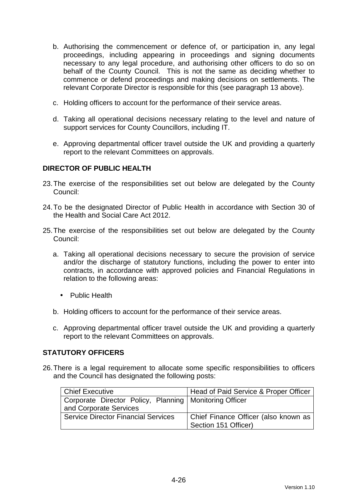- b. Authorising the commencement or defence of, or participation in, any legal proceedings, including appearing in proceedings and signing documents necessary to any legal procedure, and authorising other officers to do so on behalf of the County Council. This is not the same as deciding whether to commence or defend proceedings and making decisions on settlements. The relevant Corporate Director is responsible for this (see paragraph 13 above).
- c. Holding officers to account for the performance of their service areas.
- d. Taking all operational decisions necessary relating to the level and nature of support services for County Councillors, including IT.
- e. Approving departmental officer travel outside the UK and providing a quarterly report to the relevant Committees on approvals.

## **DIRECTOR OF PUBLIC HEALTH**

- 23. The exercise of the responsibilities set out below are delegated by the County Council:
- 24. To be the designated Director of Public Health in accordance with Section 30 of the Health and Social Care Act 2012.
- 25. The exercise of the responsibilities set out below are delegated by the County Council:
	- a. Taking all operational decisions necessary to secure the provision of service and/or the discharge of statutory functions, including the power to enter into contracts, in accordance with approved policies and Financial Regulations in relation to the following areas:
		- Public Health
	- b. Holding officers to account for the performance of their service areas.
	- c. Approving departmental officer travel outside the UK and providing a quarterly report to the relevant Committees on approvals.

## **STATUTORY OFFICERS**

26. There is a legal requirement to allocate some specific responsibilities to officers and the Council has designated the following posts:

| Chief Executive                                          | Head of Paid Service & Proper Officer |
|----------------------------------------------------------|---------------------------------------|
| Corporate Director Policy, Planning   Monitoring Officer |                                       |
| and Corporate Services                                   |                                       |
| <b>Service Director Financial Services</b>               | Chief Finance Officer (also known as  |
|                                                          | Section 151 Officer)                  |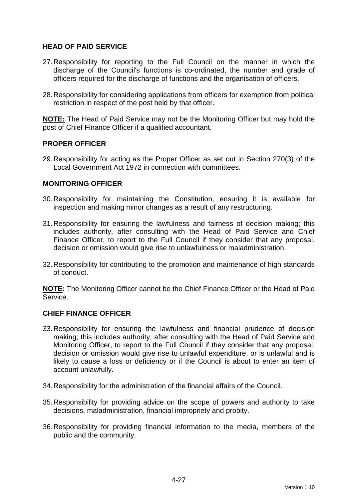# **HEAD OF PAID SERVICE**

- 27. Responsibility for reporting to the Full Council on the manner in which the discharge of the Council's functions is co-ordinated, the number and grade of officers required for the discharge of functions and the organisation of officers.
- 28. Responsibility for considering applications from officers for exemption from political restriction in respect of the post held by that officer.

**NOTE:** The Head of Paid Service may not be the Monitoring Officer but may hold the post of Chief Finance Officer if a qualified accountant.

## **PROPER OFFICER**

29. Responsibility for acting as the Proper Officer as set out in Section 270(3) of the Local Government Act 1972 in connection with committees.

## **MONITORING OFFICER**

- 30. Responsibility for maintaining the Constitution, ensuring it is available for inspection and making minor changes as a result of any restructuring.
- 31. Responsibility for ensuring the lawfulness and fairness of decision making; this includes authority, after consulting with the Head of Paid Service and Chief Finance Officer, to report to the Full Council if they consider that any proposal, decision or omission would give rise to unlawfulness or maladministration.
- 32. Responsibility for contributing to the promotion and maintenance of high standards of conduct.

**NOTE:** The Monitoring Officer cannot be the Chief Finance Officer or the Head of Paid Service.

## **CHIEF FINANCE OFFICER**

- 33. Responsibility for ensuring the lawfulness and financial prudence of decision making; this includes authority, after consulting with the Head of Paid Service and Monitoring Officer, to report to the Full Council if they consider that any proposal, decision or omission would give rise to unlawful expenditure, or is unlawful and is likely to cause a loss or deficiency or if the Council is about to enter an item of account unlawfully.
- 34. Responsibility for the administration of the financial affairs of the Council.
- 35. Responsibility for providing advice on the scope of powers and authority to take decisions, maladministration, financial impropriety and probity.
- 36. Responsibility for providing financial information to the media, members of the public and the community.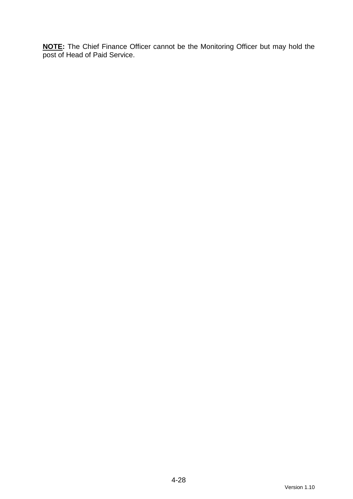**NOTE:** The Chief Finance Officer cannot be the Monitoring Officer but may hold the post of Head of Paid Service.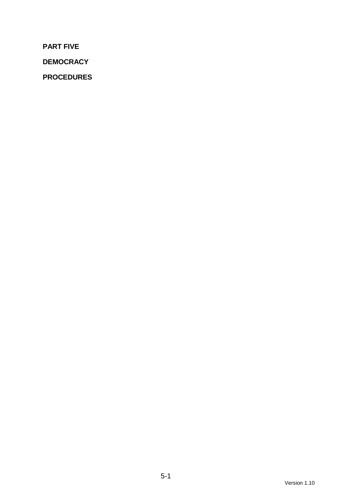**PART FIVE** 

**DEMOCRACY** 

**PROCEDURES**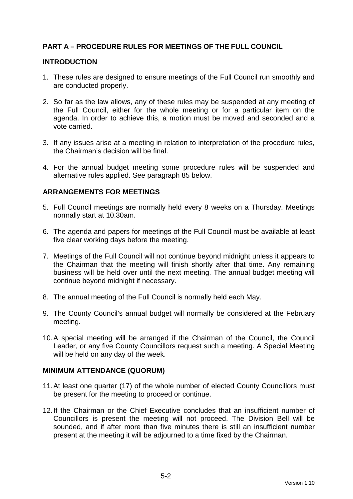# **PART A – PROCEDURE RULES FOR MEETINGS OF THE FULL COUNCIL**

#### **INTRODUCTION**

- 1. These rules are designed to ensure meetings of the Full Council run smoothly and are conducted properly.
- 2. So far as the law allows, any of these rules may be suspended at any meeting of the Full Council, either for the whole meeting or for a particular item on the agenda. In order to achieve this, a motion must be moved and seconded and a vote carried.
- 3. If any issues arise at a meeting in relation to interpretation of the procedure rules, the Chairman's decision will be final.
- 4. For the annual budget meeting some procedure rules will be suspended and alternative rules applied. See paragraph 85 below.

## **ARRANGEMENTS FOR MEETINGS**

- 5. Full Council meetings are normally held every 8 weeks on a Thursday. Meetings normally start at 10.30am.
- 6. The agenda and papers for meetings of the Full Council must be available at least five clear working days before the meeting.
- 7. Meetings of the Full Council will not continue beyond midnight unless it appears to the Chairman that the meeting will finish shortly after that time. Any remaining business will be held over until the next meeting. The annual budget meeting will continue beyond midnight if necessary.
- 8. The annual meeting of the Full Council is normally held each May.
- 9. The County Council's annual budget will normally be considered at the February meeting.
- 10. A special meeting will be arranged if the Chairman of the Council, the Council Leader, or any five County Councillors request such a meeting. A Special Meeting will be held on any day of the week.

#### **MINIMUM ATTENDANCE (QUORUM)**

- 11. At least one quarter (17) of the whole number of elected County Councillors must be present for the meeting to proceed or continue.
- 12. If the Chairman or the Chief Executive concludes that an insufficient number of Councillors is present the meeting will not proceed. The Division Bell will be sounded, and if after more than five minutes there is still an insufficient number present at the meeting it will be adjourned to a time fixed by the Chairman.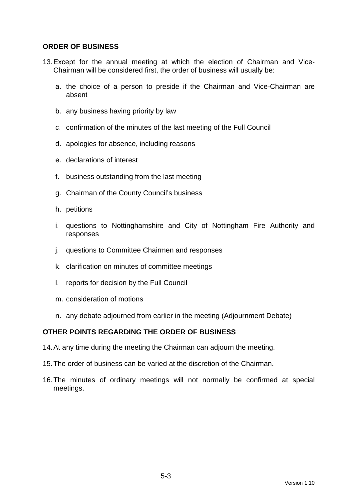## **ORDER OF BUSINESS**

- 13. Except for the annual meeting at which the election of Chairman and Vice-Chairman will be considered first, the order of business will usually be:
	- a. the choice of a person to preside if the Chairman and Vice-Chairman are absent
	- b. any business having priority by law
	- c. confirmation of the minutes of the last meeting of the Full Council
	- d. apologies for absence, including reasons
	- e. declarations of interest
	- f. business outstanding from the last meeting
	- g. Chairman of the County Council's business
	- h. petitions
	- i. questions to Nottinghamshire and City of Nottingham Fire Authority and responses
	- j. questions to Committee Chairmen and responses
	- k. clarification on minutes of committee meetings
	- l. reports for decision by the Full Council
	- m. consideration of motions
	- n. any debate adjourned from earlier in the meeting (Adjournment Debate)

## **OTHER POINTS REGARDING THE ORDER OF BUSINESS**

- 14. At any time during the meeting the Chairman can adjourn the meeting.
- 15. The order of business can be varied at the discretion of the Chairman.
- 16. The minutes of ordinary meetings will not normally be confirmed at special meetings.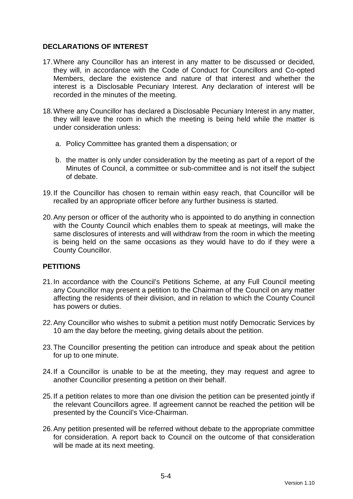# **DECLARATIONS OF INTEREST**

- 17. Where any Councillor has an interest in any matter to be discussed or decided, they will, in accordance with the Code of Conduct for Councillors and Co-opted Members, declare the existence and nature of that interest and whether the interest is a Disclosable Pecuniary Interest. Any declaration of interest will be recorded in the minutes of the meeting.
- 18. Where any Councillor has declared a Disclosable Pecuniary Interest in any matter, they will leave the room in which the meeting is being held while the matter is under consideration unless:
	- a. Policy Committee has granted them a dispensation; or
	- b. the matter is only under consideration by the meeting as part of a report of the Minutes of Council, a committee or sub-committee and is not itself the subject of debate.
- 19. If the Councillor has chosen to remain within easy reach, that Councillor will be recalled by an appropriate officer before any further business is started.
- 20. Any person or officer of the authority who is appointed to do anything in connection with the County Council which enables them to speak at meetings, will make the same disclosures of interests and will withdraw from the room in which the meeting is being held on the same occasions as they would have to do if they were a County Councillor.

## **PETITIONS**

- 21. In accordance with the Council's Petitions Scheme, at any Full Council meeting any Councillor may present a petition to the Chairman of the Council on any matter affecting the residents of their division, and in relation to which the County Council has powers or duties.
- 22. Any Councillor who wishes to submit a petition must notify Democratic Services by 10 am the day before the meeting, giving details about the petition.
- 23. The Councillor presenting the petition can introduce and speak about the petition for up to one minute.
- 24. If a Councillor is unable to be at the meeting, they may request and agree to another Councillor presenting a petition on their behalf.
- 25. If a petition relates to more than one division the petition can be presented jointly if the relevant Councillors agree. If agreement cannot be reached the petition will be presented by the Council's Vice-Chairman.
- 26. Any petition presented will be referred without debate to the appropriate committee for consideration. A report back to Council on the outcome of that consideration will be made at its next meeting.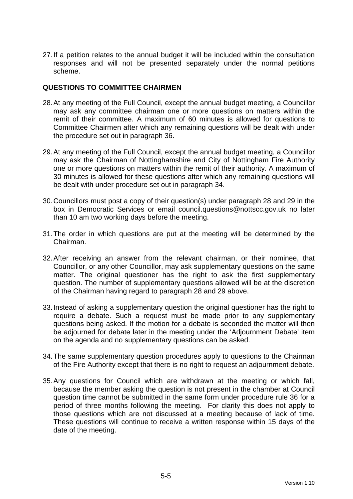27. If a petition relates to the annual budget it will be included within the consultation responses and will not be presented separately under the normal petitions scheme.

#### **QUESTIONS TO COMMITTEE CHAIRMEN**

- 28. At any meeting of the Full Council, except the annual budget meeting, a Councillor may ask any committee chairman one or more questions on matters within the remit of their committee. A maximum of 60 minutes is allowed for questions to Committee Chairmen after which any remaining questions will be dealt with under the procedure set out in paragraph 36.
- 29. At any meeting of the Full Council, except the annual budget meeting, a Councillor may ask the Chairman of Nottinghamshire and City of Nottingham Fire Authority one or more questions on matters within the remit of their authority. A maximum of 30 minutes is allowed for these questions after which any remaining questions will be dealt with under procedure set out in paragraph 34.
- 30. Councillors must post a copy of their question(s) under paragraph 28 and 29 in the box in Democratic Services or email council.questions@nottscc.gov.uk no later than 10 am two working days before the meeting.
- 31. The order in which questions are put at the meeting will be determined by the Chairman.
- 32. After receiving an answer from the relevant chairman, or their nominee, that Councillor, or any other Councillor, may ask supplementary questions on the same matter. The original questioner has the right to ask the first supplementary question. The number of supplementary questions allowed will be at the discretion of the Chairman having regard to paragraph 28 and 29 above.
- 33. Instead of asking a supplementary question the original questioner has the right to require a debate. Such a request must be made prior to any supplementary questions being asked. If the motion for a debate is seconded the matter will then be adjourned for debate later in the meeting under the 'Adjournment Debate' item on the agenda and no supplementary questions can be asked.
- 34. The same supplementary question procedures apply to questions to the Chairman of the Fire Authority except that there is no right to request an adjournment debate.
- 35. Any questions for Council which are withdrawn at the meeting or which fall, because the member asking the question is not present in the chamber at Council question time cannot be submitted in the same form under procedure rule 36 for a period of three months following the meeting. For clarity this does not apply to those questions which are not discussed at a meeting because of lack of time. These questions will continue to receive a written response within 15 days of the date of the meeting.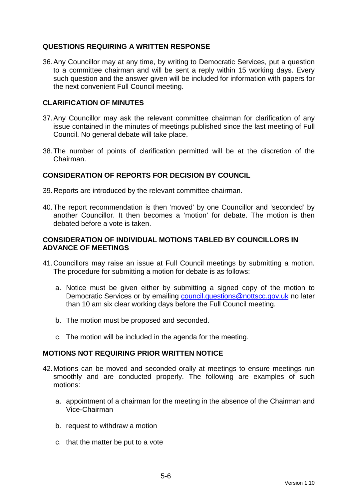# **QUESTIONS REQUIRING A WRITTEN RESPONSE**

36. Any Councillor may at any time, by writing to Democratic Services, put a question to a committee chairman and will be sent a reply within 15 working days. Every such question and the answer given will be included for information with papers for the next convenient Full Council meeting.

## **CLARIFICATION OF MINUTES**

- 37. Any Councillor may ask the relevant committee chairman for clarification of any issue contained in the minutes of meetings published since the last meeting of Full Council. No general debate will take place.
- 38. The number of points of clarification permitted will be at the discretion of the Chairman.

# **CONSIDERATION OF REPORTS FOR DECISION BY COUNCIL**

- 39. Reports are introduced by the relevant committee chairman.
- 40. The report recommendation is then 'moved' by one Councillor and 'seconded' by another Councillor. It then becomes a 'motion' for debate. The motion is then debated before a vote is taken.

## **CONSIDERATION OF INDIVIDUAL MOTIONS TABLED BY COUNCILLORS IN ADVANCE OF MEETINGS**

- 41. Councillors may raise an issue at Full Council meetings by submitting a motion. The procedure for submitting a motion for debate is as follows:
	- a. Notice must be given either by submitting a signed copy of the motion to Democratic Services or by emailing council.questions@nottscc.gov.uk no later than 10 am six clear working days before the Full Council meeting.
	- b. The motion must be proposed and seconded.
	- c. The motion will be included in the agenda for the meeting.

## **MOTIONS NOT REQUIRING PRIOR WRITTEN NOTICE**

- 42. Motions can be moved and seconded orally at meetings to ensure meetings run smoothly and are conducted properly. The following are examples of such motions:
	- a. appointment of a chairman for the meeting in the absence of the Chairman and Vice-Chairman
	- b. request to withdraw a motion
	- c. that the matter be put to a vote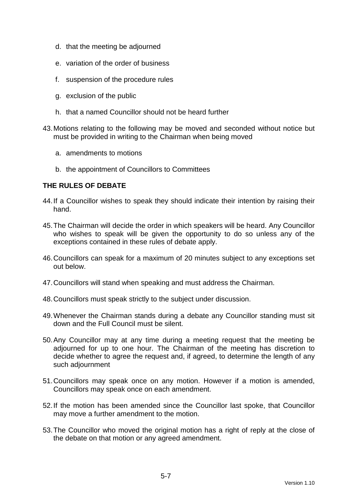- d. that the meeting be adjourned
- e. variation of the order of business
- f. suspension of the procedure rules
- g. exclusion of the public
- h. that a named Councillor should not be heard further
- 43. Motions relating to the following may be moved and seconded without notice but must be provided in writing to the Chairman when being moved
	- a. amendments to motions
	- b. the appointment of Councillors to Committees

## **THE RULES OF DEBATE**

- 44. If a Councillor wishes to speak they should indicate their intention by raising their hand.
- 45. The Chairman will decide the order in which speakers will be heard. Any Councillor who wishes to speak will be given the opportunity to do so unless any of the exceptions contained in these rules of debate apply.
- 46. Councillors can speak for a maximum of 20 minutes subject to any exceptions set out below.
- 47. Councillors will stand when speaking and must address the Chairman.
- 48. Councillors must speak strictly to the subject under discussion.
- 49. Whenever the Chairman stands during a debate any Councillor standing must sit down and the Full Council must be silent.
- 50. Any Councillor may at any time during a meeting request that the meeting be adjourned for up to one hour. The Chairman of the meeting has discretion to decide whether to agree the request and, if agreed, to determine the length of any such adjournment
- 51. Councillors may speak once on any motion. However if a motion is amended, Councillors may speak once on each amendment.
- 52. If the motion has been amended since the Councillor last spoke, that Councillor may move a further amendment to the motion.
- 53. The Councillor who moved the original motion has a right of reply at the close of the debate on that motion or any agreed amendment.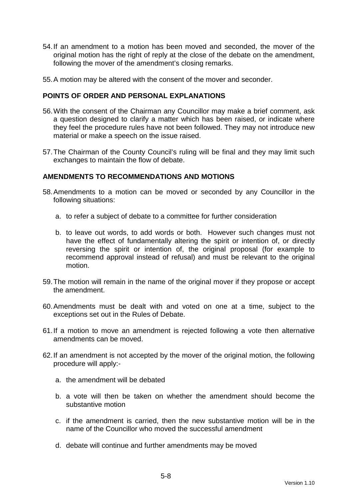- 54. If an amendment to a motion has been moved and seconded, the mover of the original motion has the right of reply at the close of the debate on the amendment, following the mover of the amendment's closing remarks.
- 55. A motion may be altered with the consent of the mover and seconder.

## **POINTS OF ORDER AND PERSONAL EXPLANATIONS**

- 56. With the consent of the Chairman any Councillor may make a brief comment, ask a question designed to clarify a matter which has been raised, or indicate where they feel the procedure rules have not been followed. They may not introduce new material or make a speech on the issue raised.
- 57. The Chairman of the County Council's ruling will be final and they may limit such exchanges to maintain the flow of debate.

# **AMENDMENTS TO RECOMMENDATIONS AND MOTIONS**

- 58. Amendments to a motion can be moved or seconded by any Councillor in the following situations:
	- a. to refer a subject of debate to a committee for further consideration
	- b. to leave out words, to add words or both. However such changes must not have the effect of fundamentally altering the spirit or intention of, or directly reversing the spirit or intention of, the original proposal (for example to recommend approval instead of refusal) and must be relevant to the original motion.
- 59. The motion will remain in the name of the original mover if they propose or accept the amendment.
- 60. Amendments must be dealt with and voted on one at a time, subject to the exceptions set out in the Rules of Debate.
- 61. If a motion to move an amendment is rejected following a vote then alternative amendments can be moved.
- 62. If an amendment is not accepted by the mover of the original motion, the following procedure will apply:
	- a. the amendment will be debated
	- b. a vote will then be taken on whether the amendment should become the substantive motion
	- c. if the amendment is carried, then the new substantive motion will be in the name of the Councillor who moved the successful amendment
	- d. debate will continue and further amendments may be moved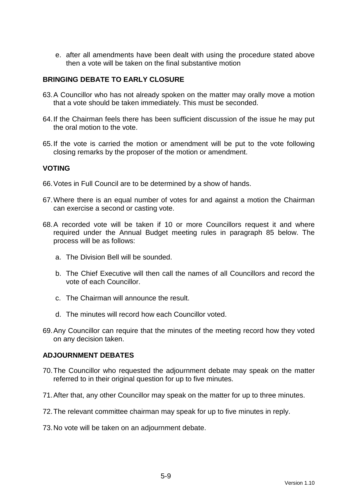e. after all amendments have been dealt with using the procedure stated above then a vote will be taken on the final substantive motion

# **BRINGING DEBATE TO EARLY CLOSURE**

- 63. A Councillor who has not already spoken on the matter may orally move a motion that a vote should be taken immediately. This must be seconded.
- 64. If the Chairman feels there has been sufficient discussion of the issue he may put the oral motion to the vote.
- 65. If the vote is carried the motion or amendment will be put to the vote following closing remarks by the proposer of the motion or amendment.

#### **VOTING**

- 66. Votes in Full Council are to be determined by a show of hands.
- 67. Where there is an equal number of votes for and against a motion the Chairman can exercise a second or casting vote.
- 68. A recorded vote will be taken if 10 or more Councillors request it and where required under the Annual Budget meeting rules in paragraph 85 below. The process will be as follows:
	- a. The Division Bell will be sounded.
	- b. The Chief Executive will then call the names of all Councillors and record the vote of each Councillor.
	- c. The Chairman will announce the result.
	- d. The minutes will record how each Councillor voted.
- 69. Any Councillor can require that the minutes of the meeting record how they voted on any decision taken.

### **ADJOURNMENT DEBATES**

- 70. The Councillor who requested the adjournment debate may speak on the matter referred to in their original question for up to five minutes.
- 71. After that, any other Councillor may speak on the matter for up to three minutes.
- 72. The relevant committee chairman may speak for up to five minutes in reply.
- 73. No vote will be taken on an adjournment debate.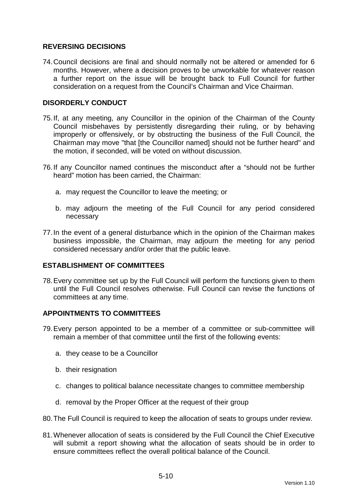# **REVERSING DECISIONS**

74. Council decisions are final and should normally not be altered or amended for 6 months. However, where a decision proves to be unworkable for whatever reason a further report on the issue will be brought back to Full Council for further consideration on a request from the Council's Chairman and Vice Chairman.

## **DISORDERLY CONDUCT**

- 75. If, at any meeting, any Councillor in the opinion of the Chairman of the County Council misbehaves by persistently disregarding their ruling, or by behaving improperly or offensively, or by obstructing the business of the Full Council, the Chairman may move "that [the Councillor named] should not be further heard" and the motion, if seconded, will be voted on without discussion.
- 76. If any Councillor named continues the misconduct after a "should not be further heard" motion has been carried, the Chairman:
	- a. may request the Councillor to leave the meeting; or
	- b. may adjourn the meeting of the Full Council for any period considered necessary
- 77. In the event of a general disturbance which in the opinion of the Chairman makes business impossible, the Chairman, may adjourn the meeting for any period considered necessary and/or order that the public leave.

## **ESTABLISHMENT OF COMMITTEES**

78. Every committee set up by the Full Council will perform the functions given to them until the Full Council resolves otherwise. Full Council can revise the functions of committees at any time.

## **APPOINTMENTS TO COMMITTEES**

- 79. Every person appointed to be a member of a committee or sub-committee will remain a member of that committee until the first of the following events:
	- a. they cease to be a Councillor
	- b. their resignation
	- c. changes to political balance necessitate changes to committee membership
	- d. removal by the Proper Officer at the request of their group
- 80. The Full Council is required to keep the allocation of seats to groups under review.
- 81. Whenever allocation of seats is considered by the Full Council the Chief Executive will submit a report showing what the allocation of seats should be in order to ensure committees reflect the overall political balance of the Council.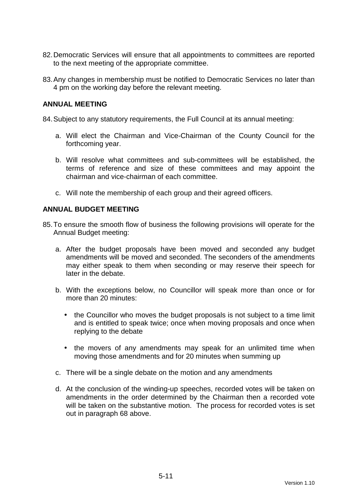- 82. Democratic Services will ensure that all appointments to committees are reported to the next meeting of the appropriate committee.
- 83. Any changes in membership must be notified to Democratic Services no later than 4 pm on the working day before the relevant meeting.

#### **ANNUAL MEETING**

84. Subject to any statutory requirements, the Full Council at its annual meeting:

- a. Will elect the Chairman and Vice-Chairman of the County Council for the forthcoming year.
- b. Will resolve what committees and sub-committees will be established, the terms of reference and size of these committees and may appoint the chairman and vice-chairman of each committee.
- c. Will note the membership of each group and their agreed officers.

#### **ANNUAL BUDGET MEETING**

- 85. To ensure the smooth flow of business the following provisions will operate for the Annual Budget meeting:
	- a. After the budget proposals have been moved and seconded any budget amendments will be moved and seconded. The seconders of the amendments may either speak to them when seconding or may reserve their speech for later in the debate.
	- b. With the exceptions below, no Councillor will speak more than once or for more than 20 minutes:
		- the Councillor who moves the budget proposals is not subject to a time limit and is entitled to speak twice; once when moving proposals and once when replying to the debate
		- the movers of any amendments may speak for an unlimited time when moving those amendments and for 20 minutes when summing up
	- c. There will be a single debate on the motion and any amendments
	- d. At the conclusion of the winding-up speeches, recorded votes will be taken on amendments in the order determined by the Chairman then a recorded vote will be taken on the substantive motion. The process for recorded votes is set out in paragraph 68 above.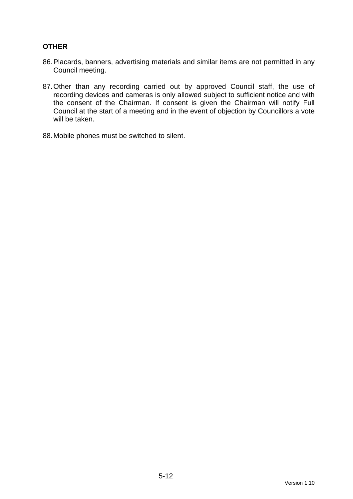# **OTHER**

- 86. Placards, banners, advertising materials and similar items are not permitted in any Council meeting.
- 87. Other than any recording carried out by approved Council staff, the use of recording devices and cameras is only allowed subject to sufficient notice and with the consent of the Chairman. If consent is given the Chairman will notify Full Council at the start of a meeting and in the event of objection by Councillors a vote will be taken.
- 88. Mobile phones must be switched to silent.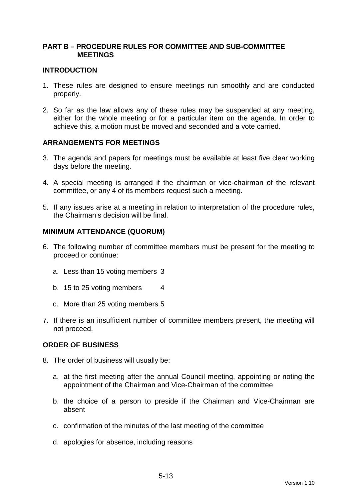## **PART B – PROCEDURE RULES FOR COMMITTEE AND SUB-COMMITTEE MEETINGS**

### **INTRODUCTION**

- 1. These rules are designed to ensure meetings run smoothly and are conducted properly.
- 2. So far as the law allows any of these rules may be suspended at any meeting, either for the whole meeting or for a particular item on the agenda. In order to achieve this, a motion must be moved and seconded and a vote carried.

## **ARRANGEMENTS FOR MEETINGS**

- 3. The agenda and papers for meetings must be available at least five clear working days before the meeting.
- 4. A special meeting is arranged if the chairman or vice-chairman of the relevant committee, or any 4 of its members request such a meeting.
- 5. If any issues arise at a meeting in relation to interpretation of the procedure rules, the Chairman's decision will be final.

#### **MINIMUM ATTENDANCE (QUORUM)**

- 6. The following number of committee members must be present for the meeting to proceed or continue:
	- a. Less than 15 voting members 3
	- b. 15 to 25 voting members 4
	- c. More than 25 voting members 5
- 7. If there is an insufficient number of committee members present, the meeting will not proceed.

#### **ORDER OF BUSINESS**

- 8. The order of business will usually be:
	- a. at the first meeting after the annual Council meeting, appointing or noting the appointment of the Chairman and Vice-Chairman of the committee
	- b. the choice of a person to preside if the Chairman and Vice-Chairman are absent
	- c. confirmation of the minutes of the last meeting of the committee
	- d. apologies for absence, including reasons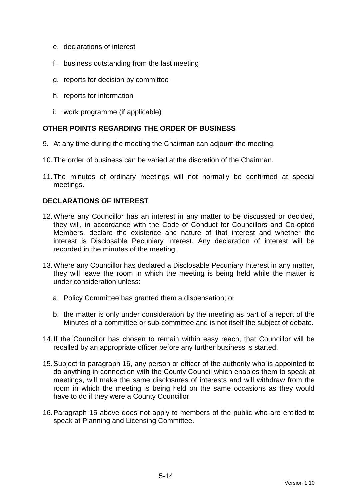- e. declarations of interest
- f. business outstanding from the last meeting
- g. reports for decision by committee
- h. reports for information
- i. work programme (if applicable)

# **OTHER POINTS REGARDING THE ORDER OF BUSINESS**

- 9. At any time during the meeting the Chairman can adjourn the meeting.
- 10. The order of business can be varied at the discretion of the Chairman.
- 11. The minutes of ordinary meetings will not normally be confirmed at special meetings.

# **DECLARATIONS OF INTEREST**

- 12. Where any Councillor has an interest in any matter to be discussed or decided, they will, in accordance with the Code of Conduct for Councillors and Co-opted Members, declare the existence and nature of that interest and whether the interest is Disclosable Pecuniary Interest. Any declaration of interest will be recorded in the minutes of the meeting.
- 13. Where any Councillor has declared a Disclosable Pecuniary Interest in any matter, they will leave the room in which the meeting is being held while the matter is under consideration unless:
	- a. Policy Committee has granted them a dispensation; or
	- b. the matter is only under consideration by the meeting as part of a report of the Minutes of a committee or sub-committee and is not itself the subject of debate.
- 14. If the Councillor has chosen to remain within easy reach, that Councillor will be recalled by an appropriate officer before any further business is started.
- 15. Subject to paragraph 16, any person or officer of the authority who is appointed to do anything in connection with the County Council which enables them to speak at meetings, will make the same disclosures of interests and will withdraw from the room in which the meeting is being held on the same occasions as they would have to do if they were a County Councillor.
- 16. Paragraph 15 above does not apply to members of the public who are entitled to speak at Planning and Licensing Committee.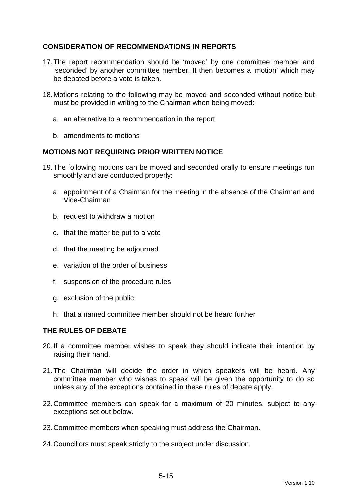# **CONSIDERATION OF RECOMMENDATIONS IN REPORTS**

- 17. The report recommendation should be 'moved' by one committee member and 'seconded' by another committee member. It then becomes a 'motion' which may be debated before a vote is taken.
- 18. Motions relating to the following may be moved and seconded without notice but must be provided in writing to the Chairman when being moved:
	- a. an alternative to a recommendation in the report
	- b. amendments to motions

## **MOTIONS NOT REQUIRING PRIOR WRITTEN NOTICE**

- 19. The following motions can be moved and seconded orally to ensure meetings run smoothly and are conducted properly:
	- a. appointment of a Chairman for the meeting in the absence of the Chairman and Vice-Chairman
	- b. request to withdraw a motion
	- c. that the matter be put to a vote
	- d. that the meeting be adjourned
	- e. variation of the order of business
	- f. suspension of the procedure rules
	- g. exclusion of the public
	- h. that a named committee member should not be heard further

## **THE RULES OF DEBATE**

- 20. If a committee member wishes to speak they should indicate their intention by raising their hand.
- 21. The Chairman will decide the order in which speakers will be heard. Any committee member who wishes to speak will be given the opportunity to do so unless any of the exceptions contained in these rules of debate apply.
- 22. Committee members can speak for a maximum of 20 minutes, subject to any exceptions set out below.
- 23. Committee members when speaking must address the Chairman.
- 24. Councillors must speak strictly to the subject under discussion.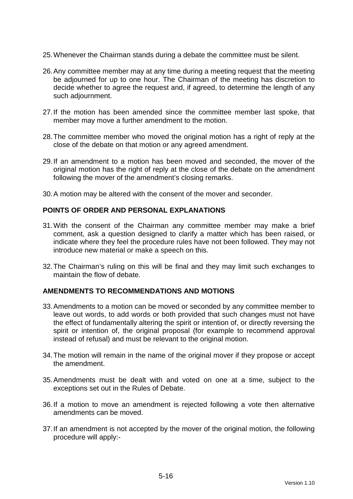- 25. Whenever the Chairman stands during a debate the committee must be silent.
- 26. Any committee member may at any time during a meeting request that the meeting be adjourned for up to one hour. The Chairman of the meeting has discretion to decide whether to agree the request and, if agreed, to determine the length of any such adjournment.
- 27. If the motion has been amended since the committee member last spoke, that member may move a further amendment to the motion.
- 28. The committee member who moved the original motion has a right of reply at the close of the debate on that motion or any agreed amendment.
- 29. If an amendment to a motion has been moved and seconded, the mover of the original motion has the right of reply at the close of the debate on the amendment following the mover of the amendment's closing remarks.
- 30. A motion may be altered with the consent of the mover and seconder.

## **POINTS OF ORDER AND PERSONAL EXPLANATIONS**

- 31. With the consent of the Chairman any committee member may make a brief comment, ask a question designed to clarify a matter which has been raised, or indicate where they feel the procedure rules have not been followed. They may not introduce new material or make a speech on this.
- 32. The Chairman's ruling on this will be final and they may limit such exchanges to maintain the flow of debate.

#### **AMENDMENTS TO RECOMMENDATIONS AND MOTIONS**

- 33. Amendments to a motion can be moved or seconded by any committee member to leave out words, to add words or both provided that such changes must not have the effect of fundamentally altering the spirit or intention of, or directly reversing the spirit or intention of, the original proposal (for example to recommend approval instead of refusal) and must be relevant to the original motion.
- 34. The motion will remain in the name of the original mover if they propose or accept the amendment.
- 35. Amendments must be dealt with and voted on one at a time, subject to the exceptions set out in the Rules of Debate.
- 36. If a motion to move an amendment is rejected following a vote then alternative amendments can be moved.
- 37. If an amendment is not accepted by the mover of the original motion, the following procedure will apply:-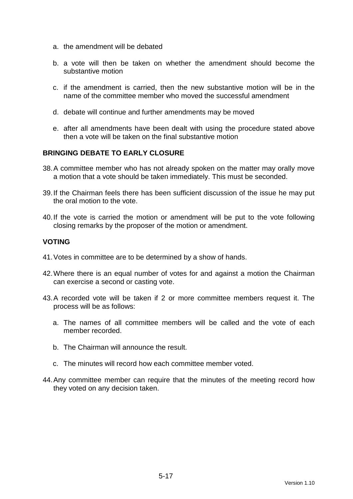- a. the amendment will be debated
- b. a vote will then be taken on whether the amendment should become the substantive motion
- c. if the amendment is carried, then the new substantive motion will be in the name of the committee member who moved the successful amendment
- d. debate will continue and further amendments may be moved
- e. after all amendments have been dealt with using the procedure stated above then a vote will be taken on the final substantive motion

# **BRINGING DEBATE TO EARLY CLOSURE**

- 38. A committee member who has not already spoken on the matter may orally move a motion that a vote should be taken immediately. This must be seconded.
- 39. If the Chairman feels there has been sufficient discussion of the issue he may put the oral motion to the vote.
- 40. If the vote is carried the motion or amendment will be put to the vote following closing remarks by the proposer of the motion or amendment.

## **VOTING**

- 41. Votes in committee are to be determined by a show of hands.
- 42. Where there is an equal number of votes for and against a motion the Chairman can exercise a second or casting vote.
- 43. A recorded vote will be taken if 2 or more committee members request it. The process will be as follows:
	- a. The names of all committee members will be called and the vote of each member recorded.
	- b. The Chairman will announce the result.
	- c. The minutes will record how each committee member voted.
- 44. Any committee member can require that the minutes of the meeting record how they voted on any decision taken.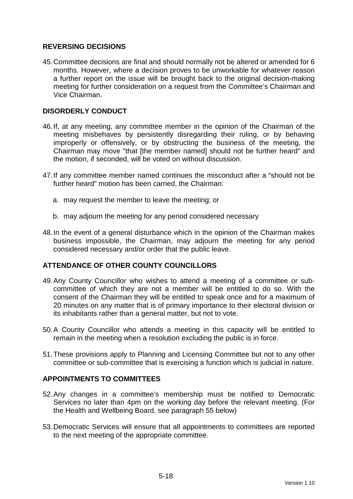# **REVERSING DECISIONS**

45. Committee decisions are final and should normally not be altered or amended for 6 months. However, where a decision proves to be unworkable for whatever reason a further report on the issue will be brought back to the original decision-making meeting for further consideration on a request from the Committee's Chairman and Vice Chairman.

# **DISORDERLY CONDUCT**

- 46. If, at any meeting, any committee member in the opinion of the Chairman of the meeting misbehaves by persistently disregarding their ruling, or by behaving improperly or offensively, or by obstructing the business of the meeting, the Chairman may move "that [the member named] should not be further heard" and the motion, if seconded, will be voted on without discussion.
- 47. If any committee member named continues the misconduct after a "should not be further heard" motion has been carried, the Chairman:
	- a. may request the member to leave the meeting; or
	- b. may adjourn the meeting for any period considered necessary
- 48. In the event of a general disturbance which in the opinion of the Chairman makes business impossible, the Chairman, may adjourn the meeting for any period considered necessary and/or order that the public leave.

## **ATTENDANCE OF OTHER COUNTY COUNCILLORS**

- 49. Any County Councillor who wishes to attend a meeting of a committee or subcommittee of which they are not a member will be entitled to do so. With the consent of the Chairman they will be entitled to speak once and for a maximum of 20 minutes on any matter that is of primary importance to their electoral division or its inhabitants rather than a general matter, but not to vote.
- 50. A County Councillor who attends a meeting in this capacity will be entitled to remain in the meeting when a resolution excluding the public is in force.
- 51. These provisions apply to Planning and Licensing Committee but not to any other committee or sub-committee that is exercising a function which is judicial in nature.

## **APPOINTMENTS TO COMMITTEES**

- 52. Any changes in a committee's membership must be notified to Democratic Services no later than 4pm on the working day before the relevant meeting. (For the Health and Wellbeing Board, see paragraph 55 below)
- 53. Democratic Services will ensure that all appointments to committees are reported to the next meeting of the appropriate committee.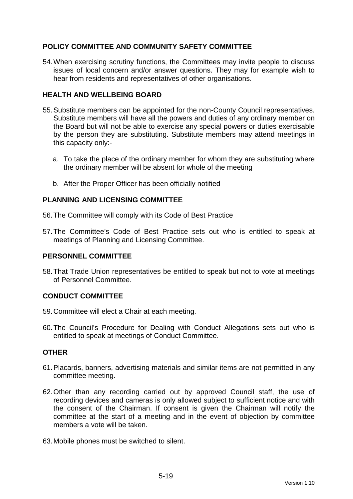# **POLICY COMMITTEE AND COMMUNITY SAFETY COMMITTEE**

54. When exercising scrutiny functions, the Committees may invite people to discuss issues of local concern and/or answer questions. They may for example wish to hear from residents and representatives of other organisations.

# **HEALTH AND WELLBEING BOARD**

- 55. Substitute members can be appointed for the non-County Council representatives. Substitute members will have all the powers and duties of any ordinary member on the Board but will not be able to exercise any special powers or duties exercisable by the person they are substituting. Substitute members may attend meetings in this capacity only:
	- a. To take the place of the ordinary member for whom they are substituting where the ordinary member will be absent for whole of the meeting
	- b. After the Proper Officer has been officially notified

## **PLANNING AND LICENSING COMMITTEE**

56. The Committee will comply with its Code of Best Practice

57. The Committee's Code of Best Practice sets out who is entitled to speak at meetings of Planning and Licensing Committee.

## **PERSONNEL COMMITTEE**

58. That Trade Union representatives be entitled to speak but not to vote at meetings of Personnel Committee.

## **CONDUCT COMMITTEE**

- 59. Committee will elect a Chair at each meeting.
- 60. The Council's Procedure for Dealing with Conduct Allegations sets out who is entitled to speak at meetings of Conduct Committee.

## **OTHER**

- 61. Placards, banners, advertising materials and similar items are not permitted in any committee meeting.
- 62. Other than any recording carried out by approved Council staff, the use of recording devices and cameras is only allowed subject to sufficient notice and with the consent of the Chairman. If consent is given the Chairman will notify the committee at the start of a meeting and in the event of objection by committee members a vote will be taken.
- 63. Mobile phones must be switched to silent.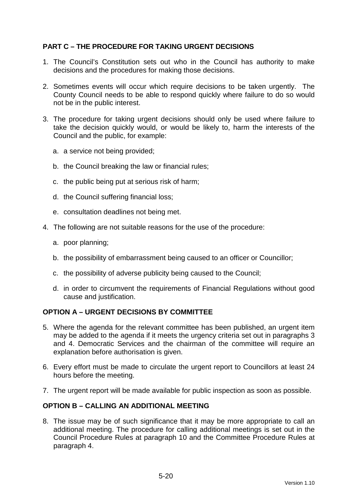# **PART C – THE PROCEDURE FOR TAKING URGENT DECISIONS**

- 1. The Council's Constitution sets out who in the Council has authority to make decisions and the procedures for making those decisions.
- 2. Sometimes events will occur which require decisions to be taken urgently. The County Council needs to be able to respond quickly where failure to do so would not be in the public interest.
- 3. The procedure for taking urgent decisions should only be used where failure to take the decision quickly would, or would be likely to, harm the interests of the Council and the public, for example:
	- a. a service not being provided;
	- b. the Council breaking the law or financial rules;
	- c. the public being put at serious risk of harm;
	- d. the Council suffering financial loss;
	- e. consultation deadlines not being met.
- 4. The following are not suitable reasons for the use of the procedure:
	- a. poor planning;
	- b. the possibility of embarrassment being caused to an officer or Councillor;
	- c. the possibility of adverse publicity being caused to the Council;
	- d. in order to circumvent the requirements of Financial Regulations without good cause and justification.

## **OPTION A – URGENT DECISIONS BY COMMITTEE**

- 5. Where the agenda for the relevant committee has been published, an urgent item may be added to the agenda if it meets the urgency criteria set out in paragraphs 3 and 4. Democratic Services and the chairman of the committee will require an explanation before authorisation is given.
- 6. Every effort must be made to circulate the urgent report to Councillors at least 24 hours before the meeting.
- 7. The urgent report will be made available for public inspection as soon as possible.

## **OPTION B – CALLING AN ADDITIONAL MEETING**

8. The issue may be of such significance that it may be more appropriate to call an additional meeting. The procedure for calling additional meetings is set out in the Council Procedure Rules at paragraph 10 and the Committee Procedure Rules at paragraph 4.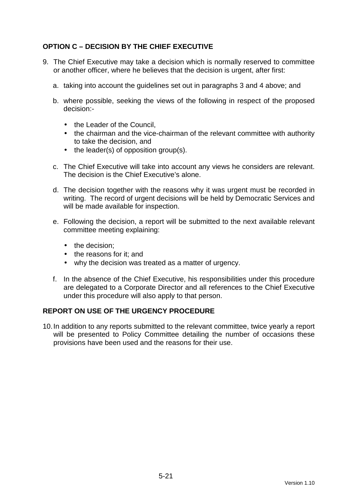# **OPTION C – DECISION BY THE CHIEF EXECUTIVE**

- 9. The Chief Executive may take a decision which is normally reserved to committee or another officer, where he believes that the decision is urgent, after first:
	- a. taking into account the guidelines set out in paragraphs 3 and 4 above; and
	- b. where possible, seeking the views of the following in respect of the proposed decision:-
		- the Leader of the Council.
		- the chairman and the vice-chairman of the relevant committee with authority to take the decision, and
		- the leader(s) of opposition group(s).
	- c. The Chief Executive will take into account any views he considers are relevant. The decision is the Chief Executive's alone.
	- d. The decision together with the reasons why it was urgent must be recorded in writing. The record of urgent decisions will be held by Democratic Services and will be made available for inspection.
	- e. Following the decision, a report will be submitted to the next available relevant committee meeting explaining:
		- the decision:
		- the reasons for it: and
		- why the decision was treated as a matter of urgency.
	- f. In the absence of the Chief Executive, his responsibilities under this procedure are delegated to a Corporate Director and all references to the Chief Executive under this procedure will also apply to that person.

## **REPORT ON USE OF THE URGENCY PROCEDURE**

10. In addition to any reports submitted to the relevant committee, twice yearly a report will be presented to Policy Committee detailing the number of occasions these provisions have been used and the reasons for their use.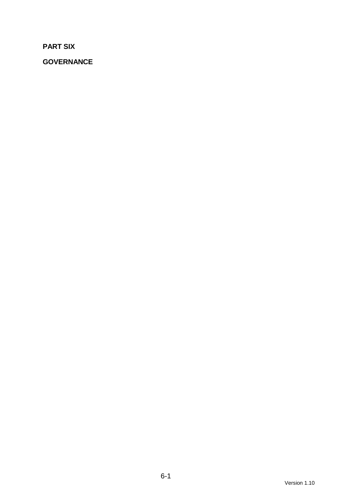**PART SIX** 

**GOVERNANCE**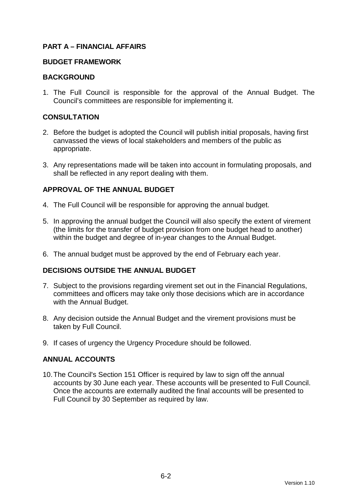# **PART A – FINANCIAL AFFAIRS**

#### **BUDGET FRAMEWORK**

### **BACKGROUND**

1. The Full Council is responsible for the approval of the Annual Budget. The Council's committees are responsible for implementing it.

## **CONSULTATION**

- 2. Before the budget is adopted the Council will publish initial proposals, having first canvassed the views of local stakeholders and members of the public as appropriate.
- 3. Any representations made will be taken into account in formulating proposals, and shall be reflected in any report dealing with them.

# **APPROVAL OF THE ANNUAL BUDGET**

- 4. The Full Council will be responsible for approving the annual budget.
- 5. In approving the annual budget the Council will also specify the extent of virement (the limits for the transfer of budget provision from one budget head to another) within the budget and degree of in-year changes to the Annual Budget.
- 6. The annual budget must be approved by the end of February each year.

## **DECISIONS OUTSIDE THE ANNUAL BUDGET**

- 7. Subject to the provisions regarding virement set out in the Financial Regulations, committees and officers may take only those decisions which are in accordance with the Annual Budget.
- 8. Any decision outside the Annual Budget and the virement provisions must be taken by Full Council.
- 9. If cases of urgency the Urgency Procedure should be followed.

## **ANNUAL ACCOUNTS**

10. The Council's Section 151 Officer is required by law to sign off the annual accounts by 30 June each year. These accounts will be presented to Full Council. Once the accounts are externally audited the final accounts will be presented to Full Council by 30 September as required by law.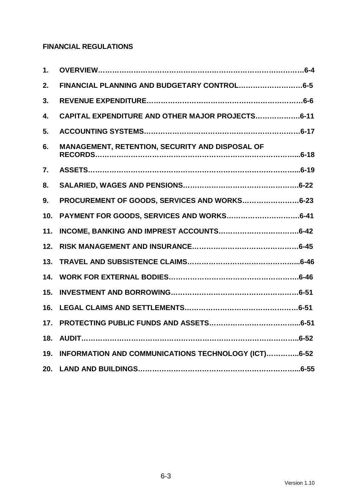# **FINANCIAL REGULATIONS**

| 1.  |                                                     |
|-----|-----------------------------------------------------|
| 2.  |                                                     |
| 3.  |                                                     |
| 4.  | CAPITAL EXPENDITURE AND OTHER MAJOR PROJECTS6-11    |
| 5.  |                                                     |
| 6.  | MANAGEMENT, RETENTION, SECURITY AND DISPOSAL OF     |
| 7.  |                                                     |
| 8.  |                                                     |
| 9.  | PROCUREMENT OF GOODS, SERVICES AND WORKS6-23        |
| 10. |                                                     |
| 11. |                                                     |
| 12. |                                                     |
| 13. |                                                     |
| 14. |                                                     |
| 15. |                                                     |
| 16. |                                                     |
| 17. |                                                     |
| 18. |                                                     |
| 19. | INFORMATION AND COMMUNICATIONS TECHNOLOGY (ICT)6-52 |
| 20. |                                                     |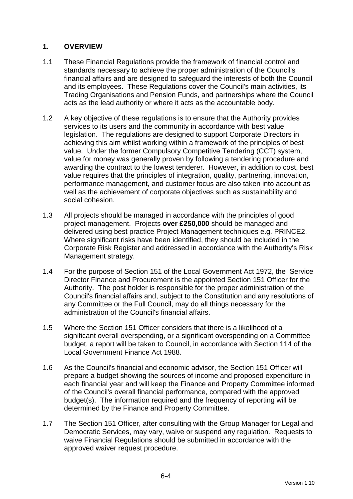# **1. OVERVIEW**

- 1.1 These Financial Regulations provide the framework of financial control and standards necessary to achieve the proper administration of the Council's financial affairs and are designed to safeguard the interests of both the Council and its employees. These Regulations cover the Council's main activities, its Trading Organisations and Pension Funds, and partnerships where the Council acts as the lead authority or where it acts as the accountable body.
- 1.2 A key objective of these regulations is to ensure that the Authority provides services to its users and the community in accordance with best value legislation. The regulations are designed to support Corporate Directors in achieving this aim whilst working within a framework of the principles of best value. Under the former Compulsory Competitive Tendering (CCT) system, value for money was generally proven by following a tendering procedure and awarding the contract to the lowest tenderer. However, in addition to cost, best value requires that the principles of integration, quality, partnering, innovation, performance management, and customer focus are also taken into account as well as the achievement of corporate objectives such as sustainability and social cohesion.
- 1.3 All projects should be managed in accordance with the principles of good project management. Projects **over £250,000** should be managed and delivered using best practice Project Management techniques e.g. PRINCE2. Where significant risks have been identified, they should be included in the Corporate Risk Register and addressed in accordance with the Authority's Risk Management strategy.
- 1.4 For the purpose of Section 151 of the Local Government Act 1972, the Service Director Finance and Procurement is the appointed Section 151 Officer for the Authority. The post holder is responsible for the proper administration of the Council's financial affairs and, subject to the Constitution and any resolutions of any Committee or the Full Council, may do all things necessary for the administration of the Council's financial affairs.
- 1.5 Where the Section 151 Officer considers that there is a likelihood of a significant overall overspending, or a significant overspending on a Committee budget, a report will be taken to Council, in accordance with Section 114 of the Local Government Finance Act 1988.
- 1.6 As the Council's financial and economic advisor, the Section 151 Officer will prepare a budget showing the sources of income and proposed expenditure in each financial year and will keep the Finance and Property Committee informed of the Council's overall financial performance, compared with the approved budget(s). The information required and the frequency of reporting will be determined by the Finance and Property Committee.
- 1.7 The Section 151 Officer, after consulting with the Group Manager for Legal and Democratic Services, may vary, waive or suspend any regulation. Requests to waive Financial Regulations should be submitted in accordance with the approved waiver request procedure.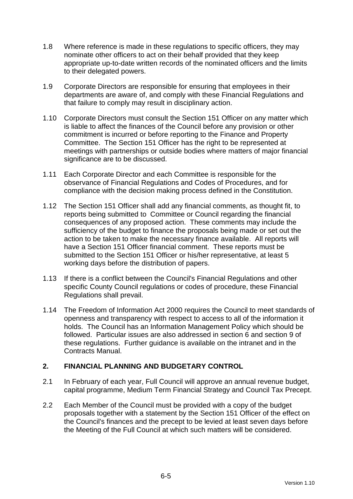- 1.8 Where reference is made in these regulations to specific officers, they may nominate other officers to act on their behalf provided that they keep appropriate up-to-date written records of the nominated officers and the limits to their delegated powers.
- 1.9 Corporate Directors are responsible for ensuring that employees in their departments are aware of, and comply with these Financial Regulations and that failure to comply may result in disciplinary action.
- 1.10 Corporate Directors must consult the Section 151 Officer on any matter which is liable to affect the finances of the Council before any provision or other commitment is incurred or before reporting to the Finance and Property Committee. The Section 151 Officer has the right to be represented at meetings with partnerships or outside bodies where matters of major financial significance are to be discussed.
- 1.11 Each Corporate Director and each Committee is responsible for the observance of Financial Regulations and Codes of Procedures, and for compliance with the decision making process defined in the Constitution.
- 1.12 The Section 151 Officer shall add any financial comments, as thought fit, to reports being submitted to Committee or Council regarding the financial consequences of any proposed action. These comments may include the sufficiency of the budget to finance the proposals being made or set out the action to be taken to make the necessary finance available. All reports will have a Section 151 Officer financial comment. These reports must be submitted to the Section 151 Officer or his/her representative, at least 5 working days before the distribution of papers.
- 1.13 If there is a conflict between the Council's Financial Regulations and other specific County Council regulations or codes of procedure, these Financial Regulations shall prevail.
- 1.14 The Freedom of Information Act 2000 requires the Council to meet standards of openness and transparency with respect to access to all of the information it holds. The Council has an Information Management Policy which should be followed. Particular issues are also addressed in section 6 and section 9 of these regulations. Further guidance is available on the intranet and in the Contracts Manual.

# **2. FINANCIAL PLANNING AND BUDGETARY CONTROL**

- 2.1 In February of each year, Full Council will approve an annual revenue budget, capital programme, Medium Term Financial Strategy and Council Tax Precept.
- 2.2 Each Member of the Council must be provided with a copy of the budget proposals together with a statement by the Section 151 Officer of the effect on the Council's finances and the precept to be levied at least seven days before the Meeting of the Full Council at which such matters will be considered.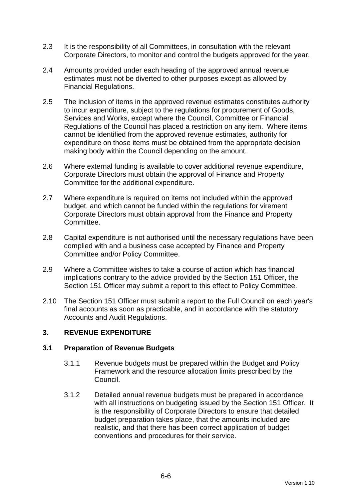- 2.3 It is the responsibility of all Committees, in consultation with the relevant Corporate Directors, to monitor and control the budgets approved for the year.
- 2.4 Amounts provided under each heading of the approved annual revenue estimates must not be diverted to other purposes except as allowed by Financial Regulations.
- 2.5 The inclusion of items in the approved revenue estimates constitutes authority to incur expenditure, subject to the regulations for procurement of Goods, Services and Works, except where the Council, Committee or Financial Regulations of the Council has placed a restriction on any item. Where items cannot be identified from the approved revenue estimates, authority for expenditure on those items must be obtained from the appropriate decision making body within the Council depending on the amount.
- 2.6 Where external funding is available to cover additional revenue expenditure, Corporate Directors must obtain the approval of Finance and Property Committee for the additional expenditure.
- 2.7 Where expenditure is required on items not included within the approved budget, and which cannot be funded within the regulations for virement Corporate Directors must obtain approval from the Finance and Property Committee.
- 2.8 Capital expenditure is not authorised until the necessary regulations have been complied with and a business case accepted by Finance and Property Committee and/or Policy Committee.
- 2.9 Where a Committee wishes to take a course of action which has financial implications contrary to the advice provided by the Section 151 Officer, the Section 151 Officer may submit a report to this effect to Policy Committee.
- 2.10 The Section 151 Officer must submit a report to the Full Council on each year's final accounts as soon as practicable, and in accordance with the statutory Accounts and Audit Regulations.

# **3. REVENUE EXPENDITURE**

### **3.1 Preparation of Revenue Budgets**

- 3.1.1 Revenue budgets must be prepared within the Budget and Policy Framework and the resource allocation limits prescribed by the Council.
- 3.1.2 Detailed annual revenue budgets must be prepared in accordance with all instructions on budgeting issued by the Section 151 Officer. It is the responsibility of Corporate Directors to ensure that detailed budget preparation takes place, that the amounts included are realistic, and that there has been correct application of budget conventions and procedures for their service.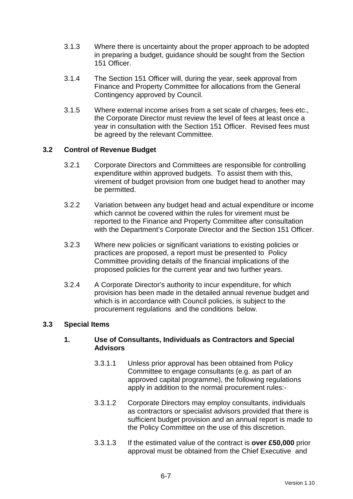- 3.1.3 Where there is uncertainty about the proper approach to be adopted in preparing a budget, guidance should be sought from the Section 151 Officer.
- 3.1.4 The Section 151 Officer will, during the year, seek approval from Finance and Property Committee for allocations from the General Contingency approved by Council.
- 3.1.5 Where external income arises from a set scale of charges, fees etc., the Corporate Director must review the level of fees at least once a year in consultation with the Section 151 Officer. Revised fees must be agreed by the relevant Committee.

### **3.2 Control of Revenue Budget**

- 3.2.1 Corporate Directors and Committees are responsible for controlling expenditure within approved budgets. To assist them with this, virement of budget provision from one budget head to another may be permitted.
- 3.2.2 Variation between any budget head and actual expenditure or income which cannot be covered within the rules for virement must be reported to the Finance and Property Committee after consultation with the Department's Corporate Director and the Section 151 Officer.
- 3.2.3 Where new policies or significant variations to existing policies or practices are proposed, a report must be presented to Policy Committee providing details of the financial implications of the proposed policies for the current year and two further years.
- 3.2.4 A Corporate Director's authority to incur expenditure, for which provision has been made in the detailed annual revenue budget and which is in accordance with Council policies, is subject to the procurement regulations and the conditions below.

### **3.3 Special Items**

### **1. Use of Consultants, Individuals as Contractors and Special Advisors**

- 3.3.1.1 Unless prior approval has been obtained from Policy Committee to engage consultants (e.g. as part of an approved capital programme), the following regulations apply in addition to the normal procurement rules:-
- 3.3.1.2 Corporate Directors may employ consultants, individuals as contractors or specialist advisors provided that there is sufficient budget provision and an annual report is made to the Policy Committee on the use of this discretion.
- 3.3.1.3 If the estimated value of the contract is **over £50,000** prior approval must be obtained from the Chief Executive and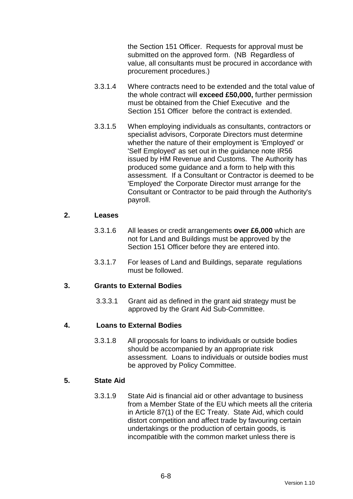the Section 151 Officer. Requests for approval must be submitted on the approved form. (NB Regardless of value, all consultants must be procured in accordance with procurement procedures.)

- 3.3.1.4 Where contracts need to be extended and the total value of the whole contract will **exceed £50,000,** further permission must be obtained from the Chief Executive and the Section 151 Officer before the contract is extended.
- 3.3.1.5 When employing individuals as consultants, contractors or specialist advisors, Corporate Directors must determine whether the nature of their employment is 'Employed' or 'Self Employed' as set out in the guidance note IR56 issued by HM Revenue and Customs. The Authority has produced some guidance and a form to help with this assessment. If a Consultant or Contractor is deemed to be 'Employed' the Corporate Director must arrange for the Consultant or Contractor to be paid through the Authority's payroll.

#### **2. Leases**

- 3.3.1.6 All leases or credit arrangements **over £6,000** which are not for Land and Buildings must be approved by the Section 151 Officer before they are entered into.
- 3.3.1.7 For leases of Land and Buildings, separate regulations must be followed.

### **3. Grants to External Bodies**

3.3.3.1 Grant aid as defined in the grant aid strategy must be approved by the Grant Aid Sub-Committee.

### **4. Loans to External Bodies**

3.3.1.8 All proposals for loans to individuals or outside bodies should be accompanied by an appropriate risk assessment. Loans to individuals or outside bodies must be approved by Policy Committee.

### **5. State Aid**

3.3.1.9 State Aid is financial aid or other advantage to business from a Member State of the EU which meets all the criteria in Article 87(1) of the EC Treaty. State Aid, which could distort competition and affect trade by favouring certain undertakings or the production of certain goods, is incompatible with the common market unless there is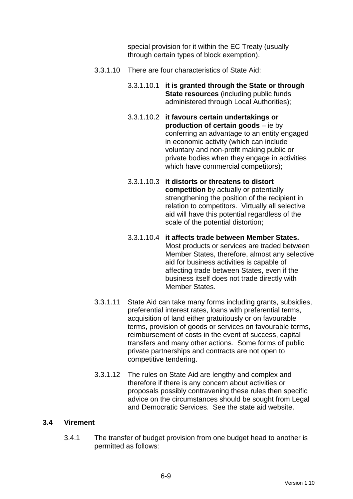special provision for it within the EC Treaty (usually through certain types of block exemption).

- 3.3.1.10 There are four characteristics of State Aid:
	- 3.3.1.10.1 **it is granted through the State or through State resources** (including public funds administered through Local Authorities);
	- 3.3.1.10.2 **it favours certain undertakings or production of certain goods** – ie by conferring an advantage to an entity engaged in economic activity (which can include voluntary and non-profit making public or private bodies when they engage in activities which have commercial competitors);
	- 3.3.1.10.3 **it distorts or threatens to distort competition** by actually or potentially strengthening the position of the recipient in relation to competitors. Virtually all selective aid will have this potential regardless of the scale of the potential distortion;
	- 3.3.1.10.4 **it affects trade between Member States.** Most products or services are traded between Member States, therefore, almost any selective aid for business activities is capable of affecting trade between States, even if the business itself does not trade directly with Member States.
- 3.3.1.11 State Aid can take many forms including grants, subsidies, preferential interest rates, loans with preferential terms, acquisition of land either gratuitously or on favourable terms, provision of goods or services on favourable terms, reimbursement of costs in the event of success, capital transfers and many other actions. Some forms of public private partnerships and contracts are not open to competitive tendering.
- 3.3.1.12 The rules on State Aid are lengthy and complex and therefore if there is any concern about activities or proposals possibly contravening these rules then specific advice on the circumstances should be sought from Legal and Democratic Services. See the state aid website.

### **3.4 Virement**

3.4.1 The transfer of budget provision from one budget head to another is permitted as follows: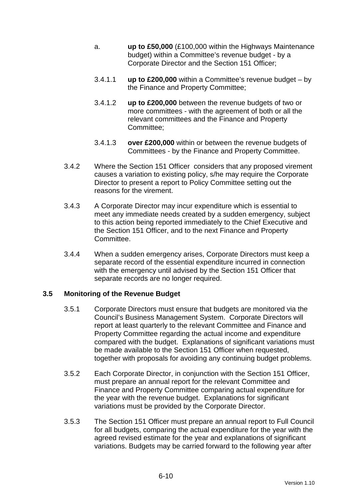- a. **up to £50,000** (£100,000 within the Highways Maintenance budget) within a Committee's revenue budget - by a Corporate Director and the Section 151 Officer;
- 3.4.1.1 **up to £200,000** within a Committee's revenue budget by the Finance and Property Committee;
- 3.4.1.2 **up to £200,000** between the revenue budgets of two or more committees - with the agreement of both or all the relevant committees and the Finance and Property Committee;
- 3.4.1.3 **over £200,000** within or between the revenue budgets of Committees - by the Finance and Property Committee.
- 3.4.2 Where the Section 151 Officer considers that any proposed virement causes a variation to existing policy, s/he may require the Corporate Director to present a report to Policy Committee setting out the reasons for the virement.
- 3.4.3 A Corporate Director may incur expenditure which is essential to meet any immediate needs created by a sudden emergency, subject to this action being reported immediately to the Chief Executive and the Section 151 Officer, and to the next Finance and Property Committee.
- 3.4.4 When a sudden emergency arises, Corporate Directors must keep a separate record of the essential expenditure incurred in connection with the emergency until advised by the Section 151 Officer that separate records are no longer required.

### **3.5 Monitoring of the Revenue Budget**

- 3.5.1 Corporate Directors must ensure that budgets are monitored via the Council's Business Management System. Corporate Directors will report at least quarterly to the relevant Committee and Finance and Property Committee regarding the actual income and expenditure compared with the budget. Explanations of significant variations must be made available to the Section 151 Officer when requested, together with proposals for avoiding any continuing budget problems.
- 3.5.2 Each Corporate Director, in conjunction with the Section 151 Officer, must prepare an annual report for the relevant Committee and Finance and Property Committee comparing actual expenditure for the year with the revenue budget. Explanations for significant variations must be provided by the Corporate Director.
- 3.5.3 The Section 151 Officer must prepare an annual report to Full Council for all budgets, comparing the actual expenditure for the year with the agreed revised estimate for the year and explanations of significant variations. Budgets may be carried forward to the following year after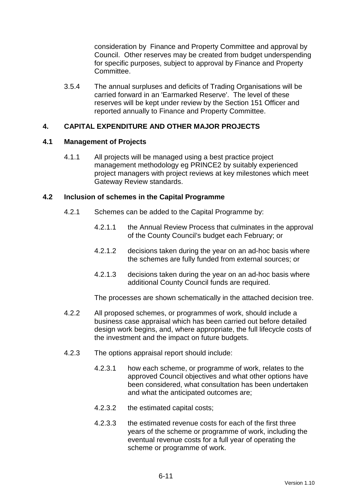consideration by Finance and Property Committee and approval by Council. Other reserves may be created from budget underspending for specific purposes, subject to approval by Finance and Property Committee.

3.5.4 The annual surpluses and deficits of Trading Organisations will be carried forward in an 'Earmarked Reserve'. The level of these reserves will be kept under review by the Section 151 Officer and reported annually to Finance and Property Committee.

### **4. CAPITAL EXPENDITURE AND OTHER MAJOR PROJECTS**

### **4.1 Management of Projects**

4.1.1 All projects will be managed using a best practice project management methodology eg PRINCE2 by suitably experienced project managers with project reviews at key milestones which meet Gateway Review standards.

### **4.2 Inclusion of schemes in the Capital Programme**

- 4.2.1 Schemes can be added to the Capital Programme by:
	- 4.2.1.1 the Annual Review Process that culminates in the approval of the County Council's budget each February; or
	- 4.2.1.2 decisions taken during the year on an ad-hoc basis where the schemes are fully funded from external sources; or
	- 4.2.1.3 decisions taken during the year on an ad-hoc basis where additional County Council funds are required.

The processes are shown schematically in the attached decision tree.

- 4.2.2 All proposed schemes, or programmes of work, should include a business case appraisal which has been carried out before detailed design work begins, and, where appropriate, the full lifecycle costs of the investment and the impact on future budgets.
- 4.2.3 The options appraisal report should include:
	- 4.2.3.1 how each scheme, or programme of work, relates to the approved Council objectives and what other options have been considered, what consultation has been undertaken and what the anticipated outcomes are;
	- 4.2.3.2 the estimated capital costs;
	- 4.2.3.3 the estimated revenue costs for each of the first three years of the scheme or programme of work, including the eventual revenue costs for a full year of operating the scheme or programme of work.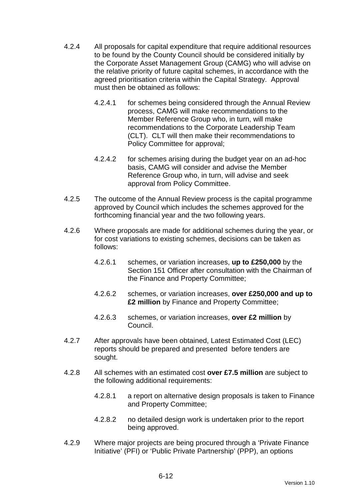- 4.2.4 All proposals for capital expenditure that require additional resources to be found by the County Council should be considered initially by the Corporate Asset Management Group (CAMG) who will advise on the relative priority of future capital schemes, in accordance with the agreed prioritisation criteria within the Capital Strategy. Approval must then be obtained as follows:
	- 4.2.4.1 for schemes being considered through the Annual Review process, CAMG will make recommendations to the Member Reference Group who, in turn, will make recommendations to the Corporate Leadership Team (CLT). CLT will then make their recommendations to Policy Committee for approval;
	- 4.2.4.2 for schemes arising during the budget year on an ad-hoc basis, CAMG will consider and advise the Member Reference Group who, in turn, will advise and seek approval from Policy Committee.
- 4.2.5 The outcome of the Annual Review process is the capital programme approved by Council which includes the schemes approved for the forthcoming financial year and the two following years.
- 4.2.6 Where proposals are made for additional schemes during the year, or for cost variations to existing schemes, decisions can be taken as follows:
	- 4.2.6.1 schemes, or variation increases, **up to £250,000** by the Section 151 Officer after consultation with the Chairman of the Finance and Property Committee;
	- 4.2.6.2 schemes, or variation increases, **over £250,000 and up to £2 million** by Finance and Property Committee;
	- 4.2.6.3 schemes, or variation increases, **over £2 million** by Council.
- 4.2.7 After approvals have been obtained, Latest Estimated Cost (LEC) reports should be prepared and presented before tenders are sought.
- 4.2.8 All schemes with an estimated cost **over £7.5 million** are subject to the following additional requirements:
	- 4.2.8.1 a report on alternative design proposals is taken to Finance and Property Committee;
	- 4.2.8.2 no detailed design work is undertaken prior to the report being approved.
- 4.2.9 Where major projects are being procured through a 'Private Finance Initiative' (PFI) or 'Public Private Partnership' (PPP), an options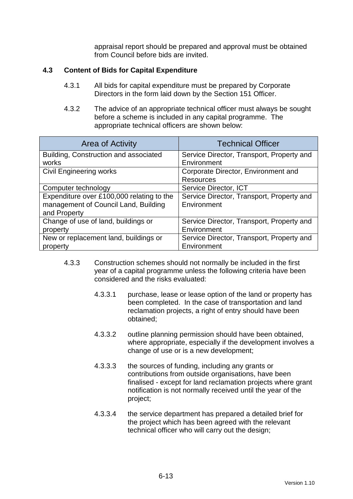appraisal report should be prepared and approval must be obtained from Council before bids are invited.

### **4.3 Content of Bids for Capital Expenditure**

- 4.3.1 All bids for capital expenditure must be prepared by Corporate Directors in the form laid down by the Section 151 Officer.
- 4.3.2 The advice of an appropriate technical officer must always be sought before a scheme is included in any capital programme. The appropriate technical officers are shown below:

| Area of Activity                          | <b>Technical Officer</b>                  |  |
|-------------------------------------------|-------------------------------------------|--|
| Building, Construction and associated     | Service Director, Transport, Property and |  |
| works                                     | Environment                               |  |
| <b>Civil Engineering works</b>            | Corporate Director, Environment and       |  |
|                                           | <b>Resources</b>                          |  |
| Computer technology                       | Service Director, ICT                     |  |
| Expenditure over £100,000 relating to the | Service Director, Transport, Property and |  |
| management of Council Land, Building      | Environment                               |  |
| and Property                              |                                           |  |
| Change of use of land, buildings or       | Service Director, Transport, Property and |  |
| property                                  | Environment                               |  |
| New or replacement land, buildings or     | Service Director, Transport, Property and |  |
| property                                  | Environment                               |  |

- 4.3.3 Construction schemes should not normally be included in the first year of a capital programme unless the following criteria have been considered and the risks evaluated:
	- 4.3.3.1 purchase, lease or lease option of the land or property has been completed. In the case of transportation and land reclamation projects, a right of entry should have been obtained;
	- 4.3.3.2 outline planning permission should have been obtained, where appropriate, especially if the development involves a change of use or is a new development;
	- 4.3.3.3 the sources of funding, including any grants or contributions from outside organisations, have been finalised - except for land reclamation projects where grant notification is not normally received until the year of the project;
	- 4.3.3.4 the service department has prepared a detailed brief for the project which has been agreed with the relevant technical officer who will carry out the design;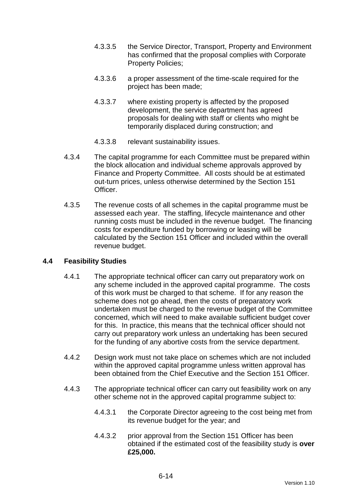- 4.3.3.5 the Service Director, Transport, Property and Environment has confirmed that the proposal complies with Corporate Property Policies;
- 4.3.3.6 a proper assessment of the time-scale required for the project has been made;
- 4.3.3.7 where existing property is affected by the proposed development, the service department has agreed proposals for dealing with staff or clients who might be temporarily displaced during construction; and
- 4.3.3.8 relevant sustainability issues.
- 4.3.4 The capital programme for each Committee must be prepared within the block allocation and individual scheme approvals approved by Finance and Property Committee. All costs should be at estimated out-turn prices, unless otherwise determined by the Section 151 Officer.
- 4.3.5 The revenue costs of all schemes in the capital programme must be assessed each year. The staffing, lifecycle maintenance and other running costs must be included in the revenue budget. The financing costs for expenditure funded by borrowing or leasing will be calculated by the Section 151 Officer and included within the overall revenue budget.

### **4.4 Feasibility Studies**

- 4.4.1 The appropriate technical officer can carry out preparatory work on any scheme included in the approved capital programme. The costs of this work must be charged to that scheme. If for any reason the scheme does not go ahead, then the costs of preparatory work undertaken must be charged to the revenue budget of the Committee concerned, which will need to make available sufficient budget cover for this. In practice, this means that the technical officer should not carry out preparatory work unless an undertaking has been secured for the funding of any abortive costs from the service department.
- 4.4.2 Design work must not take place on schemes which are not included within the approved capital programme unless written approval has been obtained from the Chief Executive and the Section 151 Officer.
- 4.4.3 The appropriate technical officer can carry out feasibility work on any other scheme not in the approved capital programme subject to:
	- 4.4.3.1 the Corporate Director agreeing to the cost being met from its revenue budget for the year; and
	- 4.4.3.2 prior approval from the Section 151 Officer has been obtained if the estimated cost of the feasibility study is **over £25,000.**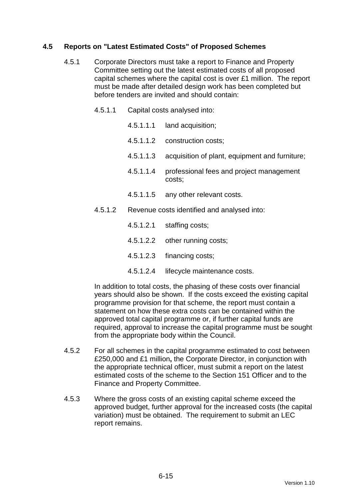### **4.5 Reports on "Latest Estimated Costs" of Proposed Schemes**

- 4.5.1 Corporate Directors must take a report to Finance and Property Committee setting out the latest estimated costs of all proposed capital schemes where the capital cost is over £1 million. The report must be made after detailed design work has been completed but before tenders are invited and should contain:
	- 4.5.1.1 Capital costs analysed into:
		- 4.5.1.1.1 land acquisition;
		- 4.5.1.1.2 construction costs;
		- 4.5.1.1.3 acquisition of plant, equipment and furniture;
		- 4.5.1.1.4 professional fees and project management costs;
		- 4.5.1.1.5 any other relevant costs.
	- 4.5.1.2 Revenue costs identified and analysed into:
		- 4.5.1.2.1 staffing costs;
		- 4.5.1.2.2 other running costs;
		- 4.5.1.2.3 financing costs;
		- 4.5.1.2.4 lifecycle maintenance costs.

In addition to total costs, the phasing of these costs over financial years should also be shown. If the costs exceed the existing capital programme provision for that scheme, the report must contain a statement on how these extra costs can be contained within the approved total capital programme or, if further capital funds are required, approval to increase the capital programme must be sought from the appropriate body within the Council.

- 4.5.2 For all schemes in the capital programme estimated to cost between £250,000 and £1 million**,** the Corporate Director, in conjunction with the appropriate technical officer, must submit a report on the latest estimated costs of the scheme to the Section 151 Officer and to the Finance and Property Committee.
- 4.5.3 Where the gross costs of an existing capital scheme exceed the approved budget, further approval for the increased costs (the capital variation) must be obtained. The requirement to submit an LEC report remains.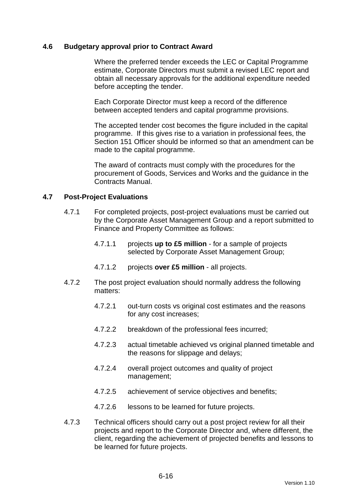#### **4.6 Budgetary approval prior to Contract Award**

 Where the preferred tender exceeds the LEC or Capital Programme estimate, Corporate Directors must submit a revised LEC report and obtain all necessary approvals for the additional expenditure needed before accepting the tender.

 Each Corporate Director must keep a record of the difference between accepted tenders and capital programme provisions.

 The accepted tender cost becomes the figure included in the capital programme. If this gives rise to a variation in professional fees, the Section 151 Officer should be informed so that an amendment can be made to the capital programme.

 The award of contracts must comply with the procedures for the procurement of Goods, Services and Works and the guidance in the Contracts Manual.

#### **4.7 Post-Project Evaluations**

- 4.7.1 For completed projects, post-project evaluations must be carried out by the Corporate Asset Management Group and a report submitted to Finance and Property Committee as follows:
	- 4.7.1.1 projects **up to £5 million** for a sample of projects selected by Corporate Asset Management Group;
	- 4.7.1.2 projects **over £5 million** all projects.
- 4.7.2 The post project evaluation should normally address the following matters:
	- 4.7.2.1 out-turn costs vs original cost estimates and the reasons for any cost increases;
	- 4.7.2.2 breakdown of the professional fees incurred;
	- 4.7.2.3 actual timetable achieved vs original planned timetable and the reasons for slippage and delays;
	- 4.7.2.4 overall project outcomes and quality of project management;
	- 4.7.2.5 achievement of service objectives and benefits;
	- 4.7.2.6 lessons to be learned for future projects.
- 4.7.3 Technical officers should carry out a post project review for all their projects and report to the Corporate Director and, where different, the client, regarding the achievement of projected benefits and lessons to be learned for future projects.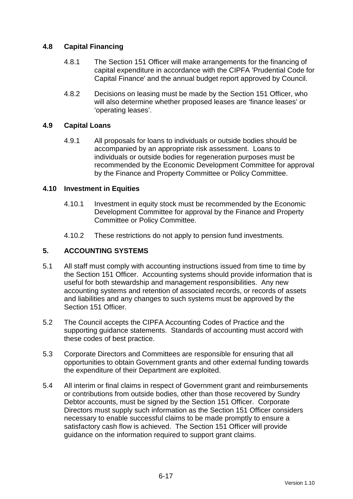### **4.8 Capital Financing**

- 4.8.1 The Section 151 Officer will make arrangements for the financing of capital expenditure in accordance with the CIPFA 'Prudential Code for Capital Finance' and the annual budget report approved by Council.
- 4.8.2 Decisions on leasing must be made by the Section 151 Officer, who will also determine whether proposed leases are 'finance leases' or 'operating leases'.

### **4.9 Capital Loans**

4.9.1 All proposals for loans to individuals or outside bodies should be accompanied by an appropriate risk assessment. Loans to individuals or outside bodies for regeneration purposes must be recommended by the Economic Development Committee for approval by the Finance and Property Committee or Policy Committee.

### **4.10 Investment in Equities**

- 4.10.1 Investment in equity stock must be recommended by the Economic Development Committee for approval by the Finance and Property Committee or Policy Committee.
- 4.10.2 These restrictions do not apply to pension fund investments.

# **5. ACCOUNTING SYSTEMS**

- 5.1 All staff must comply with accounting instructions issued from time to time by the Section 151 Officer. Accounting systems should provide information that is useful for both stewardship and management responsibilities. Any new accounting systems and retention of associated records, or records of assets and liabilities and any changes to such systems must be approved by the Section 151 Officer.
- 5.2 The Council accepts the CIPFA Accounting Codes of Practice and the supporting guidance statements. Standards of accounting must accord with these codes of best practice.
- 5.3 Corporate Directors and Committees are responsible for ensuring that all opportunities to obtain Government grants and other external funding towards the expenditure of their Department are exploited.
- 5.4 All interim or final claims in respect of Government grant and reimbursements or contributions from outside bodies, other than those recovered by Sundry Debtor accounts, must be signed by the Section 151 Officer. Corporate Directors must supply such information as the Section 151 Officer considers necessary to enable successful claims to be made promptly to ensure a satisfactory cash flow is achieved. The Section 151 Officer will provide guidance on the information required to support grant claims.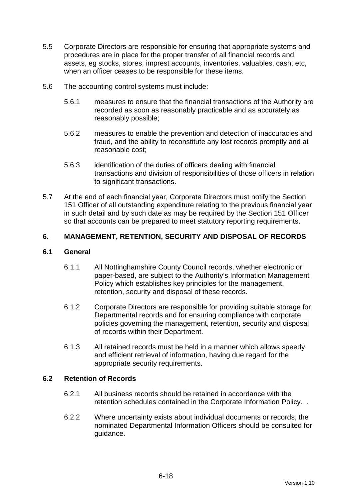- 5.5 Corporate Directors are responsible for ensuring that appropriate systems and procedures are in place for the proper transfer of all financial records and assets, eg stocks, stores, imprest accounts, inventories, valuables, cash, etc, when an officer ceases to be responsible for these items.
- 5.6 The accounting control systems must include:
	- 5.6.1 measures to ensure that the financial transactions of the Authority are recorded as soon as reasonably practicable and as accurately as reasonably possible;
	- 5.6.2 measures to enable the prevention and detection of inaccuracies and fraud, and the ability to reconstitute any lost records promptly and at reasonable cost;
	- 5.6.3 identification of the duties of officers dealing with financial transactions and division of responsibilities of those officers in relation to significant transactions.
- 5.7 At the end of each financial year, Corporate Directors must notify the Section 151 Officer of all outstanding expenditure relating to the previous financial year in such detail and by such date as may be required by the Section 151 Officer so that accounts can be prepared to meet statutory reporting requirements.

# **6. MANAGEMENT, RETENTION, SECURITY AND DISPOSAL OF RECORDS**

### **6.1 General**

- 6.1.1 All Nottinghamshire County Council records, whether electronic or paper-based, are subject to the Authority's Information Management Policy which establishes key principles for the management, retention, security and disposal of these records.
- 6.1.2 Corporate Directors are responsible for providing suitable storage for Departmental records and for ensuring compliance with corporate policies governing the management, retention, security and disposal of records within their Department.
- 6.1.3 All retained records must be held in a manner which allows speedy and efficient retrieval of information, having due regard for the appropriate security requirements.

### **6.2 Retention of Records**

- 6.2.1 All business records should be retained in accordance with the retention schedules contained in the Corporate Information Policy. .
- 6.2.2 Where uncertainty exists about individual documents or records, the nominated Departmental Information Officers should be consulted for guidance.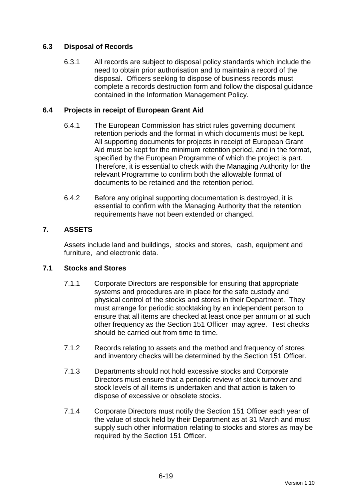# **6.3 Disposal of Records**

6.3.1 All records are subject to disposal policy standards which include the need to obtain prior authorisation and to maintain a record of the disposal. Officers seeking to dispose of business records must complete a records destruction form and follow the disposal guidance contained in the Information Management Policy.

### **6.4 Projects in receipt of European Grant Aid**

- 6.4.1 The European Commission has strict rules governing document retention periods and the format in which documents must be kept. All supporting documents for projects in receipt of European Grant Aid must be kept for the minimum retention period, and in the format, specified by the European Programme of which the project is part. Therefore, it is essential to check with the Managing Authority for the relevant Programme to confirm both the allowable format of documents to be retained and the retention period.
- 6.4.2 Before any original supporting documentation is destroyed, it is essential to confirm with the Managing Authority that the retention requirements have not been extended or changed.

### **7. ASSETS**

Assets include land and buildings, stocks and stores, cash, equipment and furniture, and electronic data.

### **7.1 Stocks and Stores**

- 7.1.1 Corporate Directors are responsible for ensuring that appropriate systems and procedures are in place for the safe custody and physical control of the stocks and stores in their Department. They must arrange for periodic stocktaking by an independent person to ensure that all items are checked at least once per annum or at such other frequency as the Section 151 Officer may agree. Test checks should be carried out from time to time.
- 7.1.2 Records relating to assets and the method and frequency of stores and inventory checks will be determined by the Section 151 Officer.
- 7.1.3 Departments should not hold excessive stocks and Corporate Directors must ensure that a periodic review of stock turnover and stock levels of all items is undertaken and that action is taken to dispose of excessive or obsolete stocks.
- 7.1.4 Corporate Directors must notify the Section 151 Officer each year of the value of stock held by their Department as at 31 March and must supply such other information relating to stocks and stores as may be required by the Section 151 Officer.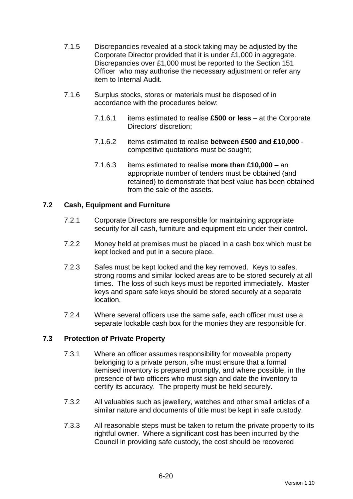- 7.1.5 Discrepancies revealed at a stock taking may be adjusted by the Corporate Director provided that it is under £1,000 in aggregate. Discrepancies over £1,000 must be reported to the Section 151 Officer who may authorise the necessary adjustment or refer any item to Internal Audit.
- 7.1.6 Surplus stocks, stores or materials must be disposed of in accordance with the procedures below:
	- 7.1.6.1 items estimated to realise **£500 or less** at the Corporate Directors' discretion;
	- 7.1.6.2 items estimated to realise **between £500 and £10,000** competitive quotations must be sought;
	- 7.1.6.3 items estimated to realise **more than £10,000** an appropriate number of tenders must be obtained (and retained) to demonstrate that best value has been obtained from the sale of the assets.

### **7.2 Cash, Equipment and Furniture**

- 7.2.1 Corporate Directors are responsible for maintaining appropriate security for all cash, furniture and equipment etc under their control.
- 7.2.2 Money held at premises must be placed in a cash box which must be kept locked and put in a secure place.
- 7.2.3 Safes must be kept locked and the key removed. Keys to safes, strong rooms and similar locked areas are to be stored securely at all times. The loss of such keys must be reported immediately. Master keys and spare safe keys should be stored securely at a separate location.
- 7.2.4 Where several officers use the same safe, each officer must use a separate lockable cash box for the monies they are responsible for.

### **7.3 Protection of Private Property**

- 7.3.1 Where an officer assumes responsibility for moveable property belonging to a private person, s/he must ensure that a formal itemised inventory is prepared promptly, and where possible, in the presence of two officers who must sign and date the inventory to certify its accuracy. The property must be held securely.
- 7.3.2 All valuables such as jewellery, watches and other small articles of a similar nature and documents of title must be kept in safe custody.
- 7.3.3 All reasonable steps must be taken to return the private property to its rightful owner. Where a significant cost has been incurred by the Council in providing safe custody, the cost should be recovered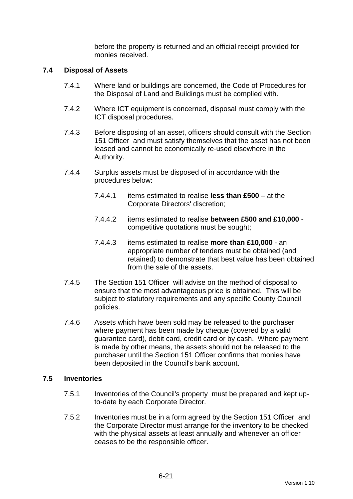before the property is returned and an official receipt provided for monies received.

#### **7.4 Disposal of Assets**

- 7.4.1 Where land or buildings are concerned, the Code of Procedures for the Disposal of Land and Buildings must be complied with.
- 7.4.2 Where ICT equipment is concerned, disposal must comply with the ICT disposal procedures.
- 7.4.3 Before disposing of an asset, officers should consult with the Section 151 Officer and must satisfy themselves that the asset has not been leased and cannot be economically re-used elsewhere in the Authority.
- 7.4.4 Surplus assets must be disposed of in accordance with the procedures below:
	- 7.4.4.1 items estimated to realise **less than £500** at the Corporate Directors' discretion;
	- 7.4.4.2 items estimated to realise **between £500 and £10,000** competitive quotations must be sought;
	- 7.4.4.3 items estimated to realise **more than £10,000** an appropriate number of tenders must be obtained (and retained) to demonstrate that best value has been obtained from the sale of the assets.
- 7.4.5 The Section 151 Officer will advise on the method of disposal to ensure that the most advantageous price is obtained. This will be subject to statutory requirements and any specific County Council policies.
- 7.4.6 Assets which have been sold may be released to the purchaser where payment has been made by cheque (covered by a valid guarantee card), debit card, credit card or by cash. Where payment is made by other means, the assets should not be released to the purchaser until the Section 151 Officer confirms that monies have been deposited in the Council's bank account.

#### **7.5 Inventories**

- 7.5.1 Inventories of the Council's property must be prepared and kept upto-date by each Corporate Director.
- 7.5.2 Inventories must be in a form agreed by the Section 151 Officer and the Corporate Director must arrange for the inventory to be checked with the physical assets at least annually and whenever an officer ceases to be the responsible officer.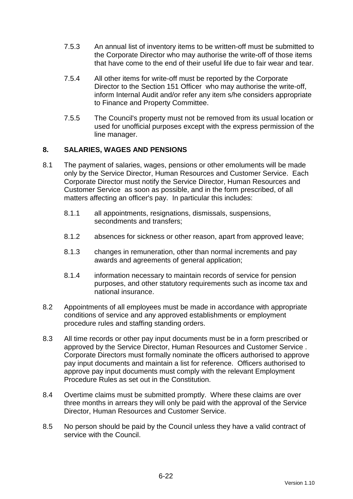- 7.5.3 An annual list of inventory items to be written-off must be submitted to the Corporate Director who may authorise the write-off of those items that have come to the end of their useful life due to fair wear and tear.
- 7.5.4 All other items for write-off must be reported by the Corporate Director to the Section 151 Officer who may authorise the write-off, inform Internal Audit and/or refer any item s/he considers appropriate to Finance and Property Committee.
- 7.5.5 The Council's property must not be removed from its usual location or used for unofficial purposes except with the express permission of the line manager.

### **8. SALARIES, WAGES AND PENSIONS**

- 8.1 The payment of salaries, wages, pensions or other emoluments will be made only by the Service Director, Human Resources and Customer Service. Each Corporate Director must notify the Service Director, Human Resources and Customer Service as soon as possible, and in the form prescribed, of all matters affecting an officer's pay. In particular this includes:
	- 8.1.1 all appointments, resignations, dismissals, suspensions, secondments and transfers;
	- 8.1.2 absences for sickness or other reason, apart from approved leave;
	- 8.1.3 changes in remuneration, other than normal increments and pay awards and agreements of general application;
	- 8.1.4 information necessary to maintain records of service for pension purposes, and other statutory requirements such as income tax and national insurance.
- 8.2 Appointments of all employees must be made in accordance with appropriate conditions of service and any approved establishments or employment procedure rules and staffing standing orders.
- 8.3 All time records or other pay input documents must be in a form prescribed or approved by the Service Director, Human Resources and Customer Service . Corporate Directors must formally nominate the officers authorised to approve pay input documents and maintain a list for reference. Officers authorised to approve pay input documents must comply with the relevant Employment Procedure Rules as set out in the Constitution.
- 8.4 Overtime claims must be submitted promptly. Where these claims are over three months in arrears they will only be paid with the approval of the Service Director, Human Resources and Customer Service.
- 8.5 No person should be paid by the Council unless they have a valid contract of service with the Council.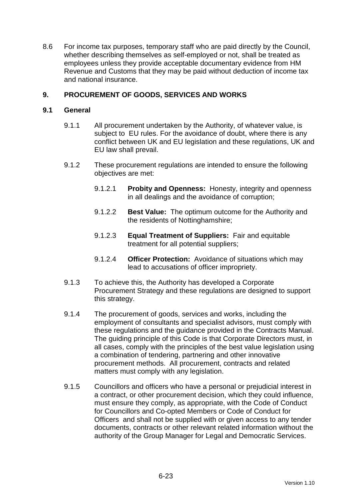8.6 For income tax purposes, temporary staff who are paid directly by the Council, whether describing themselves as self-employed or not, shall be treated as employees unless they provide acceptable documentary evidence from HM Revenue and Customs that they may be paid without deduction of income tax and national insurance.

### **9. PROCUREMENT OF GOODS, SERVICES AND WORKS**

### **9.1 General**

- 9.1.1 All procurement undertaken by the Authority, of whatever value, is subject to EU rules. For the avoidance of doubt, where there is any conflict between UK and EU legislation and these regulations, UK and EU law shall prevail.
- 9.1.2 These procurement regulations are intended to ensure the following objectives are met:
	- 9.1.2.1 **Probity and Openness:** Honesty, integrity and openness in all dealings and the avoidance of corruption;
	- 9.1.2.2 **Best Value:** The optimum outcome for the Authority and the residents of Nottinghamshire;
	- 9.1.2.3 **Equal Treatment of Suppliers:** Fair and equitable treatment for all potential suppliers;
	- 9.1.2.4 **Officer Protection:** Avoidance of situations which may lead to accusations of officer impropriety.
- 9.1.3 To achieve this, the Authority has developed a Corporate Procurement Strategy and these regulations are designed to support this strategy.
- 9.1.4 The procurement of goods, services and works, including the employment of consultants and specialist advisors, must comply with these regulations and the guidance provided in the Contracts Manual. The guiding principle of this Code is that Corporate Directors must, in all cases, comply with the principles of the best value legislation using a combination of tendering, partnering and other innovative procurement methods. All procurement, contracts and related matters must comply with any legislation.
- 9.1.5 Councillors and officers who have a personal or prejudicial interest in a contract, or other procurement decision, which they could influence, must ensure they comply, as appropriate, with the Code of Conduct for Councillors and Co-opted Members or Code of Conduct for Officers and shall not be supplied with or given access to any tender documents, contracts or other relevant related information without the authority of the Group Manager for Legal and Democratic Services.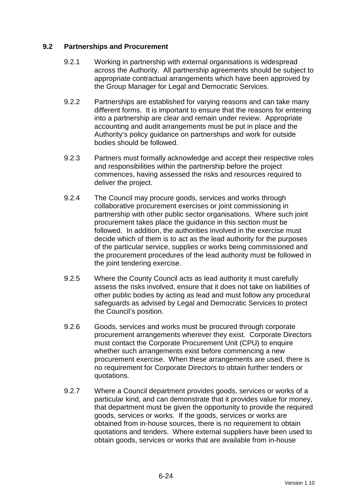### **9.2 Partnerships and Procurement**

- 9.2.1 Working in partnership with external organisations is widespread across the Authority. All partnership agreements should be subject to appropriate contractual arrangements which have been approved by the Group Manager for Legal and Democratic Services.
- 9.2.2 Partnerships are established for varying reasons and can take many different forms. It is important to ensure that the reasons for entering into a partnership are clear and remain under review. Appropriate accounting and audit arrangements must be put in place and the Authority's policy guidance on partnerships and work for outside bodies should be followed.
- 9.2.3 Partners must formally acknowledge and accept their respective roles and responsibilities within the partnership before the project commences, having assessed the risks and resources required to deliver the project.
- 9.2.4 The Council may procure goods, services and works through collaborative procurement exercises or joint commissioning in partnership with other public sector organisations. Where such joint procurement takes place the guidance in this section must be followed. In addition, the authorities involved in the exercise must decide which of them is to act as the lead authority for the purposes of the particular service, supplies or works being commissioned and the procurement procedures of the lead authority must be followed in the joint tendering exercise.
- 9.2.5 Where the County Council acts as lead authority it must carefully assess the risks involved, ensure that it does not take on liabilities of other public bodies by acting as lead and must follow any procedural safeguards as advised by Legal and Democratic Services to protect the Council's position.
- 9.2.6 Goods, services and works must be procured through corporate procurement arrangements wherever they exist. Corporate Directors must contact the Corporate Procurement Unit (CPU) to enquire whether such arrangements exist before commencing a new procurement exercise. When these arrangements are used, there is no requirement for Corporate Directors to obtain further tenders or quotations.
- 9.2.7 Where a Council department provides goods, services or works of a particular kind, and can demonstrate that it provides value for money, that department must be given the opportunity to provide the required goods, services or works. If the goods, services or works are obtained from in-house sources, there is no requirement to obtain quotations and tenders. Where external suppliers have been used to obtain goods, services or works that are available from in-house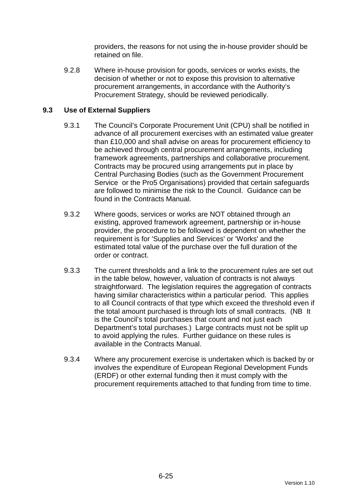providers, the reasons for not using the in-house provider should be retained on file.

9.2.8 Where in-house provision for goods, services or works exists, the decision of whether or not to expose this provision to alternative procurement arrangements, in accordance with the Authority's Procurement Strategy, should be reviewed periodically.

### **9.3 Use of External Suppliers**

- 9.3.1 The Council's Corporate Procurement Unit (CPU) shall be notified in advance of all procurement exercises with an estimated value greater than £10,000 and shall advise on areas for procurement efficiency to be achieved through central procurement arrangements, including framework agreements, partnerships and collaborative procurement. Contracts may be procured using arrangements put in place by Central Purchasing Bodies (such as the Government Procurement Service or the Pro5 Organisations) provided that certain safeguards are followed to minimise the risk to the Council. Guidance can be found in the Contracts Manual.
- 9.3.2 Where goods, services or works are NOT obtained through an existing, approved framework agreement, partnership or in-house provider, the procedure to be followed is dependent on whether the requirement is for 'Supplies and Services' or 'Works' and the estimated total value of the purchase over the full duration of the order or contract.
- 9.3.3 The current thresholds and a link to the procurement rules are set out in the table below, however, valuation of contracts is not always straightforward. The legislation requires the aggregation of contracts having similar characteristics within a particular period. This applies to all Council contracts of that type which exceed the threshold even if the total amount purchased is through lots of small contracts. (NB It is the Council's total purchases that count and not just each Department's total purchases.) Large contracts must not be split up to avoid applying the rules. Further guidance on these rules is available in the Contracts Manual.
- 9.3.4 Where any procurement exercise is undertaken which is backed by or involves the expenditure of European Regional Development Funds (ERDF) or other external funding then it must comply with the procurement requirements attached to that funding from time to time.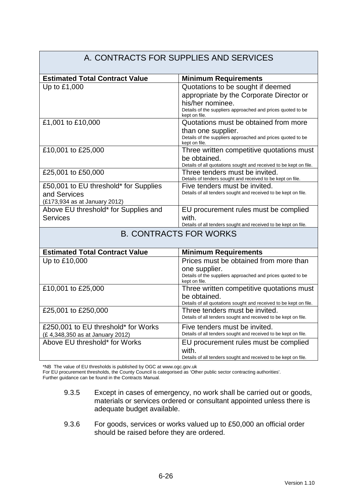#### A. CONTRACTS FOR SUPPLIES AND SERVICES **Estimated Total Contract Value Minimum Requirements** Up to £1,000  $\vert$  Quotations to be sought if deemed appropriate by the Corporate Director or his/her nominee. Details of the suppliers approached and prices quoted to be kept on file. £1,001 to £10,000 Quotations must be obtained from more than one supplier. Details of the suppliers approached and prices quoted to be kept on file. £10,001 to £25,000 Three written competitive quotations must be obtained. Details of all quotations sought and received to be kept on file. £25,001 to £50,000 Three tenders must be invited. Details of tenders sought and received to be kept on file. £50,001 to EU threshold\* for Supplies and Services (£173,934 as at January 2012) Five tenders must be invited. Details of all tenders sought and received to be kept on file. Above EU threshold\* for Supplies and **Services** EU procurement rules must be complied with. Details of all tenders sought and received to be kept on file. B. CONTRACTS FOR WORKS **Estimated Total Contract Value | Minimum Requirements** Up to £10,000 Prices must be obtained from more than one supplier. Details of the suppliers approached and prices quoted to be kept on file. £10,001 to £25,000 Three written competitive quotations must be obtained. Details of all quotations sought and received to be kept on file. £25,001 to £250,000 Three tenders must be invited. Details of all tenders sought and received to be kept on file. £250,001 to EU threshold\* for Works (£ 4,348,350 as at January 2012) Five tenders must be invited. Details of all tenders sought and received to be kept on file. Above EU threshold\* for Works **EU** procurement rules must be complied with. Details of all tenders sought and received to be kept on file.

\*NB The value of EU thresholds is published by OGC at www.ogc.gov.uk

For EU procurement thresholds, the County Council is categorised as 'Other public sector contracting authorities'.

Further guidance can be found in the Contracts Manual.

- 9.3.5 Except in cases of emergency, no work shall be carried out or goods, materials or services ordered or consultant appointed unless there is adequate budget available.
- 9.3.6 For goods, services or works valued up to £50,000 an official order should be raised before they are ordered.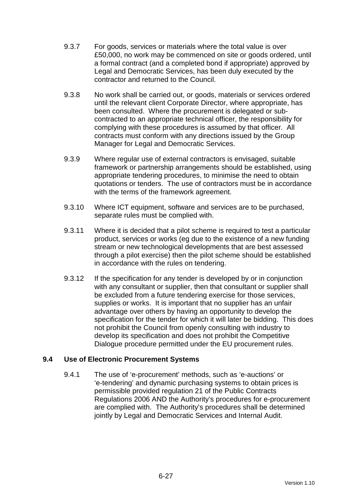- 9.3.7 For goods, services or materials where the total value is over £50,000, no work may be commenced on site or goods ordered, until a formal contract (and a completed bond if appropriate) approved by Legal and Democratic Services, has been duly executed by the contractor and returned to the Council.
- 9.3.8 No work shall be carried out, or goods, materials or services ordered until the relevant client Corporate Director, where appropriate, has been consulted. Where the procurement is delegated or subcontracted to an appropriate technical officer, the responsibility for complying with these procedures is assumed by that officer. All contracts must conform with any directions issued by the Group Manager for Legal and Democratic Services.
- 9.3.9 Where regular use of external contractors is envisaged, suitable framework or partnership arrangements should be established, using appropriate tendering procedures, to minimise the need to obtain quotations or tenders. The use of contractors must be in accordance with the terms of the framework agreement.
- 9.3.10 Where ICT equipment, software and services are to be purchased, separate rules must be complied with.
- 9.3.11 Where it is decided that a pilot scheme is required to test a particular product, services or works (eg due to the existence of a new funding stream or new technological developments that are best assessed through a pilot exercise) then the pilot scheme should be established in accordance with the rules on tendering.
- 9.3.12 If the specification for any tender is developed by or in conjunction with any consultant or supplier, then that consultant or supplier shall be excluded from a future tendering exercise for those services, supplies or works. It is important that no supplier has an unfair advantage over others by having an opportunity to develop the specification for the tender for which it will later be bidding. This does not prohibit the Council from openly consulting with industry to develop its specification and does not prohibit the Competitive Dialogue procedure permitted under the EU procurement rules.

### **9.4 Use of Electronic Procurement Systems**

9.4.1 The use of 'e-procurement' methods, such as 'e-auctions' or 'e-tendering' and dynamic purchasing systems to obtain prices is permissible provided regulation 21 of the Public Contracts Regulations 2006 AND the Authority's procedures for e-procurement are complied with. The Authority's procedures shall be determined jointly by Legal and Democratic Services and Internal Audit.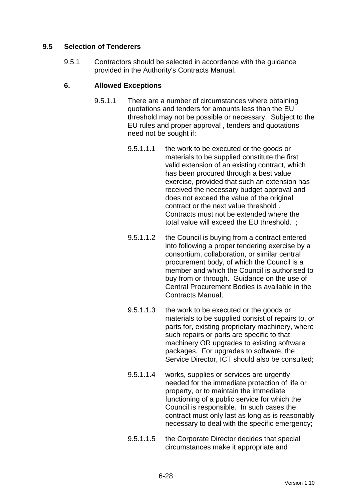### **9.5 Selection of Tenderers**

9.5.1 Contractors should be selected in accordance with the guidance provided in the Authority's Contracts Manual.

### **6. Allowed Exceptions**

- 9.5.1.1 There are a number of circumstances where obtaining quotations and tenders for amounts less than the EU threshold may not be possible or necessary. Subject to the EU rules and proper approval , tenders and quotations need not be sought if:
	- 9.5.1.1.1 the work to be executed or the goods or materials to be supplied constitute the first valid extension of an existing contract, which has been procured through a best value exercise, provided that such an extension has received the necessary budget approval and does not exceed the value of the original contract or the next value threshold . Contracts must not be extended where the total value will exceed the EU threshold. ;
	- 9.5.1.1.2 the Council is buying from a contract entered into following a proper tendering exercise by a consortium, collaboration, or similar central procurement body, of which the Council is a member and which the Council is authorised to buy from or through. Guidance on the use of Central Procurement Bodies is available in the Contracts Manual;
	- 9.5.1.1.3 the work to be executed or the goods or materials to be supplied consist of repairs to, or parts for, existing proprietary machinery, where such repairs or parts are specific to that machinery OR upgrades to existing software packages. For upgrades to software, the Service Director, ICT should also be consulted;
	- 9.5.1.1.4 works, supplies or services are urgently needed for the immediate protection of life or property, or to maintain the immediate functioning of a public service for which the Council is responsible. In such cases the contract must only last as long as is reasonably necessary to deal with the specific emergency;
	- 9.5.1.1.5 the Corporate Director decides that special circumstances make it appropriate and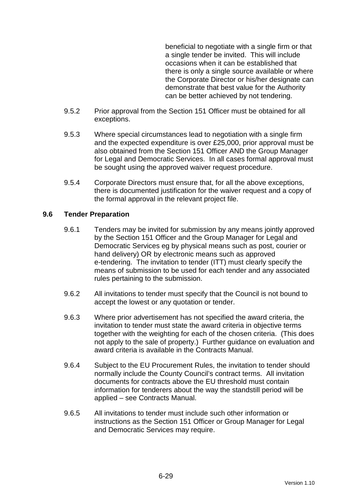beneficial to negotiate with a single firm or that a single tender be invited. This will include occasions when it can be established that there is only a single source available or where the Corporate Director or his/her designate can demonstrate that best value for the Authority can be better achieved by not tendering.

- 9.5.2 Prior approval from the Section 151 Officer must be obtained for all exceptions.
- 9.5.3 Where special circumstances lead to negotiation with a single firm and the expected expenditure is over £25,000, prior approval must be also obtained from the Section 151 Officer AND the Group Manager for Legal and Democratic Services. In all cases formal approval must be sought using the approved waiver request procedure.
- 9.5.4 Corporate Directors must ensure that, for all the above exceptions, there is documented justification for the waiver request and a copy of the formal approval in the relevant project file.

### **9.6 Tender Preparation**

- 9.6.1 Tenders may be invited for submission by any means jointly approved by the Section 151 Officer and the Group Manager for Legal and Democratic Services eg by physical means such as post, courier or hand delivery) OR by electronic means such as approved e-tendering. The invitation to tender (ITT) must clearly specify the means of submission to be used for each tender and any associated rules pertaining to the submission.
- 9.6.2 All invitations to tender must specify that the Council is not bound to accept the lowest or any quotation or tender.
- 9.6.3 Where prior advertisement has not specified the award criteria, the invitation to tender must state the award criteria in objective terms together with the weighting for each of the chosen criteria. (This does not apply to the sale of property.) Further guidance on evaluation and award criteria is available in the Contracts Manual.
- 9.6.4 Subject to the EU Procurement Rules, the invitation to tender should normally include the County Council's contract terms. All invitation documents for contracts above the EU threshold must contain information for tenderers about the way the standstill period will be applied – see Contracts Manual.
- 9.6.5 All invitations to tender must include such other information or instructions as the Section 151 Officer or Group Manager for Legal and Democratic Services may require.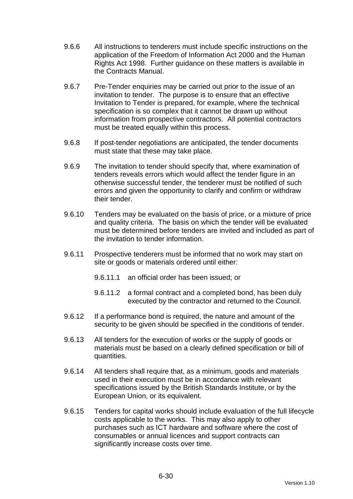- 9.6.6 All instructions to tenderers must include specific instructions on the application of the Freedom of Information Act 2000 and the Human Rights Act 1998. Further guidance on these matters is available in the Contracts Manual.
- 9.6.7 Pre-Tender enquiries may be carried out prior to the issue of an invitation to tender. The purpose is to ensure that an effective Invitation to Tender is prepared, for example, where the technical specification is so complex that it cannot be drawn up without information from prospective contractors. All potential contractors must be treated equally within this process.
- 9.6.8 If post-tender negotiations are anticipated, the tender documents must state that these may take place.
- 9.6.9 The invitation to tender should specify that, where examination of tenders reveals errors which would affect the tender figure in an otherwise successful tender, the tenderer must be notified of such errors and given the opportunity to clarify and confirm or withdraw their tender.
- 9.6.10 Tenders may be evaluated on the basis of price, or a mixture of price and quality criteria. The basis on which the tender will be evaluated must be determined before tenders are invited and included as part of the invitation to tender information.
- 9.6.11 Prospective tenderers must be informed that no work may start on site or goods or materials ordered until either:
	- 9.6.11.1 an official order has been issued; or
	- 9.6.11.2 a formal contract and a completed bond, has been duly executed by the contractor and returned to the Council.
- 9.6.12 If a performance bond is required, the nature and amount of the security to be given should be specified in the conditions of tender.
- 9.6.13 All tenders for the execution of works or the supply of goods or materials must be based on a clearly defined specification or bill of quantities.
- 9.6.14 All tenders shall require that, as a minimum, goods and materials used in their execution must be in accordance with relevant specifications issued by the British Standards Institute, or by the European Union, or its equivalent.
- 9.6.15 Tenders for capital works should include evaluation of the full lifecycle costs applicable to the works. This may also apply to other purchases such as ICT hardware and software where the cost of consumables or annual licences and support contracts can significantly increase costs over time.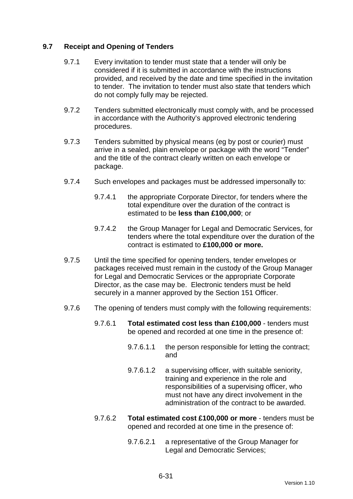### **9.7 Receipt and Opening of Tenders**

- 9.7.1 Every invitation to tender must state that a tender will only be considered if it is submitted in accordance with the instructions provided, and received by the date and time specified in the invitation to tender. The invitation to tender must also state that tenders which do not comply fully may be rejected.
- 9.7.2 Tenders submitted electronically must comply with, and be processed in accordance with the Authority's approved electronic tendering procedures.
- 9.7.3 Tenders submitted by physical means (eg by post or courier) must arrive in a sealed, plain envelope or package with the word "Tender" and the title of the contract clearly written on each envelope or package.
- 9.7.4 Such envelopes and packages must be addressed impersonally to:
	- 9.7.4.1 the appropriate Corporate Director, for tenders where the total expenditure over the duration of the contract is estimated to be **less than £100,000**; or
	- 9.7.4.2 the Group Manager for Legal and Democratic Services, for tenders where the total expenditure over the duration of the contract is estimated to **£100,000 or more.**
- 9.7.5 Until the time specified for opening tenders, tender envelopes or packages received must remain in the custody of the Group Manager for Legal and Democratic Services or the appropriate Corporate Director, as the case may be. Electronic tenders must be held securely in a manner approved by the Section 151 Officer.
- 9.7.6 The opening of tenders must comply with the following requirements:
	- 9.7.6.1 **Total estimated cost less than £100,000** tenders must be opened and recorded at one time in the presence of:
		- 9.7.6.1.1 the person responsible for letting the contract; and
		- 9.7.6.1.2 a supervising officer, with suitable seniority, training and experience in the role and responsibilities of a supervising officer, who must not have any direct involvement in the administration of the contract to be awarded.
	- 9.7.6.2 **Total estimated cost £100,000 or more** tenders must be opened and recorded at one time in the presence of:
		- 9.7.6.2.1 a representative of the Group Manager for Legal and Democratic Services;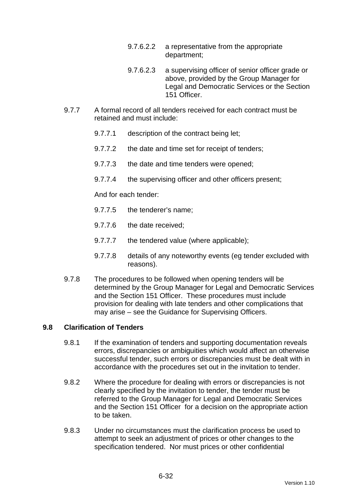- 9.7.6.2.2 a representative from the appropriate department;
- 9.7.6.2.3 a supervising officer of senior officer grade or above, provided by the Group Manager for Legal and Democratic Services or the Section 151 Officer.
- 9.7.7 A formal record of all tenders received for each contract must be retained and must include:
	- 9.7.7.1 description of the contract being let;
	- 9.7.7.2 the date and time set for receipt of tenders;
	- 9.7.7.3 the date and time tenders were opened;
	- 9.7.7.4 the supervising officer and other officers present;

And for each tender:

- 9.7.7.5 the tenderer's name;
- 9.7.7.6 the date received;
- 9.7.7.7 the tendered value (where applicable);
- 9.7.7.8 details of any noteworthy events (eg tender excluded with reasons).
- 9.7.8 The procedures to be followed when opening tenders will be determined by the Group Manager for Legal and Democratic Services and the Section 151 Officer. These procedures must include provision for dealing with late tenders and other complications that may arise – see the Guidance for Supervising Officers.

### **9.8 Clarification of Tenders**

- 9.8.1 If the examination of tenders and supporting documentation reveals errors, discrepancies or ambiguities which would affect an otherwise successful tender, such errors or discrepancies must be dealt with in accordance with the procedures set out in the invitation to tender.
- 9.8.2 Where the procedure for dealing with errors or discrepancies is not clearly specified by the invitation to tender, the tender must be referred to the Group Manager for Legal and Democratic Services and the Section 151 Officer for a decision on the appropriate action to be taken.
- 9.8.3 Under no circumstances must the clarification process be used to attempt to seek an adjustment of prices or other changes to the specification tendered. Nor must prices or other confidential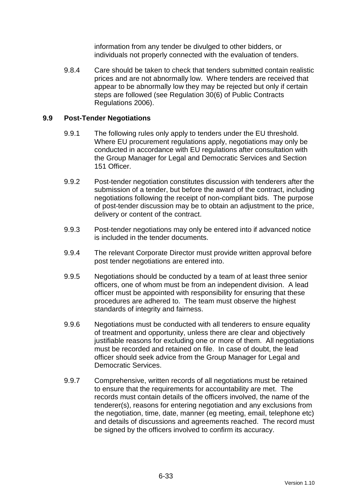information from any tender be divulged to other bidders, or individuals not properly connected with the evaluation of tenders.

9.8.4 Care should be taken to check that tenders submitted contain realistic prices and are not abnormally low. Where tenders are received that appear to be abnormally low they may be rejected but only if certain steps are followed (see Regulation 30(6) of Public Contracts Regulations 2006).

### **9.9 Post-Tender Negotiations**

- 9.9.1 The following rules only apply to tenders under the EU threshold. Where EU procurement regulations apply, negotiations may only be conducted in accordance with EU regulations after consultation with the Group Manager for Legal and Democratic Services and Section 151 Officer.
- 9.9.2 Post-tender negotiation constitutes discussion with tenderers after the submission of a tender, but before the award of the contract, including negotiations following the receipt of non-compliant bids. The purpose of post-tender discussion may be to obtain an adjustment to the price, delivery or content of the contract.
- 9.9.3 Post-tender negotiations may only be entered into if advanced notice is included in the tender documents.
- 9.9.4 The relevant Corporate Director must provide written approval before post tender negotiations are entered into.
- 9.9.5 Negotiations should be conducted by a team of at least three senior officers, one of whom must be from an independent division. A lead officer must be appointed with responsibility for ensuring that these procedures are adhered to. The team must observe the highest standards of integrity and fairness.
- 9.9.6 Negotiations must be conducted with all tenderers to ensure equality of treatment and opportunity, unless there are clear and objectively justifiable reasons for excluding one or more of them. All negotiations must be recorded and retained on file. In case of doubt, the lead officer should seek advice from the Group Manager for Legal and Democratic Services.
- 9.9.7 Comprehensive, written records of all negotiations must be retained to ensure that the requirements for accountability are met. The records must contain details of the officers involved, the name of the tenderer(s), reasons for entering negotiation and any exclusions from the negotiation, time, date, manner (eg meeting, email, telephone etc) and details of discussions and agreements reached. The record must be signed by the officers involved to confirm its accuracy.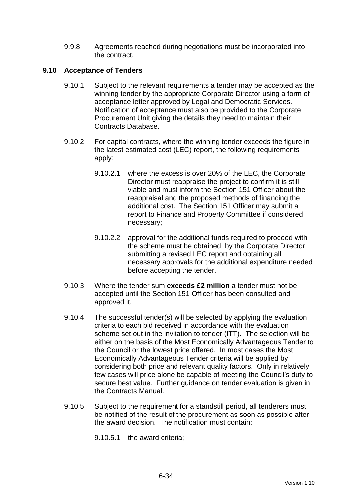9.9.8 Agreements reached during negotiations must be incorporated into the contract.

### **9.10 Acceptance of Tenders**

- 9.10.1 Subject to the relevant requirements a tender may be accepted as the winning tender by the appropriate Corporate Director using a form of acceptance letter approved by Legal and Democratic Services. Notification of acceptance must also be provided to the Corporate Procurement Unit giving the details they need to maintain their Contracts Database.
- 9.10.2 For capital contracts, where the winning tender exceeds the figure in the latest estimated cost (LEC) report, the following requirements apply:
	- 9.10.2.1 where the excess is over 20% of the LEC, the Corporate Director must reappraise the project to confirm it is still viable and must inform the Section 151 Officer about the reappraisal and the proposed methods of financing the additional cost. The Section 151 Officer may submit a report to Finance and Property Committee if considered necessary;
	- 9.10.2.2 approval for the additional funds required to proceed with the scheme must be obtained by the Corporate Director submitting a revised LEC report and obtaining all necessary approvals for the additional expenditure needed before accepting the tender.
- 9.10.3 Where the tender sum **exceeds £2 million** a tender must not be accepted until the Section 151 Officer has been consulted and approved it.
- 9.10.4 The successful tender(s) will be selected by applying the evaluation criteria to each bid received in accordance with the evaluation scheme set out in the invitation to tender (ITT). The selection will be either on the basis of the Most Economically Advantageous Tender to the Council or the lowest price offered. In most cases the Most Economically Advantageous Tender criteria will be applied by considering both price and relevant quality factors. Only in relatively few cases will price alone be capable of meeting the Council's duty to secure best value. Further guidance on tender evaluation is given in the Contracts Manual.
- 9.10.5 Subject to the requirement for a standstill period, all tenderers must be notified of the result of the procurement as soon as possible after the award decision. The notification must contain:

9.10.5.1 the award criteria;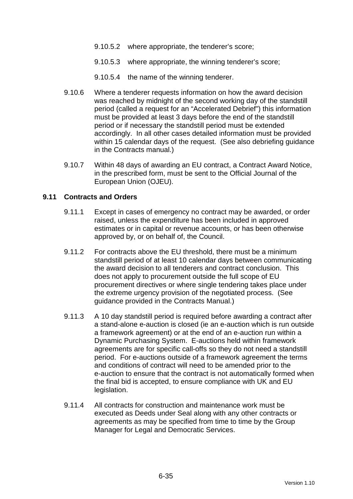- 9.10.5.2 where appropriate, the tenderer's score;
- 9.10.5.3 where appropriate, the winning tenderer's score;
- 9.10.5.4 the name of the winning tenderer.
- 9.10.6 Where a tenderer requests information on how the award decision was reached by midnight of the second working day of the standstill period (called a request for an "Accelerated Debrief") this information must be provided at least 3 days before the end of the standstill period or if necessary the standstill period must be extended accordingly. In all other cases detailed information must be provided within 15 calendar days of the request. (See also debriefing guidance in the Contracts manual.)
- 9.10.7 Within 48 days of awarding an EU contract, a Contract Award Notice, in the prescribed form, must be sent to the Official Journal of the European Union (OJEU).

#### **9.11 Contracts and Orders**

- 9.11.1 Except in cases of emergency no contract may be awarded, or order raised, unless the expenditure has been included in approved estimates or in capital or revenue accounts, or has been otherwise approved by, or on behalf of, the Council.
- 9.11.2 For contracts above the EU threshold, there must be a minimum standstill period of at least 10 calendar days between communicating the award decision to all tenderers and contract conclusion. This does not apply to procurement outside the full scope of EU procurement directives or where single tendering takes place under the extreme urgency provision of the negotiated process. (See guidance provided in the Contracts Manual.)
- 9.11.3 A 10 day standstill period is required before awarding a contract after a stand-alone e-auction is closed (ie an e-auction which is run outside a framework agreement) or at the end of an e-auction run within a Dynamic Purchasing System. E-auctions held within framework agreements are for specific call-offs so they do not need a standstill period. For e-auctions outside of a framework agreement the terms and conditions of contract will need to be amended prior to the e-auction to ensure that the contract is not automatically formed when the final bid is accepted, to ensure compliance with UK and EU legislation.
- 9.11.4 All contracts for construction and maintenance work must be executed as Deeds under Seal along with any other contracts or agreements as may be specified from time to time by the Group Manager for Legal and Democratic Services.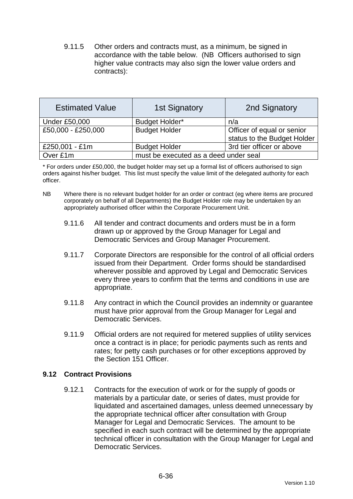9.11.5 Other orders and contracts must, as a minimum, be signed in accordance with the table below. (NB Officers authorised to sign higher value contracts may also sign the lower value orders and contracts):

| <b>Estimated Value</b> | <b>1st Signatory</b>                  | 2nd Signatory               |  |
|------------------------|---------------------------------------|-----------------------------|--|
| <b>Under £50,000</b>   | <b>Budget Holder*</b>                 | n/a                         |  |
| £50,000 - £250,000     | <b>Budget Holder</b>                  | Officer of equal or senior  |  |
|                        |                                       | status to the Budget Holder |  |
| £250,001 - £1m         | <b>Budget Holder</b>                  | 3rd tier officer or above   |  |
| Over £1m               | must be executed as a deed under seal |                             |  |

\* For orders under £50,000, the budget holder may set up a formal list of officers authorised to sign orders against his/her budget. This list must specify the value limit of the delegated authority for each officer.

- NB Where there is no relevant budget holder for an order or contract (eg where items are procured corporately on behalf of all Departments) the Budget Holder role may be undertaken by an appropriately authorised officer within the Corporate Procurement Unit.
	- 9.11.6 All tender and contract documents and orders must be in a form drawn up or approved by the Group Manager for Legal and Democratic Services and Group Manager Procurement.
	- 9.11.7 Corporate Directors are responsible for the control of all official orders issued from their Department. Order forms should be standardised wherever possible and approved by Legal and Democratic Services every three years to confirm that the terms and conditions in use are appropriate.
	- 9.11.8 Any contract in which the Council provides an indemnity or guarantee must have prior approval from the Group Manager for Legal and Democratic Services.
	- 9.11.9 Official orders are not required for metered supplies of utility services once a contract is in place; for periodic payments such as rents and rates; for petty cash purchases or for other exceptions approved by the Section 151 Officer.

### **9.12 Contract Provisions**

9.12.1 Contracts for the execution of work or for the supply of goods or materials by a particular date, or series of dates, must provide for liquidated and ascertained damages, unless deemed unnecessary by the appropriate technical officer after consultation with Group Manager for Legal and Democratic Services. The amount to be specified in each such contract will be determined by the appropriate technical officer in consultation with the Group Manager for Legal and Democratic Services.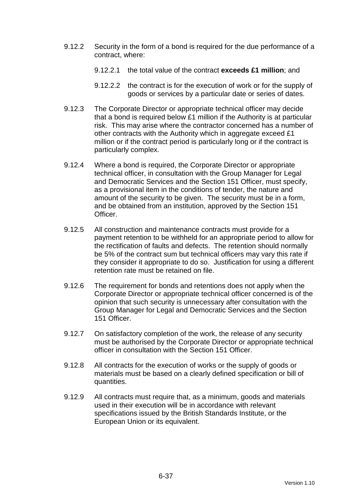- 9.12.2 Security in the form of a bond is required for the due performance of a contract, where:
	- 9.12.2.1 the total value of the contract **exceeds £1 million**; and
	- 9.12.2.2 the contract is for the execution of work or for the supply of goods or services by a particular date or series of dates.
- 9.12.3 The Corporate Director or appropriate technical officer may decide that a bond is required below £1 million if the Authority is at particular risk. This may arise where the contractor concerned has a number of other contracts with the Authority which in aggregate exceed £1 million or if the contract period is particularly long or if the contract is particularly complex.
- 9.12.4 Where a bond is required, the Corporate Director or appropriate technical officer, in consultation with the Group Manager for Legal and Democratic Services and the Section 151 Officer, must specify, as a provisional item in the conditions of tender, the nature and amount of the security to be given. The security must be in a form, and be obtained from an institution, approved by the Section 151 Officer.
- 9.12.5 All construction and maintenance contracts must provide for a payment retention to be withheld for an appropriate period to allow for the rectification of faults and defects. The retention should normally be 5% of the contract sum but technical officers may vary this rate if they consider it appropriate to do so. Justification for using a different retention rate must be retained on file.
- 9.12.6 The requirement for bonds and retentions does not apply when the Corporate Director or appropriate technical officer concerned is of the opinion that such security is unnecessary after consultation with the Group Manager for Legal and Democratic Services and the Section 151 Officer.
- 9.12.7 On satisfactory completion of the work, the release of any security must be authorised by the Corporate Director or appropriate technical officer in consultation with the Section 151 Officer.
- 9.12.8 All contracts for the execution of works or the supply of goods or materials must be based on a clearly defined specification or bill of quantities.
- 9.12.9 All contracts must require that, as a minimum, goods and materials used in their execution will be in accordance with relevant specifications issued by the British Standards Institute, or the European Union or its equivalent.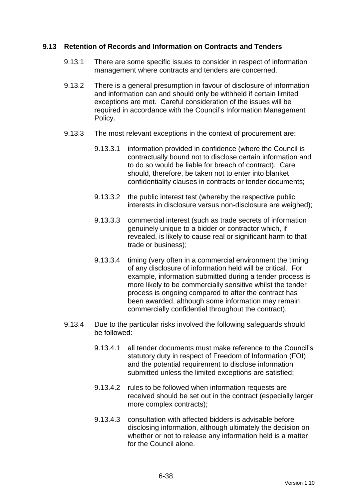### **9.13 Retention of Records and Information on Contracts and Tenders**

- 9.13.1 There are some specific issues to consider in respect of information management where contracts and tenders are concerned.
- 9.13.2 There is a general presumption in favour of disclosure of information and information can and should only be withheld if certain limited exceptions are met. Careful consideration of the issues will be required in accordance with the Council's Information Management Policy.
- 9.13.3 The most relevant exceptions in the context of procurement are:
	- 9.13.3.1 information provided in confidence (where the Council is contractually bound not to disclose certain information and to do so would be liable for breach of contract). Care should, therefore, be taken not to enter into blanket confidentiality clauses in contracts or tender documents;
	- 9.13.3.2 the public interest test (whereby the respective public interests in disclosure versus non-disclosure are weighed);
	- 9.13.3.3 commercial interest (such as trade secrets of information genuinely unique to a bidder or contractor which, if revealed, is likely to cause real or significant harm to that trade or business);
	- 9.13.3.4 timing (very often in a commercial environment the timing of any disclosure of information held will be critical. For example, information submitted during a tender process is more likely to be commercially sensitive whilst the tender process is ongoing compared to after the contract has been awarded, although some information may remain commercially confidential throughout the contract).
- 9.13.4 Due to the particular risks involved the following safeguards should be followed:
	- 9.13.4.1 all tender documents must make reference to the Council's statutory duty in respect of Freedom of Information (FOI) and the potential requirement to disclose information submitted unless the limited exceptions are satisfied;
	- 9.13.4.2 rules to be followed when information requests are received should be set out in the contract (especially larger more complex contracts);
	- 9.13.4.3 consultation with affected bidders is advisable before disclosing information, although ultimately the decision on whether or not to release any information held is a matter for the Council alone.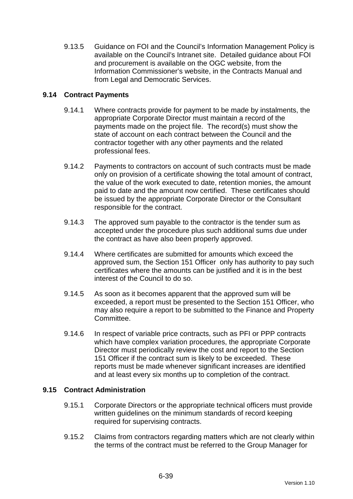9.13.5 Guidance on FOI and the Council's Information Management Policy is available on the Council's Intranet site. Detailed guidance about FOI and procurement is available on the OGC website, from the Information Commissioner's website, in the Contracts Manual and from Legal and Democratic Services.

### **9.14 Contract Payments**

- 9.14.1 Where contracts provide for payment to be made by instalments, the appropriate Corporate Director must maintain a record of the payments made on the project file. The record(s) must show the state of account on each contract between the Council and the contractor together with any other payments and the related professional fees.
- 9.14.2 Payments to contractors on account of such contracts must be made only on provision of a certificate showing the total amount of contract, the value of the work executed to date, retention monies, the amount paid to date and the amount now certified. These certificates should be issued by the appropriate Corporate Director or the Consultant responsible for the contract.
- 9.14.3 The approved sum payable to the contractor is the tender sum as accepted under the procedure plus such additional sums due under the contract as have also been properly approved.
- 9.14.4 Where certificates are submitted for amounts which exceed the approved sum, the Section 151 Officer only has authority to pay such certificates where the amounts can be justified and it is in the best interest of the Council to do so.
- 9.14.5 As soon as it becomes apparent that the approved sum will be exceeded, a report must be presented to the Section 151 Officer, who may also require a report to be submitted to the Finance and Property Committee.
- 9.14.6 In respect of variable price contracts, such as PFI or PPP contracts which have complex variation procedures, the appropriate Corporate Director must periodically review the cost and report to the Section 151 Officer if the contract sum is likely to be exceeded. These reports must be made whenever significant increases are identified and at least every six months up to completion of the contract.

### **9.15 Contract Administration**

- 9.15.1 Corporate Directors or the appropriate technical officers must provide written guidelines on the minimum standards of record keeping required for supervising contracts.
- 9.15.2 Claims from contractors regarding matters which are not clearly within the terms of the contract must be referred to the Group Manager for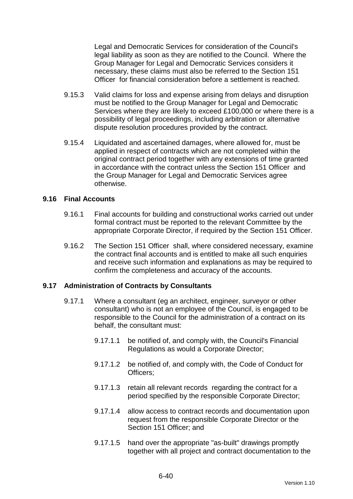Legal and Democratic Services for consideration of the Council's legal liability as soon as they are notified to the Council. Where the Group Manager for Legal and Democratic Services considers it necessary, these claims must also be referred to the Section 151 Officer for financial consideration before a settlement is reached.

- 9.15.3 Valid claims for loss and expense arising from delays and disruption must be notified to the Group Manager for Legal and Democratic Services where they are likely to exceed £100,000 or where there is a possibility of legal proceedings, including arbitration or alternative dispute resolution procedures provided by the contract.
- 9.15.4 Liquidated and ascertained damages, where allowed for, must be applied in respect of contracts which are not completed within the original contract period together with any extensions of time granted in accordance with the contract unless the Section 151 Officer and the Group Manager for Legal and Democratic Services agree otherwise.

#### **9.16 Final Accounts**

- 9.16.1 Final accounts for building and constructional works carried out under formal contract must be reported to the relevant Committee by the appropriate Corporate Director, if required by the Section 151 Officer.
- 9.16.2 The Section 151 Officer shall, where considered necessary, examine the contract final accounts and is entitled to make all such enquiries and receive such information and explanations as may be required to confirm the completeness and accuracy of the accounts.

### **9.17 Administration of Contracts by Consultants**

- 9.17.1 Where a consultant (eg an architect, engineer, surveyor or other consultant) who is not an employee of the Council, is engaged to be responsible to the Council for the administration of a contract on its behalf, the consultant must:
	- 9.17.1.1 be notified of, and comply with, the Council's Financial Regulations as would a Corporate Director;
	- 9.17.1.2 be notified of, and comply with, the Code of Conduct for Officers;
	- 9.17.1.3 retain all relevant records regarding the contract for a period specified by the responsible Corporate Director;
	- 9.17.1.4 allow access to contract records and documentation upon request from the responsible Corporate Director or the Section 151 Officer: and
	- 9.17.1.5 hand over the appropriate "as-built" drawings promptly together with all project and contract documentation to the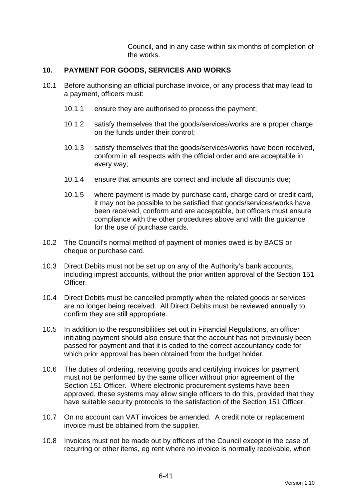Council, and in any case within six months of completion of the works.

### **10. PAYMENT FOR GOODS, SERVICES AND WORKS**

- 10.1 Before authorising an official purchase invoice, or any process that may lead to a payment, officers must:
	- 10.1.1 ensure they are authorised to process the payment;
	- 10.1.2 satisfy themselves that the goods/services/works are a proper charge on the funds under their control;
	- 10.1.3 satisfy themselves that the goods/services/works have been received, conform in all respects with the official order and are acceptable in every way;
	- 10.1.4 ensure that amounts are correct and include all discounts due;
	- 10.1.5 where payment is made by purchase card, charge card or credit card, it may not be possible to be satisfied that goods/services/works have been received, conform and are acceptable, but officers must ensure compliance with the other procedures above and with the guidance for the use of purchase cards.
- 10.2 The Council's normal method of payment of monies owed is by BACS or cheque or purchase card.
- 10.3 Direct Debits must not be set up on any of the Authority's bank accounts, including imprest accounts, without the prior written approval of the Section 151 Officer.
- 10.4 Direct Debits must be cancelled promptly when the related goods or services are no longer being received. All Direct Debits must be reviewed annually to confirm they are still appropriate.
- 10.5 In addition to the responsibilities set out in Financial Regulations, an officer initiating payment should also ensure that the account has not previously been passed for payment and that it is coded to the correct accountancy code for which prior approval has been obtained from the budget holder.
- 10.6 The duties of ordering, receiving goods and certifying invoices for payment must not be performed by the same officer without prior agreement of the Section 151 Officer. Where electronic procurement systems have been approved, these systems may allow single officers to do this, provided that they have suitable security protocols to the satisfaction of the Section 151 Officer.
- 10.7 On no account can VAT invoices be amended. A credit note or replacement invoice must be obtained from the supplier.
- 10.8 Invoices must not be made out by officers of the Council except in the case of recurring or other items, eg rent where no invoice is normally receivable, when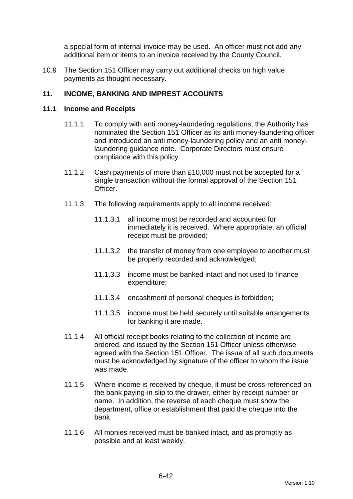a special form of internal invoice may be used. An officer must not add any additional item or items to an invoice received by the County Council.

10.9 The Section 151 Officer may carry out additional checks on high value payments as thought necessary.

### **11. INCOME, BANKING AND IMPREST ACCOUNTS**

#### **11.1 Income and Receipts**

- 11.1.1 To comply with anti money-laundering regulations, the Authority has nominated the Section 151 Officer as its anti money-laundering officer and introduced an anti money-laundering policy and an anti moneylaundering guidance note. Corporate Directors must ensure compliance with this policy.
- 11.1.2 Cash payments of more than £10,000 must not be accepted for a single transaction without the formal approval of the Section 151 Officer.
- 11.1.3 The following requirements apply to all income received:
	- 11.1.3.1 all income must be recorded and accounted for immediately it is received. Where appropriate, an official receipt must be provided;
	- 11.1.3.2 the transfer of money from one employee to another must be properly recorded and acknowledged;
	- 11.1.3.3 income must be banked intact and not used to finance expenditure;
	- 11.1.3.4 encashment of personal cheques is forbidden;
	- 11.1.3.5 income must be held securely until suitable arrangements for banking it are made.
- 11.1.4 All official receipt books relating to the collection of income are ordered, and issued by the Section 151 Officer unless otherwise agreed with the Section 151 Officer. The issue of all such documents must be acknowledged by signature of the officer to whom the issue was made.
- 11.1.5 Where income is received by cheque, it must be cross-referenced on the bank paying-in slip to the drawer, either by receipt number or name. In addition, the reverse of each cheque must show the department, office or establishment that paid the cheque into the bank.
- 11.1.6 All monies received must be banked intact, and as promptly as possible and at least weekly.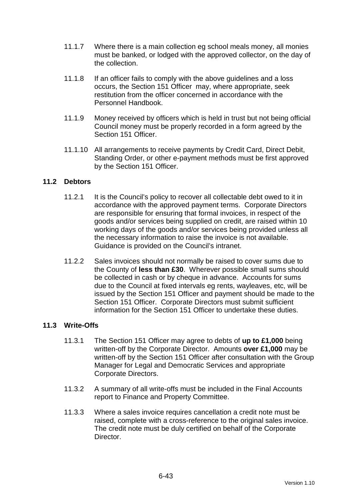- 11.1.7 Where there is a main collection eg school meals money, all monies must be banked, or lodged with the approved collector, on the day of the collection.
- 11.1.8 If an officer fails to comply with the above guidelines and a loss occurs, the Section 151 Officer may, where appropriate, seek restitution from the officer concerned in accordance with the Personnel Handbook.
- 11.1.9 Money received by officers which is held in trust but not being official Council money must be properly recorded in a form agreed by the Section 151 Officer
- 11.1.10 All arrangements to receive payments by Credit Card, Direct Debit, Standing Order, or other e-payment methods must be first approved by the Section 151 Officer.

### **11.2 Debtors**

- 11.2.1 It is the Council's policy to recover all collectable debt owed to it in accordance with the approved payment terms. Corporate Directors are responsible for ensuring that formal invoices, in respect of the goods and/or services being supplied on credit, are raised within 10 working days of the goods and/or services being provided unless all the necessary information to raise the invoice is not available. Guidance is provided on the Council's intranet.
- 11.2.2 Sales invoices should not normally be raised to cover sums due to the County of **less than £30**. Wherever possible small sums should be collected in cash or by cheque in advance. Accounts for sums due to the Council at fixed intervals eg rents, wayleaves, etc, will be issued by the Section 151 Officer and payment should be made to the Section 151 Officer. Corporate Directors must submit sufficient information for the Section 151 Officer to undertake these duties.

### **11.3 Write-Offs**

- 11.3.1 The Section 151 Officer may agree to debts of **up to £1,000** being written-off by the Corporate Director. Amounts **over £1,000** may be written-off by the Section 151 Officer after consultation with the Group Manager for Legal and Democratic Services and appropriate Corporate Directors.
- 11.3.2 A summary of all write-offs must be included in the Final Accounts report to Finance and Property Committee.
- 11.3.3 Where a sales invoice requires cancellation a credit note must be raised, complete with a cross-reference to the original sales invoice. The credit note must be duly certified on behalf of the Corporate Director.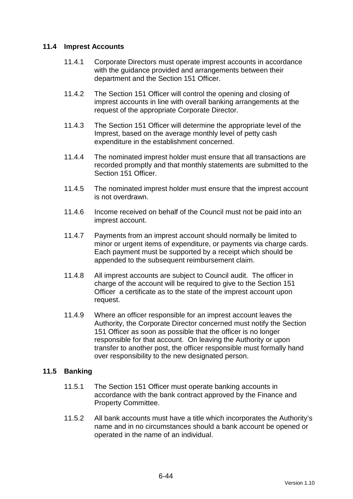### **11.4 Imprest Accounts**

- 11.4.1 Corporate Directors must operate imprest accounts in accordance with the guidance provided and arrangements between their department and the Section 151 Officer.
- 11.4.2 The Section 151 Officer will control the opening and closing of imprest accounts in line with overall banking arrangements at the request of the appropriate Corporate Director.
- 11.4.3 The Section 151 Officer will determine the appropriate level of the Imprest, based on the average monthly level of petty cash expenditure in the establishment concerned.
- 11.4.4 The nominated imprest holder must ensure that all transactions are recorded promptly and that monthly statements are submitted to the Section 151 Officer.
- 11.4.5 The nominated imprest holder must ensure that the imprest account is not overdrawn.
- 11.4.6 Income received on behalf of the Council must not be paid into an imprest account.
- 11.4.7 Payments from an imprest account should normally be limited to minor or urgent items of expenditure, or payments via charge cards. Each payment must be supported by a receipt which should be appended to the subsequent reimbursement claim.
- 11.4.8 All imprest accounts are subject to Council audit. The officer in charge of the account will be required to give to the Section 151 Officer a certificate as to the state of the imprest account upon request.
- 11.4.9 Where an officer responsible for an imprest account leaves the Authority, the Corporate Director concerned must notify the Section 151 Officer as soon as possible that the officer is no longer responsible for that account. On leaving the Authority or upon transfer to another post, the officer responsible must formally hand over responsibility to the new designated person.

### **11.5 Banking**

- 11.5.1 The Section 151 Officer must operate banking accounts in accordance with the bank contract approved by the Finance and Property Committee.
- 11.5.2 All bank accounts must have a title which incorporates the Authority's name and in no circumstances should a bank account be opened or operated in the name of an individual.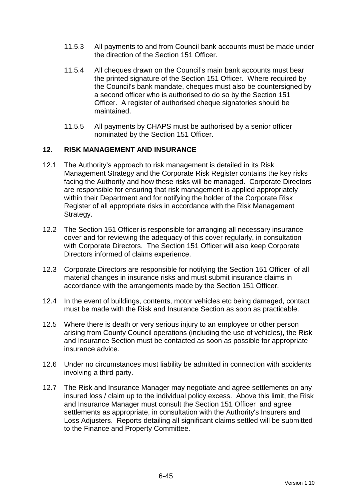- 11.5.3 All payments to and from Council bank accounts must be made under the direction of the Section 151 Officer.
- 11.5.4 All cheques drawn on the Council's main bank accounts must bear the printed signature of the Section 151 Officer. Where required by the Council's bank mandate, cheques must also be countersigned by a second officer who is authorised to do so by the Section 151 Officer. A register of authorised cheque signatories should be maintained.
- 11.5.5 All payments by CHAPS must be authorised by a senior officer nominated by the Section 151 Officer.

### **12. RISK MANAGEMENT AND INSURANCE**

- 12.1 The Authority's approach to risk management is detailed in its Risk Management Strategy and the Corporate Risk Register contains the key risks facing the Authority and how these risks will be managed. Corporate Directors are responsible for ensuring that risk management is applied appropriately within their Department and for notifying the holder of the Corporate Risk Register of all appropriate risks in accordance with the Risk Management Strategy.
- 12.2 The Section 151 Officer is responsible for arranging all necessary insurance cover and for reviewing the adequacy of this cover regularly, in consultation with Corporate Directors. The Section 151 Officer will also keep Corporate Directors informed of claims experience.
- 12.3 Corporate Directors are responsible for notifying the Section 151 Officer of all material changes in insurance risks and must submit insurance claims in accordance with the arrangements made by the Section 151 Officer.
- 12.4 In the event of buildings, contents, motor vehicles etc being damaged, contact must be made with the Risk and Insurance Section as soon as practicable.
- 12.5 Where there is death or very serious injury to an employee or other person arising from County Council operations (including the use of vehicles), the Risk and Insurance Section must be contacted as soon as possible for appropriate insurance advice.
- 12.6 Under no circumstances must liability be admitted in connection with accidents involving a third party.
- 12.7 The Risk and Insurance Manager may negotiate and agree settlements on any insured loss / claim up to the individual policy excess. Above this limit, the Risk and Insurance Manager must consult the Section 151 Officer and agree settlements as appropriate, in consultation with the Authority's Insurers and Loss Adjusters. Reports detailing all significant claims settled will be submitted to the Finance and Property Committee.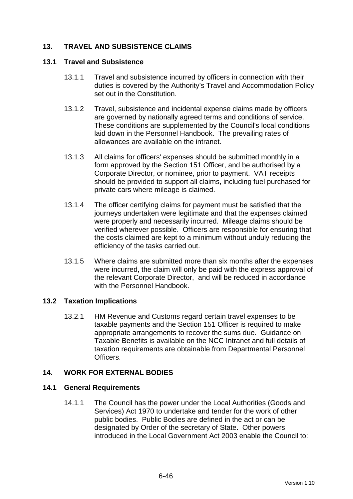# **13. TRAVEL AND SUBSISTENCE CLAIMS**

#### **13.1 Travel and Subsistence**

- 13.1.1 Travel and subsistence incurred by officers in connection with their duties is covered by the Authority's Travel and Accommodation Policy set out in the Constitution.
- 13.1.2 Travel, subsistence and incidental expense claims made by officers are governed by nationally agreed terms and conditions of service. These conditions are supplemented by the Council's local conditions laid down in the Personnel Handbook. The prevailing rates of allowances are available on the intranet.
- 13.1.3 All claims for officers' expenses should be submitted monthly in a form approved by the Section 151 Officer, and be authorised by a Corporate Director, or nominee, prior to payment. VAT receipts should be provided to support all claims, including fuel purchased for private cars where mileage is claimed.
- 13.1.4 The officer certifying claims for payment must be satisfied that the journeys undertaken were legitimate and that the expenses claimed were properly and necessarily incurred. Mileage claims should be verified wherever possible. Officers are responsible for ensuring that the costs claimed are kept to a minimum without unduly reducing the efficiency of the tasks carried out.
- 13.1.5 Where claims are submitted more than six months after the expenses were incurred, the claim will only be paid with the express approval of the relevant Corporate Director, and will be reduced in accordance with the Personnel Handbook.

### **13.2 Taxation Implications**

13.2.1 HM Revenue and Customs regard certain travel expenses to be taxable payments and the Section 151 Officer is required to make appropriate arrangements to recover the sums due. Guidance on Taxable Benefits is available on the NCC Intranet and full details of taxation requirements are obtainable from Departmental Personnel **Officers** 

### **14. WORK FOR EXTERNAL BODIES**

### **14.1 General Requirements**

14.1.1 The Council has the power under the Local Authorities (Goods and Services) Act 1970 to undertake and tender for the work of other public bodies. Public Bodies are defined in the act or can be designated by Order of the secretary of State. Other powers introduced in the Local Government Act 2003 enable the Council to: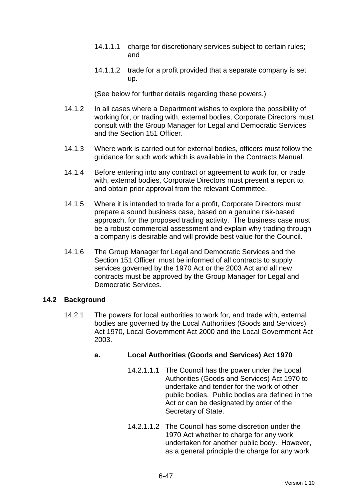- 14.1.1.1 charge for discretionary services subject to certain rules; and
- 14.1.1.2 trade for a profit provided that a separate company is set up.

(See below for further details regarding these powers.)

- 14.1.2 In all cases where a Department wishes to explore the possibility of working for, or trading with, external bodies, Corporate Directors must consult with the Group Manager for Legal and Democratic Services and the Section 151 Officer.
- 14.1.3 Where work is carried out for external bodies, officers must follow the guidance for such work which is available in the Contracts Manual.
- 14.1.4 Before entering into any contract or agreement to work for, or trade with, external bodies, Corporate Directors must present a report to, and obtain prior approval from the relevant Committee.
- 14.1.5 Where it is intended to trade for a profit, Corporate Directors must prepare a sound business case, based on a genuine risk-based approach, for the proposed trading activity. The business case must be a robust commercial assessment and explain why trading through a company is desirable and will provide best value for the Council.
- 14.1.6 The Group Manager for Legal and Democratic Services and the Section 151 Officer must be informed of all contracts to supply services governed by the 1970 Act or the 2003 Act and all new contracts must be approved by the Group Manager for Legal and Democratic Services.

### **14.2 Background**

14.2.1 The powers for local authorities to work for, and trade with, external bodies are governed by the Local Authorities (Goods and Services) Act 1970, Local Government Act 2000 and the Local Government Act 2003.

# **a. Local Authorities (Goods and Services) Act 1970**

- 14.2.1.1.1 The Council has the power under the Local Authorities (Goods and Services) Act 1970 to undertake and tender for the work of other public bodies. Public bodies are defined in the Act or can be designated by order of the Secretary of State.
- 14.2.1.1.2 The Council has some discretion under the 1970 Act whether to charge for any work undertaken for another public body. However, as a general principle the charge for any work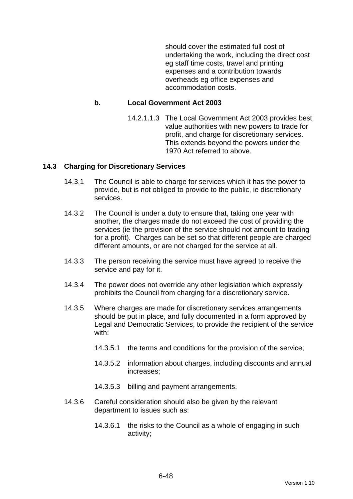should cover the estimated full cost of undertaking the work, including the direct cost eg staff time costs, travel and printing expenses and a contribution towards overheads eg office expenses and accommodation costs.

#### **b. Local Government Act 2003**

14.2.1.1.3 The Local Government Act 2003 provides best value authorities with new powers to trade for profit, and charge for discretionary services. This extends beyond the powers under the 1970 Act referred to above.

#### **14.3 Charging for Discretionary Services**

- 14.3.1 The Council is able to charge for services which it has the power to provide, but is not obliged to provide to the public, ie discretionary services.
- 14.3.2 The Council is under a duty to ensure that, taking one year with another, the charges made do not exceed the cost of providing the services (ie the provision of the service should not amount to trading for a profit). Charges can be set so that different people are charged different amounts, or are not charged for the service at all.
- 14.3.3 The person receiving the service must have agreed to receive the service and pay for it.
- 14.3.4 The power does not override any other legislation which expressly prohibits the Council from charging for a discretionary service.
- 14.3.5 Where charges are made for discretionary services arrangements should be put in place, and fully documented in a form approved by Legal and Democratic Services, to provide the recipient of the service with:
	- 14.3.5.1 the terms and conditions for the provision of the service;
	- 14.3.5.2 information about charges, including discounts and annual increases;
	- 14.3.5.3 billing and payment arrangements.
- 14.3.6 Careful consideration should also be given by the relevant department to issues such as:
	- 14.3.6.1 the risks to the Council as a whole of engaging in such activity;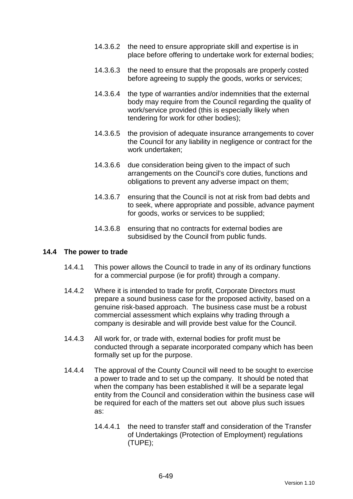- 14.3.6.2 the need to ensure appropriate skill and expertise is in place before offering to undertake work for external bodies;
- 14.3.6.3 the need to ensure that the proposals are properly costed before agreeing to supply the goods, works or services;
- 14.3.6.4 the type of warranties and/or indemnities that the external body may require from the Council regarding the quality of work/service provided (this is especially likely when tendering for work for other bodies);
- 14.3.6.5 the provision of adequate insurance arrangements to cover the Council for any liability in negligence or contract for the work undertaken;
- 14.3.6.6 due consideration being given to the impact of such arrangements on the Council's core duties, functions and obligations to prevent any adverse impact on them;
- 14.3.6.7 ensuring that the Council is not at risk from bad debts and to seek, where appropriate and possible, advance payment for goods, works or services to be supplied;
- 14.3.6.8 ensuring that no contracts for external bodies are subsidised by the Council from public funds.

#### **14.4 The power to trade**

- 14.4.1 This power allows the Council to trade in any of its ordinary functions for a commercial purpose (ie for profit) through a company.
- 14.4.2 Where it is intended to trade for profit, Corporate Directors must prepare a sound business case for the proposed activity, based on a genuine risk-based approach. The business case must be a robust commercial assessment which explains why trading through a company is desirable and will provide best value for the Council.
- 14.4.3 All work for, or trade with, external bodies for profit must be conducted through a separate incorporated company which has been formally set up for the purpose.
- 14.4.4 The approval of the County Council will need to be sought to exercise a power to trade and to set up the company. It should be noted that when the company has been established it will be a separate legal entity from the Council and consideration within the business case will be required for each of the matters set out above plus such issues as:
	- 14.4.4.1 the need to transfer staff and consideration of the Transfer of Undertakings (Protection of Employment) regulations (TUPE);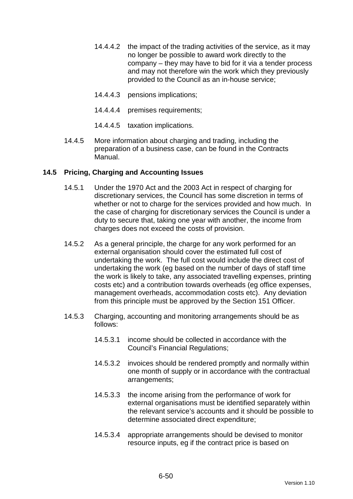- 14.4.4.2 the impact of the trading activities of the service, as it may no longer be possible to award work directly to the company – they may have to bid for it via a tender process and may not therefore win the work which they previously provided to the Council as an in-house service;
- 14.4.4.3 pensions implications;
- 14.4.4.4 premises requirements;
- 14.4.4.5 taxation implications.
- 14.4.5 More information about charging and trading, including the preparation of a business case, can be found in the Contracts Manual.

### **14.5 Pricing, Charging and Accounting Issues**

- 14.5.1 Under the 1970 Act and the 2003 Act in respect of charging for discretionary services, the Council has some discretion in terms of whether or not to charge for the services provided and how much. In the case of charging for discretionary services the Council is under a duty to secure that, taking one year with another, the income from charges does not exceed the costs of provision.
- 14.5.2 As a general principle, the charge for any work performed for an external organisation should cover the estimated full cost of undertaking the work. The full cost would include the direct cost of undertaking the work (eg based on the number of days of staff time the work is likely to take, any associated travelling expenses, printing costs etc) and a contribution towards overheads (eg office expenses, management overheads, accommodation costs etc). Any deviation from this principle must be approved by the Section 151 Officer.
- 14.5.3 Charging, accounting and monitoring arrangements should be as follows:
	- 14.5.3.1 income should be collected in accordance with the Council's Financial Regulations;
	- 14.5.3.2 invoices should be rendered promptly and normally within one month of supply or in accordance with the contractual arrangements;
	- 14.5.3.3 the income arising from the performance of work for external organisations must be identified separately within the relevant service's accounts and it should be possible to determine associated direct expenditure;
	- 14.5.3.4 appropriate arrangements should be devised to monitor resource inputs, eg if the contract price is based on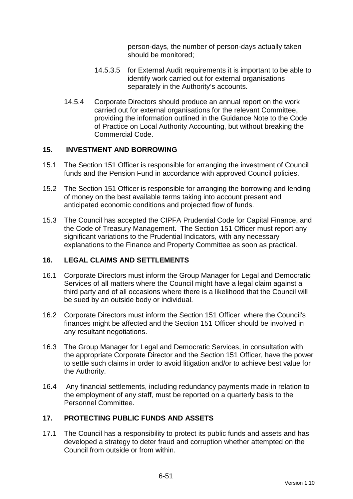person-days, the number of person-days actually taken should be monitored;

- 14.5.3.5 for External Audit requirements it is important to be able to identify work carried out for external organisations separately in the Authority's accounts.
- 14.5.4 Corporate Directors should produce an annual report on the work carried out for external organisations for the relevant Committee, providing the information outlined in the Guidance Note to the Code of Practice on Local Authority Accounting, but without breaking the Commercial Code.

### **15. INVESTMENT AND BORROWING**

- 15.1 The Section 151 Officer is responsible for arranging the investment of Council funds and the Pension Fund in accordance with approved Council policies.
- 15.2 The Section 151 Officer is responsible for arranging the borrowing and lending of money on the best available terms taking into account present and anticipated economic conditions and projected flow of funds.
- 15.3 The Council has accepted the CIPFA Prudential Code for Capital Finance, and the Code of Treasury Management. The Section 151 Officer must report any significant variations to the Prudential Indicators, with any necessary explanations to the Finance and Property Committee as soon as practical.

### **16. LEGAL CLAIMS AND SETTLEMENTS**

- 16.1 Corporate Directors must inform the Group Manager for Legal and Democratic Services of all matters where the Council might have a legal claim against a third party and of all occasions where there is a likelihood that the Council will be sued by an outside body or individual.
- 16.2 Corporate Directors must inform the Section 151 Officer where the Council's finances might be affected and the Section 151 Officer should be involved in any resultant negotiations.
- 16.3 The Group Manager for Legal and Democratic Services, in consultation with the appropriate Corporate Director and the Section 151 Officer, have the power to settle such claims in order to avoid litigation and/or to achieve best value for the Authority.
- 16.4 Any financial settlements, including redundancy payments made in relation to the employment of any staff, must be reported on a quarterly basis to the Personnel Committee.

# **17. PROTECTING PUBLIC FUNDS AND ASSETS**

17.1 The Council has a responsibility to protect its public funds and assets and has developed a strategy to deter fraud and corruption whether attempted on the Council from outside or from within.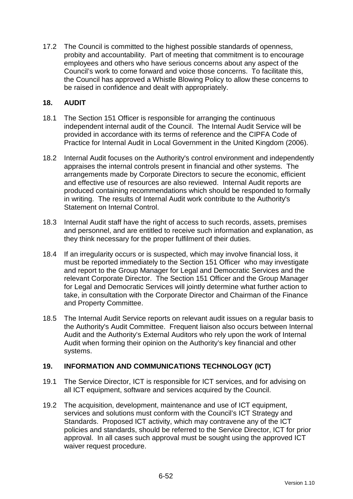17.2 The Council is committed to the highest possible standards of openness, probity and accountability. Part of meeting that commitment is to encourage employees and others who have serious concerns about any aspect of the Council's work to come forward and voice those concerns. To facilitate this, the Council has approved a Whistle Blowing Policy to allow these concerns to be raised in confidence and dealt with appropriately.

### **18. AUDIT**

- 18.1 The Section 151 Officer is responsible for arranging the continuous independent internal audit of the Council. The Internal Audit Service will be provided in accordance with its terms of reference and the CIPFA Code of Practice for Internal Audit in Local Government in the United Kingdom (2006).
- 18.2 Internal Audit focuses on the Authority's control environment and independently appraises the internal controls present in financial and other systems. The arrangements made by Corporate Directors to secure the economic, efficient and effective use of resources are also reviewed. Internal Audit reports are produced containing recommendations which should be responded to formally in writing. The results of Internal Audit work contribute to the Authority's Statement on Internal Control.
- 18.3 Internal Audit staff have the right of access to such records, assets, premises and personnel, and are entitled to receive such information and explanation, as they think necessary for the proper fulfilment of their duties.
- 18.4 If an irregularity occurs or is suspected, which may involve financial loss, it must be reported immediately to the Section 151 Officer who may investigate and report to the Group Manager for Legal and Democratic Services and the relevant Corporate Director. The Section 151 Officer and the Group Manager for Legal and Democratic Services will jointly determine what further action to take, in consultation with the Corporate Director and Chairman of the Finance and Property Committee.
- 18.5 The Internal Audit Service reports on relevant audit issues on a regular basis to the Authority's Audit Committee. Frequent liaison also occurs between Internal Audit and the Authority's External Auditors who rely upon the work of Internal Audit when forming their opinion on the Authority's key financial and other systems.

# **19. INFORMATION AND COMMUNICATIONS TECHNOLOGY (ICT)**

- 19.1 The Service Director, ICT is responsible for ICT services, and for advising on all ICT equipment, software and services acquired by the Council.
- 19.2 The acquisition, development, maintenance and use of ICT equipment, services and solutions must conform with the Council's ICT Strategy and Standards. Proposed ICT activity, which may contravene any of the ICT policies and standards, should be referred to the Service Director, ICT for prior approval. In all cases such approval must be sought using the approved ICT waiver request procedure.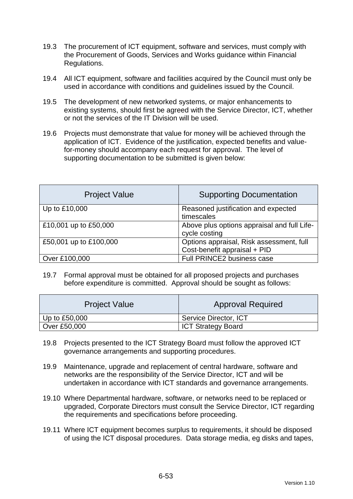- 19.3 The procurement of ICT equipment, software and services, must comply with the Procurement of Goods, Services and Works guidance within Financial Regulations.
- 19.4 All ICT equipment, software and facilities acquired by the Council must only be used in accordance with conditions and guidelines issued by the Council.
- 19.5 The development of new networked systems, or major enhancements to existing systems, should first be agreed with the Service Director, ICT, whether or not the services of the IT Division will be used.
- 19.6 Projects must demonstrate that value for money will be achieved through the application of ICT. Evidence of the justification, expected benefits and valuefor-money should accompany each request for approval. The level of supporting documentation to be submitted is given below:

| <b>Project Value</b>   | <b>Supporting Documentation</b>                                          |
|------------------------|--------------------------------------------------------------------------|
| Up to £10,000          | Reasoned justification and expected<br>timescales                        |
| £10,001 up to £50,000  | Above plus options appraisal and full Life-<br>cycle costing             |
| £50,001 up to £100,000 | Options appraisal, Risk assessment, full<br>Cost-benefit appraisal + PID |
| Over £100,000          | Full PRINCE2 business case                                               |

19.7 Formal approval must be obtained for all proposed projects and purchases before expenditure is committed. Approval should be sought as follows:

| <b>Project Value</b> | <b>Approval Required</b>  |
|----------------------|---------------------------|
| Up to $£50,000$      | Service Director, ICT     |
| Over £50,000         | <b>ICT Strategy Board</b> |

- 19.8 Projects presented to the ICT Strategy Board must follow the approved ICT governance arrangements and supporting procedures.
- 19.9 Maintenance, upgrade and replacement of central hardware, software and networks are the responsibility of the Service Director, ICT and will be undertaken in accordance with ICT standards and governance arrangements.
- 19.10 Where Departmental hardware, software, or networks need to be replaced or upgraded, Corporate Directors must consult the Service Director, ICT regarding the requirements and specifications before proceeding.
- 19.11 Where ICT equipment becomes surplus to requirements, it should be disposed of using the ICT disposal procedures. Data storage media, eg disks and tapes,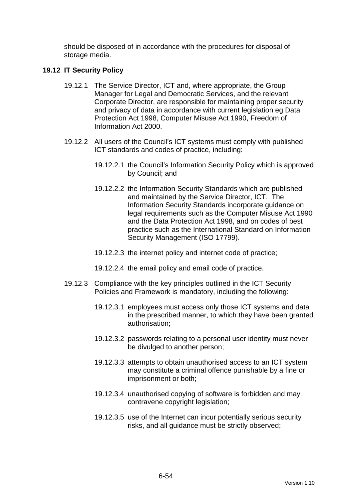should be disposed of in accordance with the procedures for disposal of storage media.

### **19.12 IT Security Policy**

- 19.12.1 The Service Director, ICT and, where appropriate, the Group Manager for Legal and Democratic Services, and the relevant Corporate Director, are responsible for maintaining proper security and privacy of data in accordance with current legislation eg Data Protection Act 1998, Computer Misuse Act 1990, Freedom of Information Act 2000.
- 19.12.2 All users of the Council's ICT systems must comply with published ICT standards and codes of practice, including:
	- 19.12.2.1 the Council's Information Security Policy which is approved by Council; and
	- 19.12.2.2 the Information Security Standards which are published and maintained by the Service Director, ICT. The Information Security Standards incorporate guidance on legal requirements such as the Computer Misuse Act 1990 and the Data Protection Act 1998, and on codes of best practice such as the International Standard on Information Security Management (ISO 17799).
	- 19.12.2.3 the internet policy and internet code of practice;
	- 19.12.2.4 the email policy and email code of practice.
- 19.12.3 Compliance with the key principles outlined in the ICT Security Policies and Framework is mandatory, including the following:
	- 19.12.3.1 employees must access only those ICT systems and data in the prescribed manner, to which they have been granted authorisation;
	- 19.12.3.2 passwords relating to a personal user identity must never be divulged to another person;
	- 19.12.3.3 attempts to obtain unauthorised access to an ICT system may constitute a criminal offence punishable by a fine or imprisonment or both;
	- 19.12.3.4 unauthorised copying of software is forbidden and may contravene copyright legislation;
	- 19.12.3.5 use of the Internet can incur potentially serious security risks, and all guidance must be strictly observed;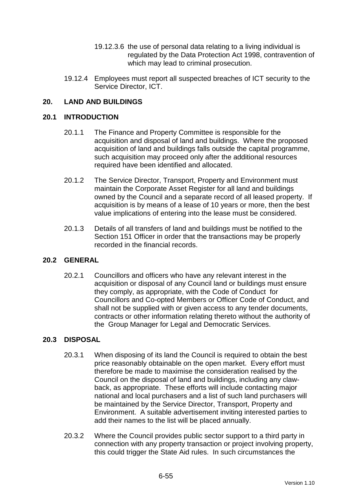- 19.12.3.6 the use of personal data relating to a living individual is regulated by the Data Protection Act 1998, contravention of which may lead to criminal prosecution.
- 19.12.4 Employees must report all suspected breaches of ICT security to the Service Director, ICT.

### **20. LAND AND BUILDINGS**

#### **20.1 INTRODUCTION**

- 20.1.1 The Finance and Property Committee is responsible for the acquisition and disposal of land and buildings. Where the proposed acquisition of land and buildings falls outside the capital programme, such acquisition may proceed only after the additional resources required have been identified and allocated.
- 20.1.2 The Service Director, Transport, Property and Environment must maintain the Corporate Asset Register for all land and buildings owned by the Council and a separate record of all leased property. If acquisition is by means of a lease of 10 years or more, then the best value implications of entering into the lease must be considered.
- 20.1.3 Details of all transfers of land and buildings must be notified to the Section 151 Officer in order that the transactions may be properly recorded in the financial records.

### **20.2 GENERAL**

20.2.1 Councillors and officers who have any relevant interest in the acquisition or disposal of any Council land or buildings must ensure they comply, as appropriate, with the Code of Conduct for Councillors and Co-opted Members or Officer Code of Conduct, and shall not be supplied with or given access to any tender documents, contracts or other information relating thereto without the authority of the Group Manager for Legal and Democratic Services.

#### **20.3 DISPOSAL**

- 20.3.1 When disposing of its land the Council is required to obtain the best price reasonably obtainable on the open market. Every effort must therefore be made to maximise the consideration realised by the Council on the disposal of land and buildings, including any clawback, as appropriate. These efforts will include contacting major national and local purchasers and a list of such land purchasers will be maintained by the Service Director, Transport, Property and Environment. A suitable advertisement inviting interested parties to add their names to the list will be placed annually.
- 20.3.2 Where the Council provides public sector support to a third party in connection with any property transaction or project involving property, this could trigger the State Aid rules. In such circumstances the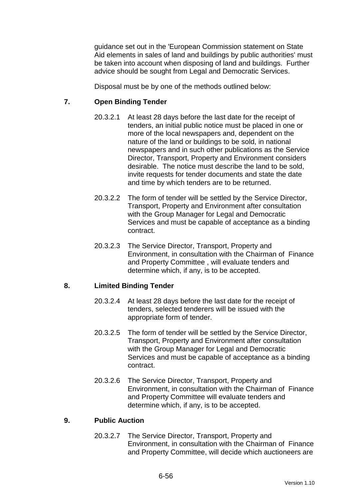guidance set out in the 'European Commission statement on State Aid elements in sales of land and buildings by public authorities' must be taken into account when disposing of land and buildings. Further advice should be sought from Legal and Democratic Services.

Disposal must be by one of the methods outlined below:

### **7. Open Binding Tender**

- 20.3.2.1 At least 28 days before the last date for the receipt of tenders, an initial public notice must be placed in one or more of the local newspapers and, dependent on the nature of the land or buildings to be sold, in national newspapers and in such other publications as the Service Director, Transport, Property and Environment considers desirable. The notice must describe the land to be sold, invite requests for tender documents and state the date and time by which tenders are to be returned.
- 20.3.2.2 The form of tender will be settled by the Service Director, Transport, Property and Environment after consultation with the Group Manager for Legal and Democratic Services and must be capable of acceptance as a binding contract.
- 20.3.2.3 The Service Director, Transport, Property and Environment, in consultation with the Chairman of Finance and Property Committee , will evaluate tenders and determine which, if any, is to be accepted.

### **8. Limited Binding Tender**

- 20.3.2.4 At least 28 days before the last date for the receipt of tenders, selected tenderers will be issued with the appropriate form of tender.
- 20.3.2.5 The form of tender will be settled by the Service Director, Transport, Property and Environment after consultation with the Group Manager for Legal and Democratic Services and must be capable of acceptance as a binding contract.
- 20.3.2.6 The Service Director, Transport, Property and Environment, in consultation with the Chairman of Finance and Property Committee will evaluate tenders and determine which, if any, is to be accepted.

### **9. Public Auction**

20.3.2.7 The Service Director, Transport, Property and Environment, in consultation with the Chairman of Finance and Property Committee, will decide which auctioneers are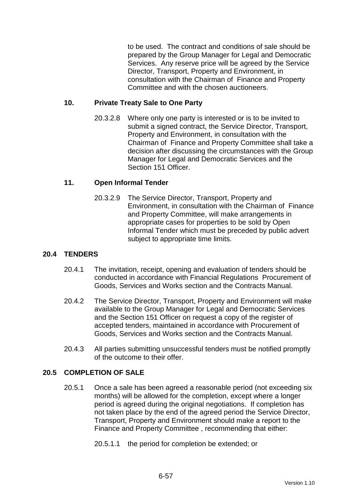to be used. The contract and conditions of sale should be prepared by the Group Manager for Legal and Democratic Services. Any reserve price will be agreed by the Service Director, Transport, Property and Environment, in consultation with the Chairman of Finance and Property Committee and with the chosen auctioneers.

### **10. Private Treaty Sale to One Party**

20.3.2.8 Where only one party is interested or is to be invited to submit a signed contract, the Service Director, Transport, Property and Environment, in consultation with the Chairman of Finance and Property Committee shall take a decision after discussing the circumstances with the Group Manager for Legal and Democratic Services and the Section 151 Officer.

### **11. Open Informal Tender**

20.3.2.9 The Service Director, Transport, Property and Environment, in consultation with the Chairman of Finance and Property Committee, will make arrangements in appropriate cases for properties to be sold by Open Informal Tender which must be preceded by public advert subject to appropriate time limits.

### **20.4 TENDERS**

- 20.4.1 The invitation, receipt, opening and evaluation of tenders should be conducted in accordance with Financial Regulations Procurement of Goods, Services and Works section and the Contracts Manual.
- 20.4.2 The Service Director, Transport, Property and Environment will make available to the Group Manager for Legal and Democratic Services and the Section 151 Officer on request a copy of the register of accepted tenders, maintained in accordance with Procurement of Goods, Services and Works section and the Contracts Manual.
- 20.4.3 All parties submitting unsuccessful tenders must be notified promptly of the outcome to their offer.

### **20.5 COMPLETION OF SALE**

- 20.5.1 Once a sale has been agreed a reasonable period (not exceeding six months) will be allowed for the completion, except where a longer period is agreed during the original negotiations. If completion has not taken place by the end of the agreed period the Service Director, Transport, Property and Environment should make a report to the Finance and Property Committee , recommending that either:
	- 20.5.1.1 the period for completion be extended; or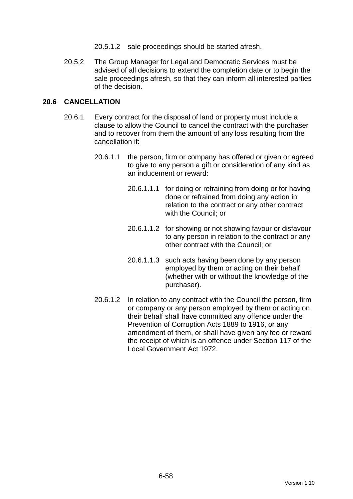- 20.5.1.2 sale proceedings should be started afresh.
- 20.5.2 The Group Manager for Legal and Democratic Services must be advised of all decisions to extend the completion date or to begin the sale proceedings afresh, so that they can inform all interested parties of the decision.

### **20.6 CANCELLATION**

- 20.6.1 Every contract for the disposal of land or property must include a clause to allow the Council to cancel the contract with the purchaser and to recover from them the amount of any loss resulting from the cancellation if:
	- 20.6.1.1 the person, firm or company has offered or given or agreed to give to any person a gift or consideration of any kind as an inducement or reward:
		- 20.6.1.1.1 for doing or refraining from doing or for having done or refrained from doing any action in relation to the contract or any other contract with the Council; or
		- 20.6.1.1.2 for showing or not showing favour or disfavour to any person in relation to the contract or any other contract with the Council; or
		- 20.6.1.1.3 such acts having been done by any person employed by them or acting on their behalf (whether with or without the knowledge of the purchaser).
	- 20.6.1.2 In relation to any contract with the Council the person, firm or company or any person employed by them or acting on their behalf shall have committed any offence under the Prevention of Corruption Acts 1889 to 1916, or any amendment of them, or shall have given any fee or reward the receipt of which is an offence under Section 117 of the Local Government Act 1972.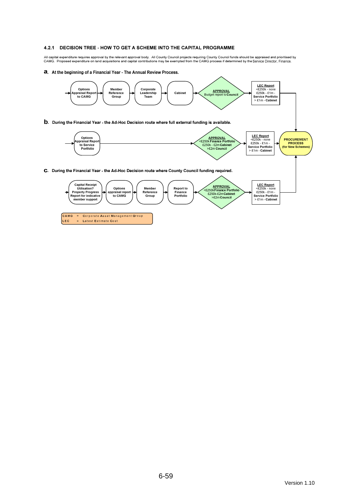#### 4.2.1 DECISION TREE - HOW TO GET A SCHEME INTO THE CAPITAL PROGRAMME

All capital expenditure requires approval by the relevant approval body. All County Council projects requiring County Council funds should be appraised and prioritised by<br>CAMG. Proposed expenditure on land acquisitions a

a. At the beginning of a Financial Year - The Annual Review Process.



LEC = Latest Estimate Cost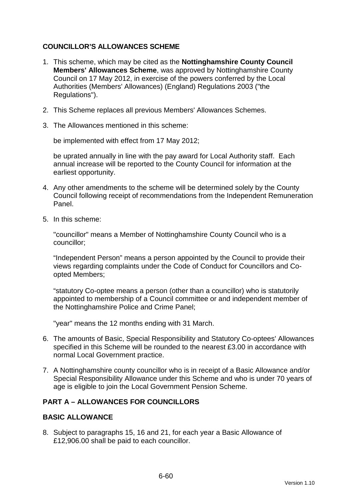### **COUNCILLOR'S ALLOWANCES SCHEME**

- 1. This scheme, which may be cited as the **Nottinghamshire County Council Members' Allowances Scheme**, was approved by Nottinghamshire County Council on 17 May 2012, in exercise of the powers conferred by the Local Authorities (Members' Allowances) (England) Regulations 2003 ("the Regulations").
- 2. This Scheme replaces all previous Members' Allowances Schemes.
- 3. The Allowances mentioned in this scheme:

be implemented with effect from 17 May 2012;

be uprated annually in line with the pay award for Local Authority staff. Each annual increase will be reported to the County Council for information at the earliest opportunity.

- 4. Any other amendments to the scheme will be determined solely by the County Council following receipt of recommendations from the Independent Remuneration Panel.
- 5. In this scheme:

"councillor" means a Member of Nottinghamshire County Council who is a councillor;

"Independent Person" means a person appointed by the Council to provide their views regarding complaints under the Code of Conduct for Councillors and Coopted Members;

"statutory Co-optee means a person (other than a councillor) who is statutorily appointed to membership of a Council committee or and independent member of the Nottinghamshire Police and Crime Panel;

"year" means the 12 months ending with 31 March.

- 6. The amounts of Basic, Special Responsibility and Statutory Co-optees' Allowances specified in this Scheme will be rounded to the nearest £3.00 in accordance with normal Local Government practice.
- 7. A Nottinghamshire county councillor who is in receipt of a Basic Allowance and/or Special Responsibility Allowance under this Scheme and who is under 70 years of age is eligible to join the Local Government Pension Scheme.

# **PART A – ALLOWANCES FOR COUNCILLORS**

### **BASIC ALLOWANCE**

8. Subject to paragraphs 15, 16 and 21, for each year a Basic Allowance of £12,906.00 shall be paid to each councillor.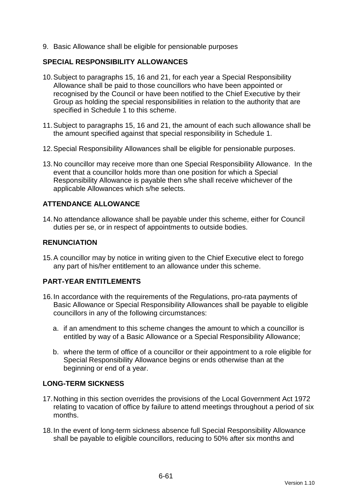9. Basic Allowance shall be eligible for pensionable purposes

### **SPECIAL RESPONSIBILITY ALLOWANCES**

- 10. Subject to paragraphs 15, 16 and 21, for each year a Special Responsibility Allowance shall be paid to those councillors who have been appointed or recognised by the Council or have been notified to the Chief Executive by their Group as holding the special responsibilities in relation to the authority that are specified in Schedule 1 to this scheme.
- 11. Subject to paragraphs 15, 16 and 21, the amount of each such allowance shall be the amount specified against that special responsibility in Schedule 1.
- 12. Special Responsibility Allowances shall be eligible for pensionable purposes.
- 13. No councillor may receive more than one Special Responsibility Allowance. In the event that a councillor holds more than one position for which a Special Responsibility Allowance is payable then s/he shall receive whichever of the applicable Allowances which s/he selects.

# **ATTENDANCE ALLOWANCE**

14. No attendance allowance shall be payable under this scheme, either for Council duties per se, or in respect of appointments to outside bodies.

### **RENUNCIATION**

15. A councillor may by notice in writing given to the Chief Executive elect to forego any part of his/her entitlement to an allowance under this scheme.

### **PART-YEAR ENTITLEMENTS**

- 16. In accordance with the requirements of the Regulations, pro-rata payments of Basic Allowance or Special Responsibility Allowances shall be payable to eligible councillors in any of the following circumstances:
	- a. if an amendment to this scheme changes the amount to which a councillor is entitled by way of a Basic Allowance or a Special Responsibility Allowance;
	- b. where the term of office of a councillor or their appointment to a role eligible for Special Responsibility Allowance begins or ends otherwise than at the beginning or end of a year.

### **LONG-TERM SICKNESS**

- 17. Nothing in this section overrides the provisions of the Local Government Act 1972 relating to vacation of office by failure to attend meetings throughout a period of six months.
- 18. In the event of long-term sickness absence full Special Responsibility Allowance shall be payable to eligible councillors, reducing to 50% after six months and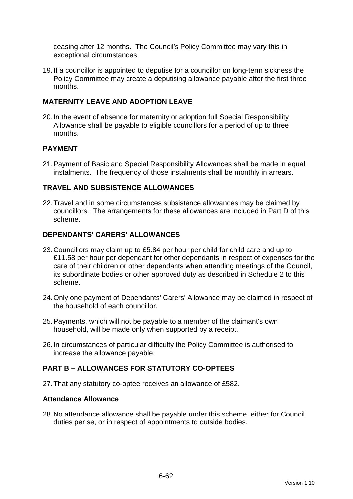ceasing after 12 months. The Council's Policy Committee may vary this in exceptional circumstances.

19. If a councillor is appointed to deputise for a councillor on long-term sickness the Policy Committee may create a deputising allowance payable after the first three months.

### **MATERNITY LEAVE AND ADOPTION LEAVE**

20. In the event of absence for maternity or adoption full Special Responsibility Allowance shall be payable to eligible councillors for a period of up to three months.

### **PAYMENT**

21. Payment of Basic and Special Responsibility Allowances shall be made in equal instalments. The frequency of those instalments shall be monthly in arrears.

### **TRAVEL AND SUBSISTENCE ALLOWANCES**

22. Travel and in some circumstances subsistence allowances may be claimed by councillors. The arrangements for these allowances are included in Part D of this scheme.

### **DEPENDANTS' CARERS' ALLOWANCES**

- 23. Councillors may claim up to £5.84 per hour per child for child care and up to £11.58 per hour per dependant for other dependants in respect of expenses for the care of their children or other dependants when attending meetings of the Council, its subordinate bodies or other approved duty as described in Schedule 2 to this scheme.
- 24. Only one payment of Dependants' Carers' Allowance may be claimed in respect of the household of each councillor.
- 25. Payments, which will not be payable to a member of the claimant's own household, will be made only when supported by a receipt.
- 26. In circumstances of particular difficulty the Policy Committee is authorised to increase the allowance payable.

# **PART B – ALLOWANCES FOR STATUTORY CO-OPTEES**

27. That any statutory co-optee receives an allowance of £582.

### **Attendance Allowance**

28. No attendance allowance shall be payable under this scheme, either for Council duties per se, or in respect of appointments to outside bodies.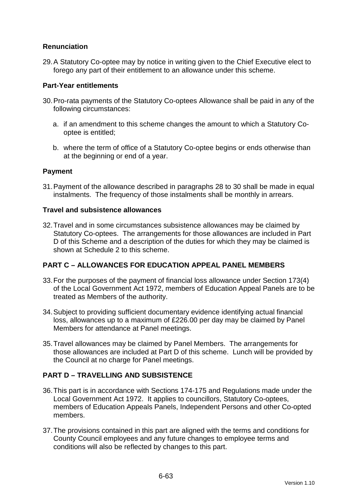# **Renunciation**

29. A Statutory Co-optee may by notice in writing given to the Chief Executive elect to forego any part of their entitlement to an allowance under this scheme.

### **Part-Year entitlements**

- 30. Pro-rata payments of the Statutory Co-optees Allowance shall be paid in any of the following circumstances:
	- a. if an amendment to this scheme changes the amount to which a Statutory Cooptee is entitled;
	- b. where the term of office of a Statutory Co-optee begins or ends otherwise than at the beginning or end of a year.

### **Payment**

31. Payment of the allowance described in paragraphs 28 to 30 shall be made in equal instalments. The frequency of those instalments shall be monthly in arrears.

### **Travel and subsistence allowances**

32. Travel and in some circumstances subsistence allowances may be claimed by Statutory Co-optees. The arrangements for those allowances are included in Part D of this Scheme and a description of the duties for which they may be claimed is shown at Schedule 2 to this scheme.

# **PART C – ALLOWANCES FOR EDUCATION APPEAL PANEL MEMBERS**

- 33. For the purposes of the payment of financial loss allowance under Section 173(4) of the Local Government Act 1972, members of Education Appeal Panels are to be treated as Members of the authority.
- 34. Subject to providing sufficient documentary evidence identifying actual financial loss, allowances up to a maximum of £226.00 per day may be claimed by Panel Members for attendance at Panel meetings.
- 35. Travel allowances may be claimed by Panel Members. The arrangements for those allowances are included at Part D of this scheme. Lunch will be provided by the Council at no charge for Panel meetings.

# **PART D – TRAVELLING AND SUBSISTENCE**

- 36. This part is in accordance with Sections 174-175 and Regulations made under the Local Government Act 1972. It applies to councillors, Statutory Co-optees, members of Education Appeals Panels, Independent Persons and other Co-opted members.
- 37. The provisions contained in this part are aligned with the terms and conditions for County Council employees and any future changes to employee terms and conditions will also be reflected by changes to this part.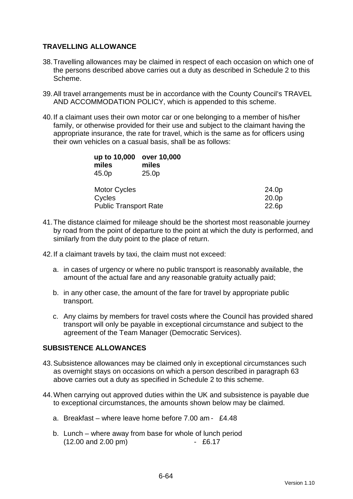### **TRAVELLING ALLOWANCE**

- 38. Travelling allowances may be claimed in respect of each occasion on which one of the persons described above carries out a duty as described in Schedule 2 to this Scheme.
- 39. All travel arrangements must be in accordance with the County Council's TRAVEL AND ACCOMMODATION POLICY, which is appended to this scheme.
- 40. If a claimant uses their own motor car or one belonging to a member of his/her family, or otherwise provided for their use and subject to the claimant having the appropriate insurance, the rate for travel, which is the same as for officers using their own vehicles on a casual basis, shall be as follows:

| up to 10,000<br>miles<br>45.0p | over 10,000<br>miles<br>25.0 <sub>p</sub> |       |
|--------------------------------|-------------------------------------------|-------|
| <b>Motor Cycles</b>            |                                           | 24.0p |
| Cycles                         |                                           | 20.0p |
| <b>Public Transport Rate</b>   |                                           | 22.6p |

- 41. The distance claimed for mileage should be the shortest most reasonable journey by road from the point of departure to the point at which the duty is performed, and similarly from the duty point to the place of return.
- 42. If a claimant travels by taxi, the claim must not exceed:
	- a. in cases of urgency or where no public transport is reasonably available, the amount of the actual fare and any reasonable gratuity actually paid;
	- b. in any other case, the amount of the fare for travel by appropriate public transport.
	- c. Any claims by members for travel costs where the Council has provided shared transport will only be payable in exceptional circumstance and subject to the agreement of the Team Manager (Democratic Services).

### **SUBSISTENCE ALLOWANCES**

- 43. Subsistence allowances may be claimed only in exceptional circumstances such as overnight stays on occasions on which a person described in paragraph 63 above carries out a duty as specified in Schedule 2 to this scheme.
- 44. When carrying out approved duties within the UK and subsistence is payable due to exceptional circumstances, the amounts shown below may be claimed.
	- a. Breakfast where leave home before 7.00 am £4.48
	- b. Lunch where away from base for whole of lunch period (12.00 and 2.00 pm) - £6.17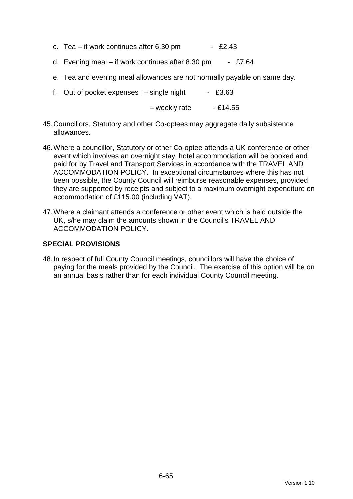- c. Tea if work continues after  $6.30 \text{ pm}$  £2.43
- d. Evening meal if work continues after 8.30 pm £7.64
- e. Tea and evening meal allowances are not normally payable on same day.
- f. Out of pocket expenses  $-$  single night  $-$  £3.63

 $-$  weekly rate  $-$  £14.55

- 45. Councillors, Statutory and other Co-optees may aggregate daily subsistence allowances.
- 46. Where a councillor, Statutory or other Co-optee attends a UK conference or other event which involves an overnight stay, hotel accommodation will be booked and paid for by Travel and Transport Services in accordance with the TRAVEL AND ACCOMMODATION POLICY. In exceptional circumstances where this has not been possible, the County Council will reimburse reasonable expenses, provided they are supported by receipts and subject to a maximum overnight expenditure on accommodation of £115.00 (including VAT).
- 47. Where a claimant attends a conference or other event which is held outside the UK, s/he may claim the amounts shown in the Council's TRAVEL AND ACCOMMODATION POLICY.

### **SPECIAL PROVISIONS**

48. In respect of full County Council meetings, councillors will have the choice of paying for the meals provided by the Council. The exercise of this option will be on an annual basis rather than for each individual County Council meeting.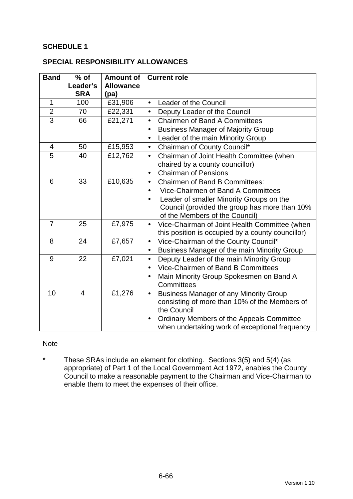### **SCHEDULE 1**

### **SPECIAL RESPONSIBILITY ALLOWANCES**

| <b>Band</b>    | $%$ of<br>Leader's | <b>Amount of</b><br><b>Allowance</b> | <b>Current role</b>                                        |  |
|----------------|--------------------|--------------------------------------|------------------------------------------------------------|--|
|                | <b>SRA</b>         | (pa)                                 |                                                            |  |
| $\mathbf{1}$   | 100                | £31,906                              | Leader of the Council<br>$\bullet$                         |  |
| $\overline{2}$ | 70                 | £22,331                              | Deputy Leader of the Council<br>$\bullet$                  |  |
| $\overline{3}$ | 66                 | £21,271                              | <b>Chairmen of Band A Committees</b><br>$\bullet$          |  |
|                |                    |                                      | <b>Business Manager of Majority Group</b><br>$\bullet$     |  |
|                |                    |                                      | Leader of the main Minority Group                          |  |
| $\overline{4}$ | 50                 | £15,953                              | Chairman of County Council*<br>$\bullet$                   |  |
| 5              | 40                 | £12,762                              | Chairman of Joint Health Committee (when<br>$\bullet$      |  |
|                |                    |                                      | chaired by a county councillor)                            |  |
|                |                    |                                      | <b>Chairman of Pensions</b><br>$\bullet$                   |  |
| 6              | 33                 | £10,635                              | <b>Chairmen of Band B Committees:</b><br>$\bullet$         |  |
|                |                    |                                      | Vice-Chairmen of Band A Committees                         |  |
|                |                    |                                      | Leader of smaller Minority Groups on the<br>$\bullet$      |  |
|                |                    |                                      | Council (provided the group has more than 10%              |  |
|                |                    |                                      | of the Members of the Council)                             |  |
| $\overline{7}$ | 25                 | £7,975                               | Vice-Chairman of Joint Health Committee (when<br>$\bullet$ |  |
|                |                    |                                      | this position is occupied by a county councillor)          |  |
| 8              | 24                 | £7,657                               | Vice-Chairman of the County Council*<br>$\bullet$          |  |
|                |                    |                                      | Business Manager of the main Minority Group<br>$\bullet$   |  |
| 9              | 22                 | £7,021                               | Deputy Leader of the main Minority Group<br>$\bullet$      |  |
|                |                    |                                      | Vice-Chairmen of Band B Committees<br>$\bullet$            |  |
|                |                    |                                      | Main Minority Group Spokesmen on Band A                    |  |
|                |                    |                                      | Committees                                                 |  |
| 10             | $\overline{4}$     | £1,276                               | <b>Business Manager of any Minority Group</b><br>$\bullet$ |  |
|                |                    |                                      | consisting of more than 10% of the Members of              |  |
|                |                    |                                      | the Council                                                |  |
|                |                    |                                      | Ordinary Members of the Appeals Committee<br>$\bullet$     |  |
|                |                    |                                      | when undertaking work of exceptional frequency             |  |

### Note

\* These SRAs include an element for clothing. Sections 3(5) and 5(4) (as appropriate) of Part 1 of the Local Government Act 1972, enables the County Council to make a reasonable payment to the Chairman and Vice-Chairman to enable them to meet the expenses of their office.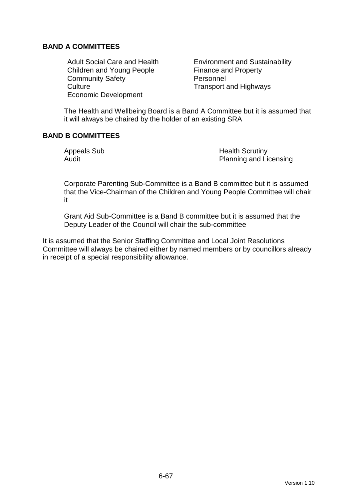### **BAND A COMMITTEES**

Children and Young People Finance and Property Community Safety **Personnel** Culture Culture Transport and Highways Economic Development

Adult Social Care and Health Environment and Sustainability

The Health and Wellbeing Board is a Band A Committee but it is assumed that it will always be chaired by the holder of an existing SRA

### **BAND B COMMITTEES**

Appeals Sub **Health Scrutiny** Audit **Audit** Planning and Licensing

Corporate Parenting Sub-Committee is a Band B committee but it is assumed that the Vice-Chairman of the Children and Young People Committee will chair it

Grant Aid Sub-Committee is a Band B committee but it is assumed that the Deputy Leader of the Council will chair the sub-committee

It is assumed that the Senior Staffing Committee and Local Joint Resolutions Committee will always be chaired either by named members or by councillors already in receipt of a special responsibility allowance.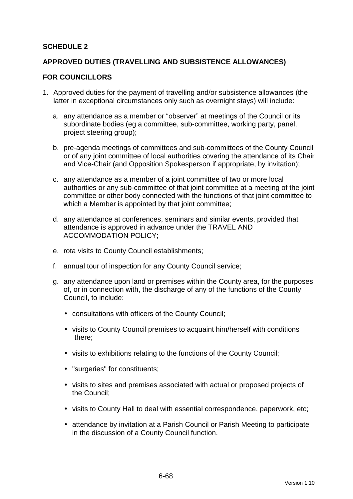### **SCHEDULE 2**

### **APPROVED DUTIES (TRAVELLING AND SUBSISTENCE ALLOWANCES)**

#### **FOR COUNCILLORS**

- 1. Approved duties for the payment of travelling and/or subsistence allowances (the latter in exceptional circumstances only such as overnight stays) will include:
	- a. any attendance as a member or "observer" at meetings of the Council or its subordinate bodies (eg a committee, sub-committee, working party, panel, project steering group);
	- b. pre-agenda meetings of committees and sub-committees of the County Council or of any joint committee of local authorities covering the attendance of its Chair and Vice-Chair (and Opposition Spokesperson if appropriate, by invitation);
	- c. any attendance as a member of a joint committee of two or more local authorities or any sub-committee of that joint committee at a meeting of the joint committee or other body connected with the functions of that joint committee to which a Member is appointed by that joint committee;
	- d. any attendance at conferences, seminars and similar events, provided that attendance is approved in advance under the TRAVEL AND ACCOMMODATION POLICY;
	- e. rota visits to County Council establishments;
	- f. annual tour of inspection for any County Council service;
	- g. any attendance upon land or premises within the County area, for the purposes of, or in connection with, the discharge of any of the functions of the County Council, to include:
		- consultations with officers of the County Council;
		- visits to County Council premises to acquaint him/herself with conditions there;
		- visits to exhibitions relating to the functions of the County Council;
		- "surgeries" for constituents;
		- visits to sites and premises associated with actual or proposed projects of the Council;
		- visits to County Hall to deal with essential correspondence, paperwork, etc;
		- attendance by invitation at a Parish Council or Parish Meeting to participate in the discussion of a County Council function.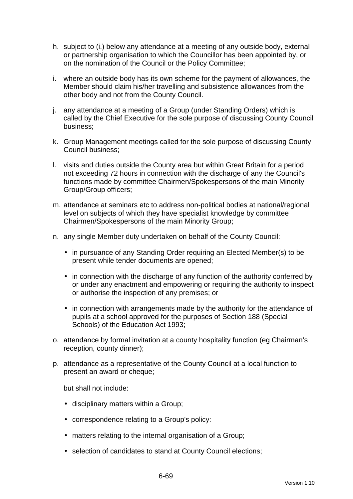- h. subject to (i.) below any attendance at a meeting of any outside body, external or partnership organisation to which the Councillor has been appointed by, or on the nomination of the Council or the Policy Committee;
- i. where an outside body has its own scheme for the payment of allowances, the Member should claim his/her travelling and subsistence allowances from the other body and not from the County Council.
- j. any attendance at a meeting of a Group (under Standing Orders) which is called by the Chief Executive for the sole purpose of discussing County Council business;
- k. Group Management meetings called for the sole purpose of discussing County Council business;
- l. visits and duties outside the County area but within Great Britain for a period not exceeding 72 hours in connection with the discharge of any the Council's functions made by committee Chairmen/Spokespersons of the main Minority Group/Group officers;
- m. attendance at seminars etc to address non-political bodies at national/regional level on subjects of which they have specialist knowledge by committee Chairmen/Spokespersons of the main Minority Group;
- n. any single Member duty undertaken on behalf of the County Council:
	- in pursuance of any Standing Order requiring an Elected Member(s) to be present while tender documents are opened;
	- in connection with the discharge of any function of the authority conferred by or under any enactment and empowering or requiring the authority to inspect or authorise the inspection of any premises; or
	- in connection with arrangements made by the authority for the attendance of pupils at a school approved for the purposes of Section 188 (Special Schools) of the Education Act 1993;
- o. attendance by formal invitation at a county hospitality function (eg Chairman's reception, county dinner);
- p. attendance as a representative of the County Council at a local function to present an award or cheque;

but shall not include:

- disciplinary matters within a Group;
- correspondence relating to a Group's policy:
- matters relating to the internal organisation of a Group;
- selection of candidates to stand at County Council elections;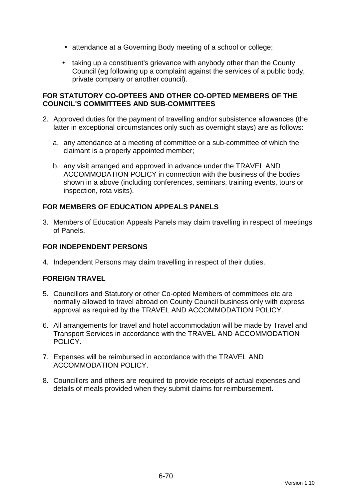- attendance at a Governing Body meeting of a school or college;
- taking up a constituent's grievance with anybody other than the County Council (eg following up a complaint against the services of a public body, private company or another council).

### **FOR STATUTORY CO-OPTEES AND OTHER CO-OPTED MEMBERS OF THE COUNCIL'S COMMITTEES AND SUB-COMMITTEES**

- 2. Approved duties for the payment of travelling and/or subsistence allowances (the latter in exceptional circumstances only such as overnight stays) are as follows:
	- a. any attendance at a meeting of committee or a sub-committee of which the claimant is a properly appointed member;
	- b. any visit arranged and approved in advance under the TRAVEL AND ACCOMMODATION POLICY in connection with the business of the bodies shown in a above (including conferences, seminars, training events, tours or inspection, rota visits).

# **FOR MEMBERS OF EDUCATION APPEALS PANELS**

3. Members of Education Appeals Panels may claim travelling in respect of meetings of Panels.

### **FOR INDEPENDENT PERSONS**

4. Independent Persons may claim travelling in respect of their duties.

### **FOREIGN TRAVEL**

- 5. Councillors and Statutory or other Co-opted Members of committees etc are normally allowed to travel abroad on County Council business only with express approval as required by the TRAVEL AND ACCOMMODATION POLICY.
- 6. All arrangements for travel and hotel accommodation will be made by Travel and Transport Services in accordance with the TRAVEL AND ACCOMMODATION POLICY.
- 7. Expenses will be reimbursed in accordance with the TRAVEL AND ACCOMMODATION POLICY.
- 8. Councillors and others are required to provide receipts of actual expenses and details of meals provided when they submit claims for reimbursement.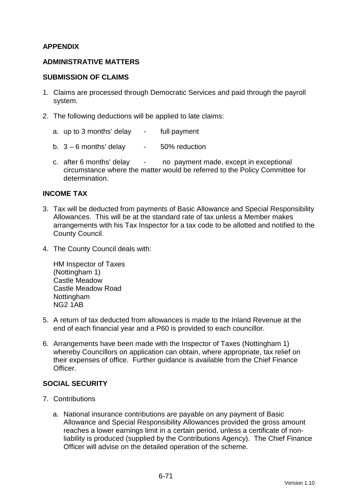### **APPENDIX**

### **ADMINISTRATIVE MATTERS**

#### **SUBMISSION OF CLAIMS**

- 1. Claims are processed through Democratic Services and paid through the payroll system.
- 2. The following deductions will be applied to late claims:
	- a. up to 3 months' delay full payment
	- b.  $3 6$  months' delay  $-50\%$  reduction
	- c. after 6 months' delay no payment made, except in exceptional circumstance where the matter would be referred to the Policy Committee for determination.

#### **INCOME TAX**

- 3. Tax will be deducted from payments of Basic Allowance and Special Responsibility Allowances. This will be at the standard rate of tax unless a Member makes arrangements with his Tax Inspector for a tax code to be allotted and notified to the County Council.
- 4. The County Council deals with:

HM Inspector of Taxes (Nottingham 1) Castle Meadow Castle Meadow Road Nottingham NG2 1AB

- 5. A return of tax deducted from allowances is made to the Inland Revenue at the end of each financial year and a P60 is provided to each councillor.
- 6. Arrangements have been made with the Inspector of Taxes (Nottingham 1) whereby Councillors on application can obtain, where appropriate, tax relief on their expenses of office. Further guidance is available from the Chief Finance **Officer**

### **SOCIAL SECURITY**

- 7. Contributions
	- a. National insurance contributions are payable on any payment of Basic Allowance and Special Responsibility Allowances provided the gross amount reaches a lower earnings limit in a certain period, unless a certificate of nonliability is produced (supplied by the Contributions Agency). The Chief Finance Officer will advise on the detailed operation of the scheme.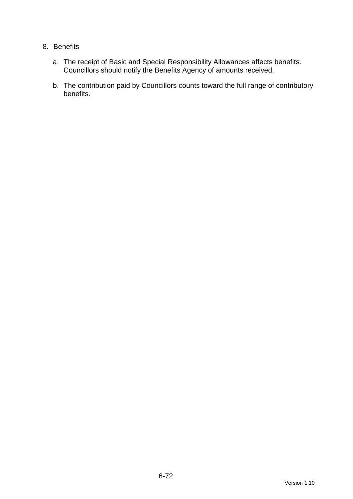### 8. Benefits

- a. The receipt of Basic and Special Responsibility Allowances affects benefits. Councillors should notify the Benefits Agency of amounts received.
- b. The contribution paid by Councillors counts toward the full range of contributory benefits.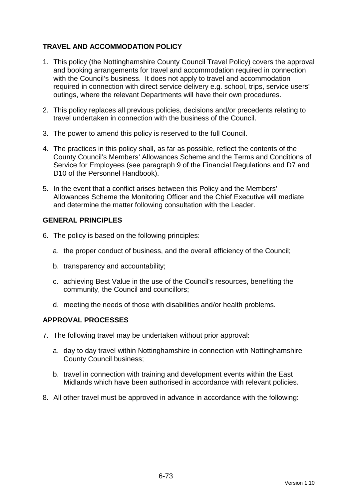# **TRAVEL AND ACCOMMODATION POLICY**

- 1. This policy (the Nottinghamshire County Council Travel Policy) covers the approval and booking arrangements for travel and accommodation required in connection with the Council's business. It does not apply to travel and accommodation required in connection with direct service delivery e.g. school, trips, service users' outings, where the relevant Departments will have their own procedures.
- 2. This policy replaces all previous policies, decisions and/or precedents relating to travel undertaken in connection with the business of the Council.
- 3. The power to amend this policy is reserved to the full Council.
- 4. The practices in this policy shall, as far as possible, reflect the contents of the County Council's Members' Allowances Scheme and the Terms and Conditions of Service for Employees (see paragraph 9 of the Financial Regulations and D7 and D10 of the Personnel Handbook).
- 5. In the event that a conflict arises between this Policy and the Members' Allowances Scheme the Monitoring Officer and the Chief Executive will mediate and determine the matter following consultation with the Leader.

### **GENERAL PRINCIPLES**

- 6. The policy is based on the following principles:
	- a. the proper conduct of business, and the overall efficiency of the Council;
	- b. transparency and accountability;
	- c. achieving Best Value in the use of the Council's resources, benefiting the community, the Council and councillors;
	- d. meeting the needs of those with disabilities and/or health problems.

### **APPROVAL PROCESSES**

- 7. The following travel may be undertaken without prior approval:
	- a. day to day travel within Nottinghamshire in connection with Nottinghamshire County Council business;
	- b. travel in connection with training and development events within the East Midlands which have been authorised in accordance with relevant policies.
- 8. All other travel must be approved in advance in accordance with the following: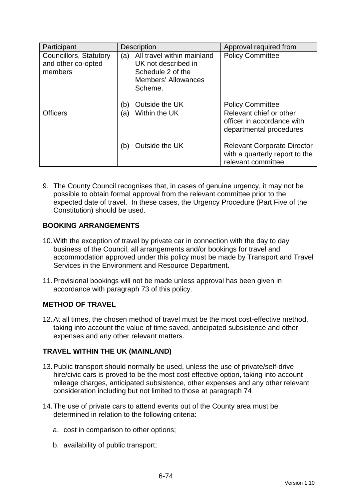| Participant                                                    | <b>Description</b>                                                                                                     | Approval required from                                                                     |
|----------------------------------------------------------------|------------------------------------------------------------------------------------------------------------------------|--------------------------------------------------------------------------------------------|
| <b>Councillors, Statutory</b><br>and other co-opted<br>members | All travel within mainland<br>(a)<br>UK not described in<br>Schedule 2 of the<br><b>Members' Allowances</b><br>Scheme. | <b>Policy Committee</b>                                                                    |
|                                                                | Outside the UK<br>(b)                                                                                                  | <b>Policy Committee</b>                                                                    |
| <b>Officers</b>                                                | Within the UK<br>(a)                                                                                                   | Relevant chief or other<br>officer in accordance with<br>departmental procedures           |
|                                                                | Outside the UK<br>(b)                                                                                                  | <b>Relevant Corporate Director</b><br>with a quarterly report to the<br>relevant committee |

9. The County Council recognises that, in cases of genuine urgency, it may not be possible to obtain formal approval from the relevant committee prior to the expected date of travel. In these cases, the Urgency Procedure (Part Five of the Constitution) should be used.

# **BOOKING ARRANGEMENTS**

- 10. With the exception of travel by private car in connection with the day to day business of the Council, all arrangements and/or bookings for travel and accommodation approved under this policy must be made by Transport and Travel Services in the Environment and Resource Department.
- 11. Provisional bookings will not be made unless approval has been given in accordance with paragraph 73 of this policy.

# **METHOD OF TRAVEL**

12. At all times, the chosen method of travel must be the most cost-effective method, taking into account the value of time saved, anticipated subsistence and other expenses and any other relevant matters.

# **TRAVEL WITHIN THE UK (MAINLAND)**

- 13. Public transport should normally be used, unless the use of private/self-drive hire/civic cars is proved to be the most cost effective option, taking into account mileage charges, anticipated subsistence, other expenses and any other relevant consideration including but not limited to those at paragraph 74
- 14. The use of private cars to attend events out of the County area must be determined in relation to the following criteria:
	- a. cost in comparison to other options;
	- b. availability of public transport;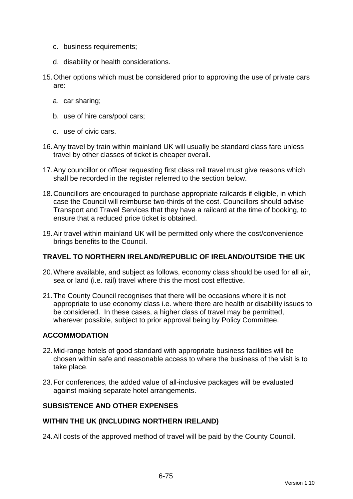- c. business requirements;
- d. disability or health considerations.
- 15. Other options which must be considered prior to approving the use of private cars are:
	- a. car sharing;
	- b. use of hire cars/pool cars;
	- c. use of civic cars.
- 16. Any travel by train within mainland UK will usually be standard class fare unless travel by other classes of ticket is cheaper overall.
- 17. Any councillor or officer requesting first class rail travel must give reasons which shall be recorded in the register referred to the section below.
- 18. Councillors are encouraged to purchase appropriate railcards if eligible, in which case the Council will reimburse two-thirds of the cost. Councillors should advise Transport and Travel Services that they have a railcard at the time of booking, to ensure that a reduced price ticket is obtained.
- 19. Air travel within mainland UK will be permitted only where the cost/convenience brings benefits to the Council.

#### **TRAVEL TO NORTHERN IRELAND/REPUBLIC OF IRELAND/OUTSIDE THE UK**

- 20. Where available, and subject as follows, economy class should be used for all air, sea or land (i.e. rail) travel where this the most cost effective.
- 21. The County Council recognises that there will be occasions where it is not appropriate to use economy class i.e. where there are health or disability issues to be considered. In these cases, a higher class of travel may be permitted, wherever possible, subject to prior approval being by Policy Committee.

### **ACCOMMODATION**

- 22. Mid-range hotels of good standard with appropriate business facilities will be chosen within safe and reasonable access to where the business of the visit is to take place.
- 23. For conferences, the added value of all-inclusive packages will be evaluated against making separate hotel arrangements.

## **SUBSISTENCE AND OTHER EXPENSES**

#### **WITHIN THE UK (INCLUDING NORTHERN IRELAND)**

24. All costs of the approved method of travel will be paid by the County Council.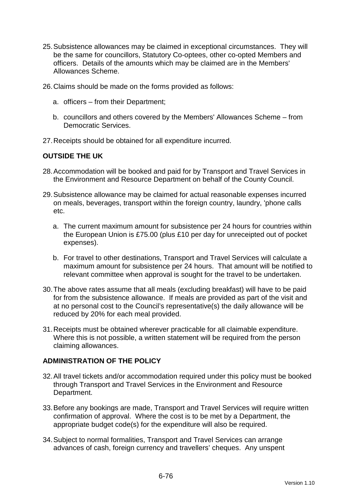- 25. Subsistence allowances may be claimed in exceptional circumstances. They will be the same for councillors, Statutory Co-optees, other co-opted Members and officers. Details of the amounts which may be claimed are in the Members' Allowances Scheme.
- 26. Claims should be made on the forms provided as follows:
	- a. officers from their Department;
	- b. councillors and others covered by the Members' Allowances Scheme from Democratic Services.
- 27. Receipts should be obtained for all expenditure incurred.

#### **OUTSIDE THE UK**

- 28. Accommodation will be booked and paid for by Transport and Travel Services in the Environment and Resource Department on behalf of the County Council.
- 29. Subsistence allowance may be claimed for actual reasonable expenses incurred on meals, beverages, transport within the foreign country, laundry, 'phone calls etc.
	- a. The current maximum amount for subsistence per 24 hours for countries within the European Union is £75.00 (plus £10 per day for unreceipted out of pocket expenses).
	- b. For travel to other destinations, Transport and Travel Services will calculate a maximum amount for subsistence per 24 hours. That amount will be notified to relevant committee when approval is sought for the travel to be undertaken.
- 30. The above rates assume that all meals (excluding breakfast) will have to be paid for from the subsistence allowance. If meals are provided as part of the visit and at no personal cost to the Council's representative(s) the daily allowance will be reduced by 20% for each meal provided.
- 31. Receipts must be obtained wherever practicable for all claimable expenditure. Where this is not possible, a written statement will be required from the person claiming allowances.

#### **ADMINISTRATION OF THE POLICY**

- 32. All travel tickets and/or accommodation required under this policy must be booked through Transport and Travel Services in the Environment and Resource Department.
- 33. Before any bookings are made, Transport and Travel Services will require written confirmation of approval. Where the cost is to be met by a Department, the appropriate budget code(s) for the expenditure will also be required.
- 34. Subject to normal formalities, Transport and Travel Services can arrange advances of cash, foreign currency and travellers' cheques. Any unspent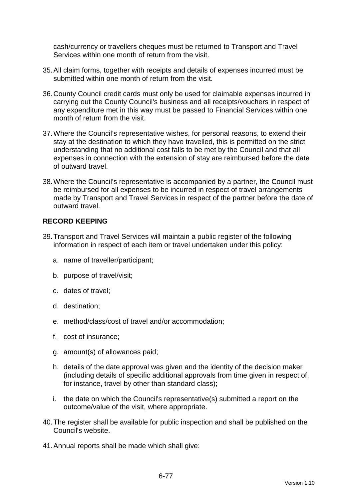cash/currency or travellers cheques must be returned to Transport and Travel Services within one month of return from the visit.

- 35. All claim forms, together with receipts and details of expenses incurred must be submitted within one month of return from the visit.
- 36. County Council credit cards must only be used for claimable expenses incurred in carrying out the County Council's business and all receipts/vouchers in respect of any expenditure met in this way must be passed to Financial Services within one month of return from the visit.
- 37. Where the Council's representative wishes, for personal reasons, to extend their stay at the destination to which they have travelled, this is permitted on the strict understanding that no additional cost falls to be met by the Council and that all expenses in connection with the extension of stay are reimbursed before the date of outward travel.
- 38. Where the Council's representative is accompanied by a partner, the Council must be reimbursed for all expenses to be incurred in respect of travel arrangements made by Transport and Travel Services in respect of the partner before the date of outward travel.

## **RECORD KEEPING**

- 39. Transport and Travel Services will maintain a public register of the following information in respect of each item or travel undertaken under this policy:
	- a. name of traveller/participant;
	- b. purpose of travel/visit;
	- c. dates of travel;
	- d. destination;
	- e. method/class/cost of travel and/or accommodation;
	- f. cost of insurance;
	- g. amount(s) of allowances paid;
	- h. details of the date approval was given and the identity of the decision maker (including details of specific additional approvals from time given in respect of, for instance, travel by other than standard class);
	- i. the date on which the Council's representative(s) submitted a report on the outcome/value of the visit, where appropriate.
- 40. The register shall be available for public inspection and shall be published on the Council's website.
- 41. Annual reports shall be made which shall give: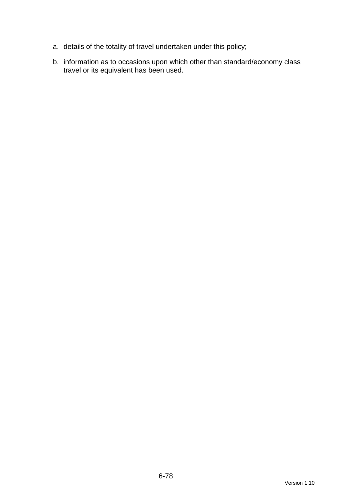- a. details of the totality of travel undertaken under this policy;
- b. information as to occasions upon which other than standard/economy class travel or its equivalent has been used.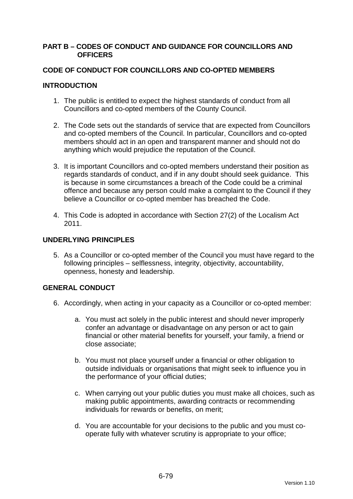#### **PART B – CODES OF CONDUCT AND GUIDANCE FOR COUNCILLORS AND OFFICERS**

### **CODE OF CONDUCT FOR COUNCILLORS AND CO-OPTED MEMBERS**

### **INTRODUCTION**

- 1. The public is entitled to expect the highest standards of conduct from all Councillors and co-opted members of the County Council.
- 2. The Code sets out the standards of service that are expected from Councillors and co-opted members of the Council. In particular, Councillors and co-opted members should act in an open and transparent manner and should not do anything which would prejudice the reputation of the Council.
- 3. It is important Councillors and co-opted members understand their position as regards standards of conduct, and if in any doubt should seek guidance. This is because in some circumstances a breach of the Code could be a criminal offence and because any person could make a complaint to the Council if they believe a Councillor or co-opted member has breached the Code.
- 4. This Code is adopted in accordance with Section 27(2) of the Localism Act 2011.

### **UNDERLYING PRINCIPLES**

5. As a Councillor or co-opted member of the Council you must have regard to the following principles – selflessness, integrity, objectivity, accountability, openness, honesty and leadership.

## **GENERAL CONDUCT**

- 6. Accordingly, when acting in your capacity as a Councillor or co-opted member:
	- a. You must act solely in the public interest and should never improperly confer an advantage or disadvantage on any person or act to gain financial or other material benefits for yourself, your family, a friend or close associate;
	- b. You must not place yourself under a financial or other obligation to outside individuals or organisations that might seek to influence you in the performance of your official duties;
	- c. When carrying out your public duties you must make all choices, such as making public appointments, awarding contracts or recommending individuals for rewards or benefits, on merit;
	- d. You are accountable for your decisions to the public and you must cooperate fully with whatever scrutiny is appropriate to your office;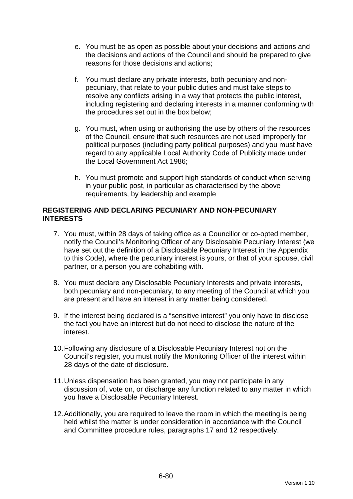- e. You must be as open as possible about your decisions and actions and the decisions and actions of the Council and should be prepared to give reasons for those decisions and actions;
- f. You must declare any private interests, both pecuniary and nonpecuniary, that relate to your public duties and must take steps to resolve any conflicts arising in a way that protects the public interest, including registering and declaring interests in a manner conforming with the procedures set out in the box below;
- g. You must, when using or authorising the use by others of the resources of the Council, ensure that such resources are not used improperly for political purposes (including party political purposes) and you must have regard to any applicable Local Authority Code of Publicity made under the Local Government Act 1986;
- h. You must promote and support high standards of conduct when serving in your public post, in particular as characterised by the above requirements, by leadership and example

### **REGISTERING AND DECLARING PECUNIARY AND NON-PECUNIARY INTERESTS**

- 7. You must, within 28 days of taking office as a Councillor or co-opted member, notify the Council's Monitoring Officer of any Disclosable Pecuniary Interest (we have set out the definition of a Disclosable Pecuniary Interest in the Appendix to this Code), where the pecuniary interest is yours, or that of your spouse, civil partner, or a person you are cohabiting with.
- 8. You must declare any Disclosable Pecuniary Interests and private interests, both pecuniary and non-pecuniary, to any meeting of the Council at which you are present and have an interest in any matter being considered.
- 9. If the interest being declared is a "sensitive interest" you only have to disclose the fact you have an interest but do not need to disclose the nature of the interest.
- 10. Following any disclosure of a Disclosable Pecuniary Interest not on the Council's register, you must notify the Monitoring Officer of the interest within 28 days of the date of disclosure.
- 11. Unless dispensation has been granted, you may not participate in any discussion of, vote on, or discharge any function related to any matter in which you have a Disclosable Pecuniary Interest.
- 12. Additionally, you are required to leave the room in which the meeting is being held whilst the matter is under consideration in accordance with the Council and Committee procedure rules, paragraphs 17 and 12 respectively.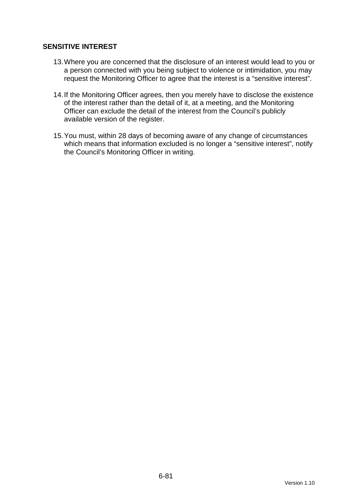## **SENSITIVE INTEREST**

- 13. Where you are concerned that the disclosure of an interest would lead to you or a person connected with you being subject to violence or intimidation, you may request the Monitoring Officer to agree that the interest is a "sensitive interest".
- 14. If the Monitoring Officer agrees, then you merely have to disclose the existence of the interest rather than the detail of it, at a meeting, and the Monitoring Officer can exclude the detail of the interest from the Council's publicly available version of the register.
- 15. You must, within 28 days of becoming aware of any change of circumstances which means that information excluded is no longer a "sensitive interest", notify the Council's Monitoring Officer in writing.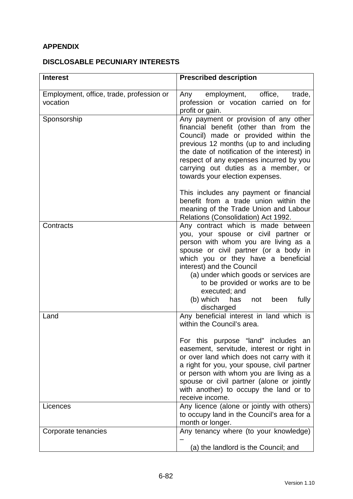# **APPENDIX**

## **DISCLOSABLE PECUNIARY INTERESTS**

| <b>Interest</b>                                      | <b>Prescribed description</b>                                                                                                                                                                                                                                                                                                                                                                               |
|------------------------------------------------------|-------------------------------------------------------------------------------------------------------------------------------------------------------------------------------------------------------------------------------------------------------------------------------------------------------------------------------------------------------------------------------------------------------------|
| Employment, office, trade, profession or<br>vocation | employment, office,<br>trade,<br>Any<br>profession or vocation carried on for<br>profit or gain.                                                                                                                                                                                                                                                                                                            |
| Sponsorship                                          | Any payment or provision of any other<br>financial benefit (other than from the<br>Council) made or provided within the<br>previous 12 months (up to and including<br>the date of notification of the interest) in<br>respect of any expenses incurred by you<br>carrying out duties as a member, or<br>towards your election expenses.                                                                     |
|                                                      | This includes any payment or financial<br>benefit from a trade union within the<br>meaning of the Trade Union and Labour<br>Relations (Consolidation) Act 1992.                                                                                                                                                                                                                                             |
| Contracts                                            | Any contract which is made between<br>you, your spouse or civil partner or<br>person with whom you are living as a<br>spouse or civil partner (or a body in<br>which you or they have a beneficial<br>interest) and the Council<br>(a) under which goods or services are<br>to be provided or works are to be<br>executed; and<br>(b) which<br>fully<br>has<br>been<br>not<br>discharged                    |
| Land                                                 | Any beneficial interest in land which is<br>within the Council's area.<br>For this purpose "land" includes an<br>easement, servitude, interest or right in<br>or over land which does not carry with it<br>a right for you, your spouse, civil partner<br>or person with whom you are living as a<br>spouse or civil partner (alone or jointly<br>with another) to occupy the land or to<br>receive income. |
| Licences                                             | Any licence (alone or jointly with others)<br>to occupy land in the Council's area for a<br>month or longer.                                                                                                                                                                                                                                                                                                |
| Corporate tenancies                                  | Any tenancy where (to your knowledge)<br>(a) the landlord is the Council; and                                                                                                                                                                                                                                                                                                                               |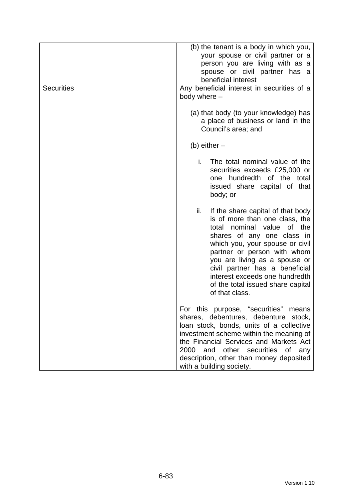| <b>Securities</b> | (b) the tenant is a body in which you,<br>your spouse or civil partner or a<br>person you are living with as a<br>spouse or civil partner has a<br>beneficial interest<br>Any beneficial interest in securities of a<br>body where -                                                                                                                                       |
|-------------------|----------------------------------------------------------------------------------------------------------------------------------------------------------------------------------------------------------------------------------------------------------------------------------------------------------------------------------------------------------------------------|
|                   | (a) that body (to your knowledge) has<br>a place of business or land in the<br>Council's area; and                                                                                                                                                                                                                                                                         |
|                   | (b) either $-$                                                                                                                                                                                                                                                                                                                                                             |
|                   | i.<br>The total nominal value of the<br>securities exceeds £25,000 or<br>one hundredth of the total<br>issued share capital of that<br>body; or                                                                                                                                                                                                                            |
|                   | ii.<br>If the share capital of that body<br>is of more than one class, the<br>nominal value<br>of the<br>total<br>shares of any one class in<br>which you, your spouse or civil<br>partner or person with whom<br>you are living as a spouse or<br>civil partner has a beneficial<br>interest exceeds one hundredth<br>of the total issued share capital<br>of that class. |
|                   | For this purpose, "securities"<br>means<br>shares, debentures, debenture stock,<br>loan stock, bonds, units of a collective<br>investment scheme within the meaning of<br>the Financial Services and Markets Act<br>2000<br>and other securities of<br>any<br>description, other than money deposited<br>with a building society.                                          |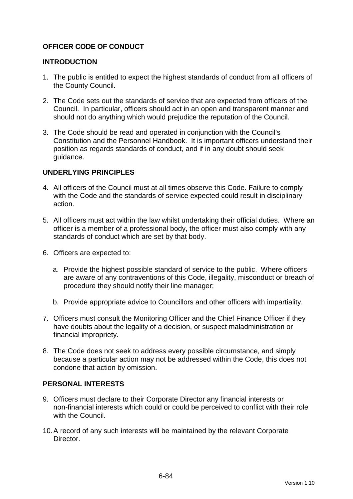## **OFFICER CODE OF CONDUCT**

#### **INTRODUCTION**

- 1. The public is entitled to expect the highest standards of conduct from all officers of the County Council.
- 2. The Code sets out the standards of service that are expected from officers of the Council. In particular, officers should act in an open and transparent manner and should not do anything which would prejudice the reputation of the Council.
- 3. The Code should be read and operated in conjunction with the Council's Constitution and the Personnel Handbook. It is important officers understand their position as regards standards of conduct, and if in any doubt should seek guidance.

### **UNDERLYING PRINCIPLES**

- 4. All officers of the Council must at all times observe this Code. Failure to comply with the Code and the standards of service expected could result in disciplinary action.
- 5. All officers must act within the law whilst undertaking their official duties. Where an officer is a member of a professional body, the officer must also comply with any standards of conduct which are set by that body.
- 6. Officers are expected to:
	- a. Provide the highest possible standard of service to the public. Where officers are aware of any contraventions of this Code, illegality, misconduct or breach of procedure they should notify their line manager;
	- b. Provide appropriate advice to Councillors and other officers with impartiality.
- 7. Officers must consult the Monitoring Officer and the Chief Finance Officer if they have doubts about the legality of a decision, or suspect maladministration or financial impropriety.
- 8. The Code does not seek to address every possible circumstance, and simply because a particular action may not be addressed within the Code, this does not condone that action by omission.

#### **PERSONAL INTERESTS**

- 9. Officers must declare to their Corporate Director any financial interests or non-financial interests which could or could be perceived to conflict with their role with the Council.
- 10. A record of any such interests will be maintained by the relevant Corporate **Director**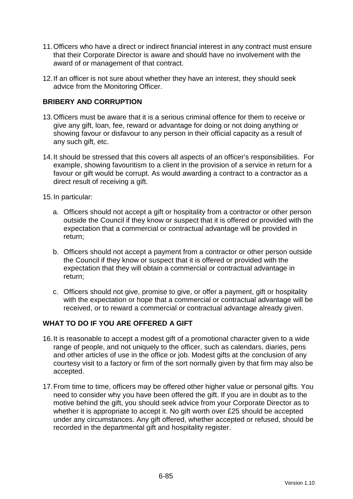- 11. Officers who have a direct or indirect financial interest in any contract must ensure that their Corporate Director is aware and should have no involvement with the award of or management of that contract.
- 12. If an officer is not sure about whether they have an interest, they should seek advice from the Monitoring Officer.

## **BRIBERY AND CORRUPTION**

- 13. Officers must be aware that it is a serious criminal offence for them to receive or give any gift, loan, fee, reward or advantage for doing or not doing anything or showing favour or disfavour to any person in their official capacity as a result of any such gift, etc.
- 14. It should be stressed that this covers all aspects of an officer's responsibilities. For example, showing favouritism to a client in the provision of a service in return for a favour or gift would be corrupt. As would awarding a contract to a contractor as a direct result of receiving a gift.
- 15. In particular:
	- a. Officers should not accept a gift or hospitality from a contractor or other person outside the Council if they know or suspect that it is offered or provided with the expectation that a commercial or contractual advantage will be provided in return;
	- b. Officers should not accept a payment from a contractor or other person outside the Council if they know or suspect that it is offered or provided with the expectation that they will obtain a commercial or contractual advantage in return;
	- c. Officers should not give, promise to give, or offer a payment, gift or hospitality with the expectation or hope that a commercial or contractual advantage will be received, or to reward a commercial or contractual advantage already given.

## **WHAT TO DO IF YOU ARE OFFERED A GIFT**

- 16. It is reasonable to accept a modest gift of a promotional character given to a wide range of people, and not uniquely to the officer, such as calendars, diaries, pens and other articles of use in the office or job. Modest gifts at the conclusion of any courtesy visit to a factory or firm of the sort normally given by that firm may also be accepted.
- 17. From time to time, officers may be offered other higher value or personal gifts. You need to consider why you have been offered the gift. If you are in doubt as to the motive behind the gift, you should seek advice from your Corporate Director as to whether it is appropriate to accept it. No gift worth over £25 should be accepted under any circumstances. Any gift offered, whether accepted or refused, should be recorded in the departmental gift and hospitality register.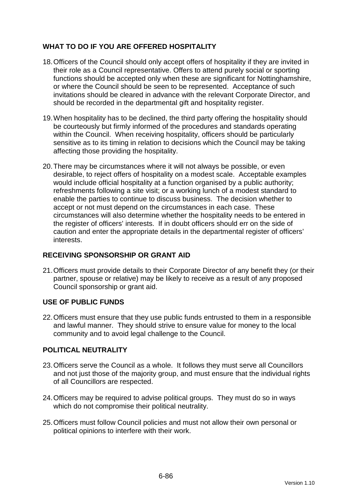## **WHAT TO DO IF YOU ARE OFFERED HOSPITALITY**

- 18. Officers of the Council should only accept offers of hospitality if they are invited in their role as a Council representative. Offers to attend purely social or sporting functions should be accepted only when these are significant for Nottinghamshire, or where the Council should be seen to be represented. Acceptance of such invitations should be cleared in advance with the relevant Corporate Director, and should be recorded in the departmental gift and hospitality register.
- 19. When hospitality has to be declined, the third party offering the hospitality should be courteously but firmly informed of the procedures and standards operating within the Council. When receiving hospitality, officers should be particularly sensitive as to its timing in relation to decisions which the Council may be taking affecting those providing the hospitality.
- 20. There may be circumstances where it will not always be possible, or even desirable, to reject offers of hospitality on a modest scale. Acceptable examples would include official hospitality at a function organised by a public authority; refreshments following a site visit; or a working lunch of a modest standard to enable the parties to continue to discuss business. The decision whether to accept or not must depend on the circumstances in each case. These circumstances will also determine whether the hospitality needs to be entered in the register of officers' interests. If in doubt officers should err on the side of caution and enter the appropriate details in the departmental register of officers' interests.

## **RECEIVING SPONSORSHIP OR GRANT AID**

21. Officers must provide details to their Corporate Director of any benefit they (or their partner, spouse or relative) may be likely to receive as a result of any proposed Council sponsorship or grant aid.

## **USE OF PUBLIC FUNDS**

22. Officers must ensure that they use public funds entrusted to them in a responsible and lawful manner. They should strive to ensure value for money to the local community and to avoid legal challenge to the Council.

## **POLITICAL NEUTRALITY**

- 23. Officers serve the Council as a whole. It follows they must serve all Councillors and not just those of the majority group, and must ensure that the individual rights of all Councillors are respected.
- 24. Officers may be required to advise political groups. They must do so in ways which do not compromise their political neutrality.
- 25. Officers must follow Council policies and must not allow their own personal or political opinions to interfere with their work.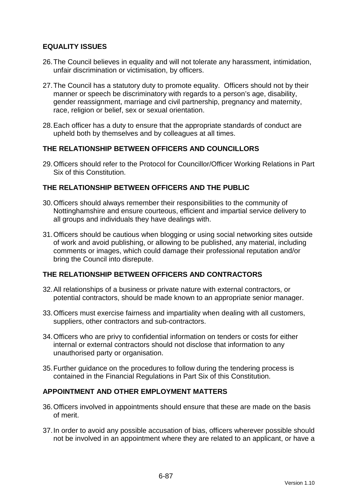## **EQUALITY ISSUES**

- 26. The Council believes in equality and will not tolerate any harassment, intimidation, unfair discrimination or victimisation, by officers.
- 27. The Council has a statutory duty to promote equality. Officers should not by their manner or speech be discriminatory with regards to a person's age, disability, gender reassignment, marriage and civil partnership, pregnancy and maternity, race, religion or belief, sex or sexual orientation.
- 28. Each officer has a duty to ensure that the appropriate standards of conduct are upheld both by themselves and by colleagues at all times.

### **THE RELATIONSHIP BETWEEN OFFICERS AND COUNCILLORS**

29. Officers should refer to the Protocol for Councillor/Officer Working Relations in Part Six of this Constitution.

## **THE RELATIONSHIP BETWEEN OFFICERS AND THE PUBLIC**

- 30. Officers should always remember their responsibilities to the community of Nottinghamshire and ensure courteous, efficient and impartial service delivery to all groups and individuals they have dealings with.
- 31. Officers should be cautious when blogging or using social networking sites outside of work and avoid publishing, or allowing to be published, any material, including comments or images, which could damage their professional reputation and/or bring the Council into disrepute.

### **THE RELATIONSHIP BETWEEN OFFICERS AND CONTRACTORS**

- 32. All relationships of a business or private nature with external contractors, or potential contractors, should be made known to an appropriate senior manager.
- 33. Officers must exercise fairness and impartiality when dealing with all customers, suppliers, other contractors and sub-contractors.
- 34. Officers who are privy to confidential information on tenders or costs for either internal or external contractors should not disclose that information to any unauthorised party or organisation.
- 35. Further guidance on the procedures to follow during the tendering process is contained in the Financial Regulations in Part Six of this Constitution.

#### **APPOINTMENT AND OTHER EMPLOYMENT MATTERS**

- 36. Officers involved in appointments should ensure that these are made on the basis of merit.
- 37. In order to avoid any possible accusation of bias, officers wherever possible should not be involved in an appointment where they are related to an applicant, or have a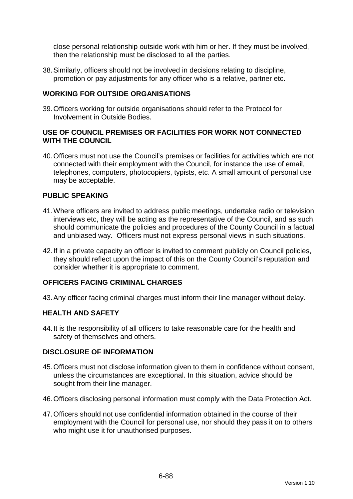close personal relationship outside work with him or her. If they must be involved, then the relationship must be disclosed to all the parties.

38. Similarly, officers should not be involved in decisions relating to discipline, promotion or pay adjustments for any officer who is a relative, partner etc.

### **WORKING FOR OUTSIDE ORGANISATIONS**

39. Officers working for outside organisations should refer to the Protocol for Involvement in Outside Bodies.

### **USE OF COUNCIL PREMISES OR FACILITIES FOR WORK NOT CONNECTED WITH THE COUNCIL**

40. Officers must not use the Council's premises or facilities for activities which are not connected with their employment with the Council, for instance the use of email, telephones, computers, photocopiers, typists, etc. A small amount of personal use may be acceptable.

### **PUBLIC SPEAKING**

- 41. Where officers are invited to address public meetings, undertake radio or television interviews etc, they will be acting as the representative of the Council, and as such should communicate the policies and procedures of the County Council in a factual and unbiased way. Officers must not express personal views in such situations.
- 42. If in a private capacity an officer is invited to comment publicly on Council policies, they should reflect upon the impact of this on the County Council's reputation and consider whether it is appropriate to comment.

### **OFFICERS FACING CRIMINAL CHARGES**

43. Any officer facing criminal charges must inform their line manager without delay.

#### **HEALTH AND SAFETY**

44. It is the responsibility of all officers to take reasonable care for the health and safety of themselves and others.

#### **DISCLOSURE OF INFORMATION**

- 45. Officers must not disclose information given to them in confidence without consent, unless the circumstances are exceptional. In this situation, advice should be sought from their line manager.
- 46. Officers disclosing personal information must comply with the Data Protection Act.
- 47. Officers should not use confidential information obtained in the course of their employment with the Council for personal use, nor should they pass it on to others who might use it for unauthorised purposes.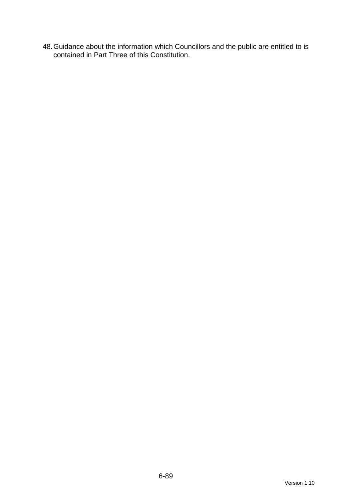48. Guidance about the information which Councillors and the public are entitled to is contained in Part Three of this Constitution.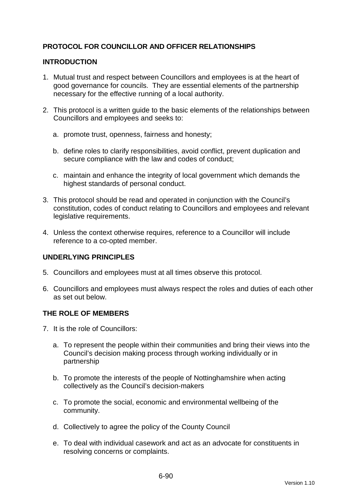## **PROTOCOL FOR COUNCILLOR AND OFFICER RELATIONSHIPS**

### **INTRODUCTION**

- 1. Mutual trust and respect between Councillors and employees is at the heart of good governance for councils. They are essential elements of the partnership necessary for the effective running of a local authority.
- 2. This protocol is a written guide to the basic elements of the relationships between Councillors and employees and seeks to:
	- a. promote trust, openness, fairness and honesty;
	- b. define roles to clarify responsibilities, avoid conflict, prevent duplication and secure compliance with the law and codes of conduct;
	- c. maintain and enhance the integrity of local government which demands the highest standards of personal conduct.
- 3. This protocol should be read and operated in conjunction with the Council's constitution, codes of conduct relating to Councillors and employees and relevant legislative requirements.
- 4. Unless the context otherwise requires, reference to a Councillor will include reference to a co-opted member.

## **UNDERLYING PRINCIPLES**

- 5. Councillors and employees must at all times observe this protocol.
- 6. Councillors and employees must always respect the roles and duties of each other as set out below.

#### **THE ROLE OF MEMBERS**

- 7. It is the role of Councillors:
	- a. To represent the people within their communities and bring their views into the Council's decision making process through working individually or in partnership
	- b. To promote the interests of the people of Nottinghamshire when acting collectively as the Council's decision-makers
	- c. To promote the social, economic and environmental wellbeing of the community.
	- d. Collectively to agree the policy of the County Council
	- e. To deal with individual casework and act as an advocate for constituents in resolving concerns or complaints.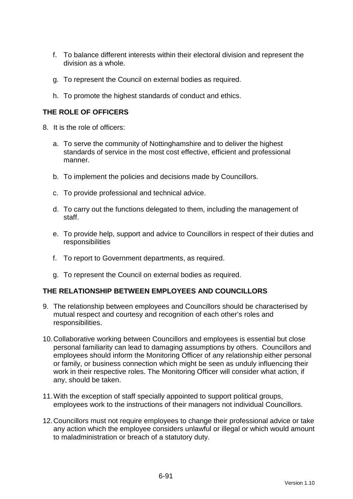- f. To balance different interests within their electoral division and represent the division as a whole.
- g. To represent the Council on external bodies as required.
- h. To promote the highest standards of conduct and ethics.

## **THE ROLE OF OFFICERS**

- 8. It is the role of officers:
	- a. To serve the community of Nottinghamshire and to deliver the highest standards of service in the most cost effective, efficient and professional manner.
	- b. To implement the policies and decisions made by Councillors.
	- c. To provide professional and technical advice.
	- d. To carry out the functions delegated to them, including the management of staff.
	- e. To provide help, support and advice to Councillors in respect of their duties and responsibilities
	- f. To report to Government departments, as required.
	- g. To represent the Council on external bodies as required.

#### **THE RELATIONSHIP BETWEEN EMPLOYEES AND COUNCILLORS**

- 9. The relationship between employees and Councillors should be characterised by mutual respect and courtesy and recognition of each other's roles and responsibilities.
- 10. Collaborative working between Councillors and employees is essential but close personal familiarity can lead to damaging assumptions by others. Councillors and employees should inform the Monitoring Officer of any relationship either personal or family, or business connection which might be seen as unduly influencing their work in their respective roles. The Monitoring Officer will consider what action, if any, should be taken.
- 11. With the exception of staff specially appointed to support political groups, employees work to the instructions of their managers not individual Councillors.
- 12. Councillors must not require employees to change their professional advice or take any action which the employee considers unlawful or illegal or which would amount to maladministration or breach of a statutory duty.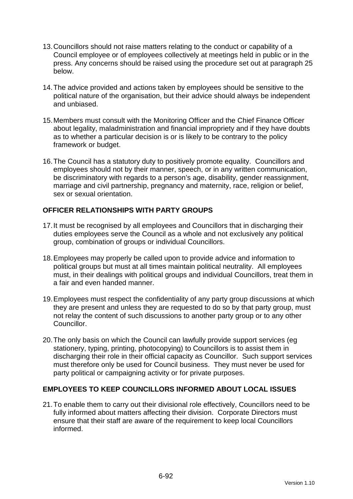- 13. Councillors should not raise matters relating to the conduct or capability of a Council employee or of employees collectively at meetings held in public or in the press. Any concerns should be raised using the procedure set out at paragraph 25 below.
- 14. The advice provided and actions taken by employees should be sensitive to the political nature of the organisation, but their advice should always be independent and unbiased.
- 15. Members must consult with the Monitoring Officer and the Chief Finance Officer about legality, maladministration and financial impropriety and if they have doubts as to whether a particular decision is or is likely to be contrary to the policy framework or budget.
- 16. The Council has a statutory duty to positively promote equality. Councillors and employees should not by their manner, speech, or in any written communication, be discriminatory with regards to a person's age, disability, gender reassignment, marriage and civil partnership, pregnancy and maternity, race, religion or belief, sex or sexual orientation.

## **OFFICER RELATIONSHIPS WITH PARTY GROUPS**

- 17. It must be recognised by all employees and Councillors that in discharging their duties employees serve the Council as a whole and not exclusively any political group, combination of groups or individual Councillors.
- 18. Employees may properly be called upon to provide advice and information to political groups but must at all times maintain political neutrality. All employees must, in their dealings with political groups and individual Councillors, treat them in a fair and even handed manner.
- 19. Employees must respect the confidentiality of any party group discussions at which they are present and unless they are requested to do so by that party group, must not relay the content of such discussions to another party group or to any other Councillor.
- 20. The only basis on which the Council can lawfully provide support services (eg stationery, typing, printing, photocopying) to Councillors is to assist them in discharging their role in their official capacity as Councillor. Such support services must therefore only be used for Council business. They must never be used for party political or campaigning activity or for private purposes.

## **EMPLOYEES TO KEEP COUNCILLORS INFORMED ABOUT LOCAL ISSUES**

21. To enable them to carry out their divisional role effectively, Councillors need to be fully informed about matters affecting their division. Corporate Directors must ensure that their staff are aware of the requirement to keep local Councillors informed.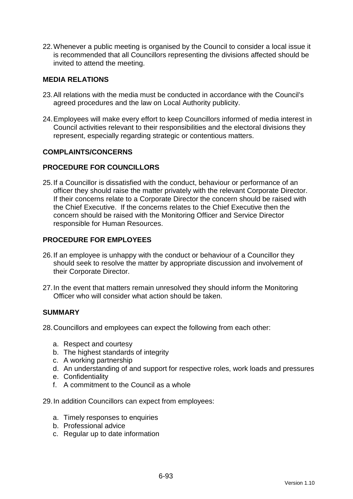22. Whenever a public meeting is organised by the Council to consider a local issue it is recommended that all Councillors representing the divisions affected should be invited to attend the meeting.

### **MEDIA RELATIONS**

- 23. All relations with the media must be conducted in accordance with the Council's agreed procedures and the law on Local Authority publicity.
- 24. Employees will make every effort to keep Councillors informed of media interest in Council activities relevant to their responsibilities and the electoral divisions they represent, especially regarding strategic or contentious matters.

#### **COMPLAINTS/CONCERNS**

### **PROCEDURE FOR COUNCILLORS**

25. If a Councillor is dissatisfied with the conduct, behaviour or performance of an officer they should raise the matter privately with the relevant Corporate Director. If their concerns relate to a Corporate Director the concern should be raised with the Chief Executive. If the concerns relates to the Chief Executive then the concern should be raised with the Monitoring Officer and Service Director responsible for Human Resources.

### **PROCEDURE FOR EMPLOYEES**

- 26. If an employee is unhappy with the conduct or behaviour of a Councillor they should seek to resolve the matter by appropriate discussion and involvement of their Corporate Director.
- 27. In the event that matters remain unresolved they should inform the Monitoring Officer who will consider what action should be taken.

#### **SUMMARY**

28. Councillors and employees can expect the following from each other:

- a. Respect and courtesy
- b. The highest standards of integrity
- c. A working partnership
- d. An understanding of and support for respective roles, work loads and pressures
- e. Confidentiality
- f. A commitment to the Council as a whole

29. In addition Councillors can expect from employees:

- a. Timely responses to enquiries
- b. Professional advice
- c. Regular up to date information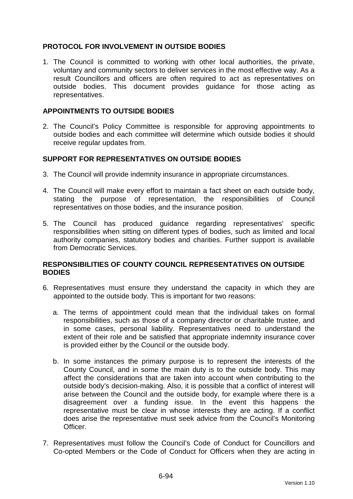## **PROTOCOL FOR INVOLVEMENT IN OUTSIDE BODIES**

1. The Council is committed to working with other local authorities, the private, voluntary and community sectors to deliver services in the most effective way. As a result Councillors and officers are often required to act as representatives on outside bodies. This document provides guidance for those acting as representatives.

### **APPOINTMENTS TO OUTSIDE BODIES**

2. The Council's Policy Committee is responsible for approving appointments to outside bodies and each committee will determine which outside bodies it should receive regular updates from.

### **SUPPORT FOR REPRESENTATIVES ON OUTSIDE BODIES**

- 3. The Council will provide indemnity insurance in appropriate circumstances.
- 4. The Council will make every effort to maintain a fact sheet on each outside body, stating the purpose of representation, the responsibilities of Council representatives on those bodies, and the insurance position.
- 5. The Council has produced guidance regarding representatives' specific responsibilities when sitting on different types of bodies, such as limited and local authority companies, statutory bodies and charities. Further support is available from Democratic Services.

### **RESPONSIBILITIES OF COUNTY COUNCIL REPRESENTATIVES ON OUTSIDE BODIES**

- 6. Representatives must ensure they understand the capacity in which they are appointed to the outside body. This is important for two reasons:
	- a. The terms of appointment could mean that the individual takes on formal responsibilities, such as those of a company director or charitable trustee, and in some cases, personal liability. Representatives need to understand the extent of their role and be satisfied that appropriate indemnity insurance cover is provided either by the Council or the outside body.
	- b. In some instances the primary purpose is to represent the interests of the County Council, and in some the main duty is to the outside body. This may affect the considerations that are taken into account when contributing to the outside body's decision-making. Also, it is possible that a conflict of interest will arise between the Council and the outside body, for example where there is a disagreement over a funding issue. In the event this happens the representative must be clear in whose interests they are acting. If a conflict does arise the representative must seek advice from the Council's Monitoring Officer.
- 7. Representatives must follow the Council's Code of Conduct for Councillors and Co-opted Members or the Code of Conduct for Officers when they are acting in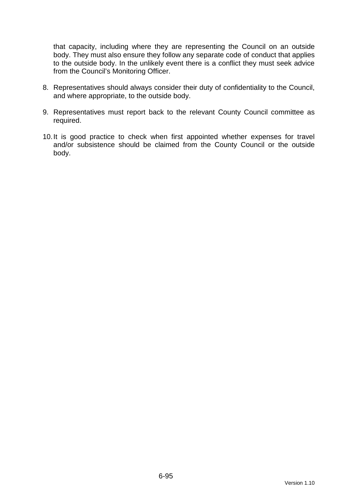that capacity, including where they are representing the Council on an outside body. They must also ensure they follow any separate code of conduct that applies to the outside body. In the unlikely event there is a conflict they must seek advice from the Council's Monitoring Officer.

- 8. Representatives should always consider their duty of confidentiality to the Council, and where appropriate, to the outside body.
- 9. Representatives must report back to the relevant County Council committee as required.
- 10. It is good practice to check when first appointed whether expenses for travel and/or subsistence should be claimed from the County Council or the outside body.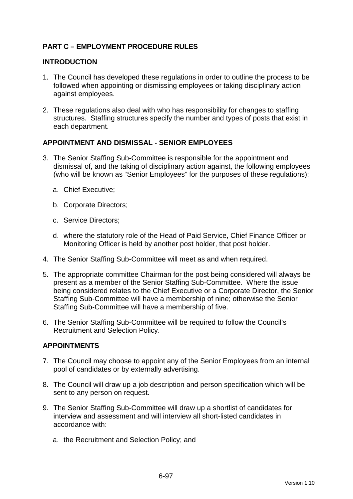## **PART C – EMPLOYMENT PROCEDURE RULES**

### **INTRODUCTION**

- 1. The Council has developed these regulations in order to outline the process to be followed when appointing or dismissing employees or taking disciplinary action against employees.
- 2. These regulations also deal with who has responsibility for changes to staffing structures. Staffing structures specify the number and types of posts that exist in each department.

### **APPOINTMENT AND DISMISSAL - SENIOR EMPLOYEES**

- 3. The Senior Staffing Sub-Committee is responsible for the appointment and dismissal of, and the taking of disciplinary action against, the following employees (who will be known as "Senior Employees" for the purposes of these regulations):
	- a. Chief Executive;
	- b. Corporate Directors;
	- c. Service Directors;
	- d. where the statutory role of the Head of Paid Service, Chief Finance Officer or Monitoring Officer is held by another post holder, that post holder.
- 4. The Senior Staffing Sub-Committee will meet as and when required.
- 5. The appropriate committee Chairman for the post being considered will always be present as a member of the Senior Staffing Sub-Committee. Where the issue being considered relates to the Chief Executive or a Corporate Director, the Senior Staffing Sub-Committee will have a membership of nine; otherwise the Senior Staffing Sub-Committee will have a membership of five.
- 6. The Senior Staffing Sub-Committee will be required to follow the Council's Recruitment and Selection Policy.

## **APPOINTMENTS**

- 7. The Council may choose to appoint any of the Senior Employees from an internal pool of candidates or by externally advertising.
- 8. The Council will draw up a job description and person specification which will be sent to any person on request.
- 9. The Senior Staffing Sub-Committee will draw up a shortlist of candidates for interview and assessment and will interview all short-listed candidates in accordance with:
	- a. the Recruitment and Selection Policy; and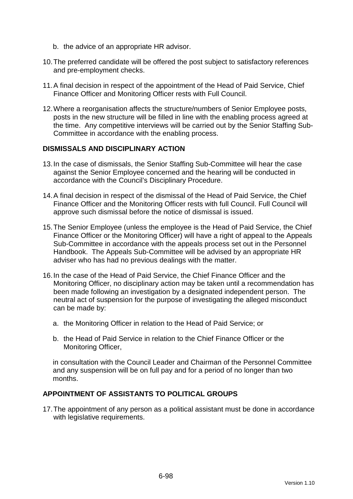- b. the advice of an appropriate HR advisor.
- 10. The preferred candidate will be offered the post subject to satisfactory references and pre-employment checks.
- 11. A final decision in respect of the appointment of the Head of Paid Service, Chief Finance Officer and Monitoring Officer rests with Full Council.
- 12. Where a reorganisation affects the structure/numbers of Senior Employee posts, posts in the new structure will be filled in line with the enabling process agreed at the time. Any competitive interviews will be carried out by the Senior Staffing Sub-Committee in accordance with the enabling process.

#### **DISMISSALS AND DISCIPLINARY ACTION**

- 13. In the case of dismissals, the Senior Staffing Sub-Committee will hear the case against the Senior Employee concerned and the hearing will be conducted in accordance with the Council's Disciplinary Procedure.
- 14. A final decision in respect of the dismissal of the Head of Paid Service, the Chief Finance Officer and the Monitoring Officer rests with full Council. Full Council will approve such dismissal before the notice of dismissal is issued.
- 15. The Senior Employee (unless the employee is the Head of Paid Service, the Chief Finance Officer or the Monitoring Officer) will have a right of appeal to the Appeals Sub-Committee in accordance with the appeals process set out in the Personnel Handbook. The Appeals Sub-Committee will be advised by an appropriate HR adviser who has had no previous dealings with the matter.
- 16. In the case of the Head of Paid Service, the Chief Finance Officer and the Monitoring Officer, no disciplinary action may be taken until a recommendation has been made following an investigation by a designated independent person. The neutral act of suspension for the purpose of investigating the alleged misconduct can be made by:
	- a. the Monitoring Officer in relation to the Head of Paid Service; or
	- b. the Head of Paid Service in relation to the Chief Finance Officer or the Monitoring Officer,

in consultation with the Council Leader and Chairman of the Personnel Committee and any suspension will be on full pay and for a period of no longer than two months.

### **APPOINTMENT OF ASSISTANTS TO POLITICAL GROUPS**

17. The appointment of any person as a political assistant must be done in accordance with legislative requirements.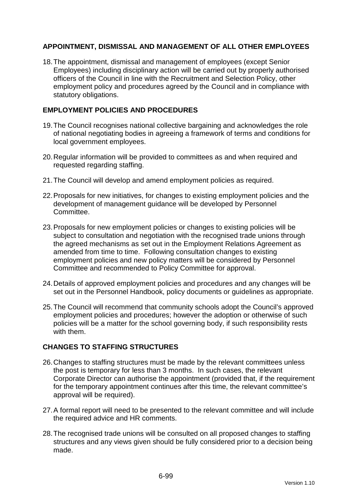## **APPOINTMENT, DISMISSAL AND MANAGEMENT OF ALL OTHER EMPLOYEES**

18. The appointment, dismissal and management of employees (except Senior Employees) including disciplinary action will be carried out by properly authorised officers of the Council in line with the Recruitment and Selection Policy, other employment policy and procedures agreed by the Council and in compliance with statutory obligations.

## **EMPLOYMENT POLICIES AND PROCEDURES**

- 19. The Council recognises national collective bargaining and acknowledges the role of national negotiating bodies in agreeing a framework of terms and conditions for local government employees.
- 20. Regular information will be provided to committees as and when required and requested regarding staffing.
- 21. The Council will develop and amend employment policies as required.
- 22. Proposals for new initiatives, for changes to existing employment policies and the development of management guidance will be developed by Personnel Committee.
- 23. Proposals for new employment policies or changes to existing policies will be subject to consultation and negotiation with the recognised trade unions through the agreed mechanisms as set out in the Employment Relations Agreement as amended from time to time. Following consultation changes to existing employment policies and new policy matters will be considered by Personnel Committee and recommended to Policy Committee for approval.
- 24. Details of approved employment policies and procedures and any changes will be set out in the Personnel Handbook, policy documents or guidelines as appropriate.
- 25. The Council will recommend that community schools adopt the Council's approved employment policies and procedures; however the adoption or otherwise of such policies will be a matter for the school governing body, if such responsibility rests with them.

## **CHANGES TO STAFFING STRUCTURES**

- 26. Changes to staffing structures must be made by the relevant committees unless the post is temporary for less than 3 months. In such cases, the relevant Corporate Director can authorise the appointment (provided that, if the requirement for the temporary appointment continues after this time, the relevant committee's approval will be required).
- 27. A formal report will need to be presented to the relevant committee and will include the required advice and HR comments.
- 28. The recognised trade unions will be consulted on all proposed changes to staffing structures and any views given should be fully considered prior to a decision being made.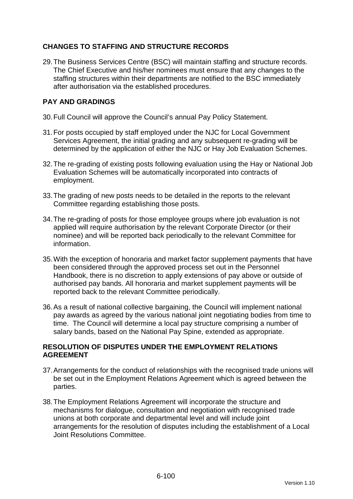## **CHANGES TO STAFFING AND STRUCTURE RECORDS**

29. The Business Services Centre (BSC) will maintain staffing and structure records. The Chief Executive and his/her nominees must ensure that any changes to the staffing structures within their departments are notified to the BSC immediately after authorisation via the established procedures.

## **PAY AND GRADINGS**

- 30. Full Council will approve the Council's annual Pay Policy Statement.
- 31. For posts occupied by staff employed under the NJC for Local Government Services Agreement, the initial grading and any subsequent re-grading will be determined by the application of either the NJC or Hay Job Evaluation Schemes.
- 32. The re-grading of existing posts following evaluation using the Hay or National Job Evaluation Schemes will be automatically incorporated into contracts of employment.
- 33. The grading of new posts needs to be detailed in the reports to the relevant Committee regarding establishing those posts.
- 34. The re-grading of posts for those employee groups where job evaluation is not applied will require authorisation by the relevant Corporate Director (or their nominee) and will be reported back periodically to the relevant Committee for information.
- 35. With the exception of honoraria and market factor supplement payments that have been considered through the approved process set out in the Personnel Handbook, there is no discretion to apply extensions of pay above or outside of authorised pay bands. All honoraria and market supplement payments will be reported back to the relevant Committee periodically.
- 36. As a result of national collective bargaining, the Council will implement national pay awards as agreed by the various national joint negotiating bodies from time to time. The Council will determine a local pay structure comprising a number of salary bands, based on the National Pay Spine, extended as appropriate.

## **RESOLUTION OF DISPUTES UNDER THE EMPLOYMENT RELATIONS AGREEMENT**

- 37. Arrangements for the conduct of relationships with the recognised trade unions will be set out in the Employment Relations Agreement which is agreed between the parties.
- 38. The Employment Relations Agreement will incorporate the structure and mechanisms for dialogue, consultation and negotiation with recognised trade unions at both corporate and departmental level and will include joint arrangements for the resolution of disputes including the establishment of a Local Joint Resolutions Committee.